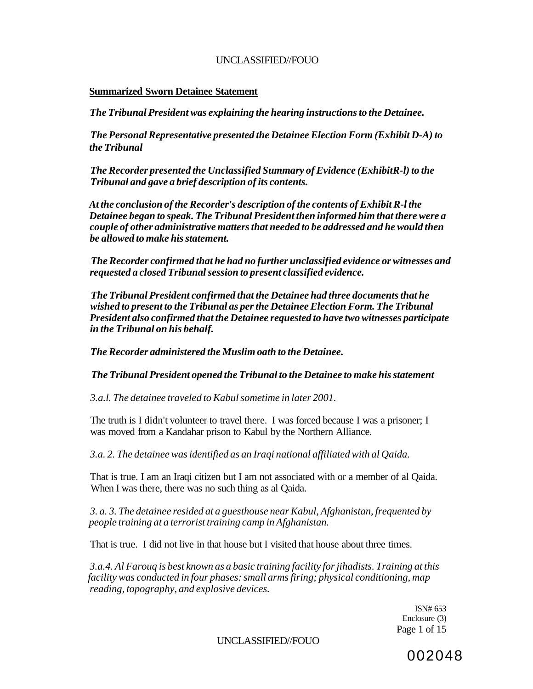#### **Summarized Sworn Detainee Statement**

*The Tribunal President was explaining the hearing instructions to the Detainee.* 

*The Personal Representative presented the Detainee Election Form (Exhibit D-A) to the Tribunal* 

*The Recorder presented the Unclassified Summary of Evidence (ExhibitR-l) to the Tribunal and gave a brief description of its contents.* 

*At the conclusion of the Recorder's description of the contents of Exhibit R-l the Detainee began to speak. The Tribunal President then informed him that there were a couple of other administrative matters that needed to be addressed and he would then be allowed to make his statement.* 

*The Recorder confirmed that he had no further unclassified evidence or witnesses and requested a closed Tribunal session to present classified evidence.* 

*The Tribunal President confirmed that the Detainee had three documents that he wished to present to the Tribunal as per the Detainee Election Form. The Tribunal President also confirmed that the Detainee requested to have two witnesses participate in the Tribunal on his behalf.* 

*The Recorder administered the Muslim oath to the Detainee.* 

*The Tribunal President opened the Tribunal to the Detainee to make his statement* 

*3.a.l. The detainee traveled to Kabul sometime in later 2001.* 

The truth is I didn't volunteer to travel there. I was forced because I was a prisoner; I was moved from a Kandahar prison to Kabul by the Northern Alliance.

*3.a. 2. The detainee was identified as an Iraqi national affiliated with al Qaida.* 

That is true. I am an Iraqi citizen but I am not associated with or a member of al Qaida. When I was there, there was no such thing as al Qaida.

*3. a. 3. The detainee resided at a guesthouse near Kabul, Afghanistan, frequented by people training at a terrorist training camp in Afghanistan.* 

That is true. I did not live in that house but I visited that house about three times.

*3.a.4. Al Farouq is best known as a basic training facility for jihadists. Training at this facility was conducted in four phases: small arms firing; physical conditioning, map reading, topography, and explosive devices.* 

> ISN# 653 Enclosure (3) Page 1 of 15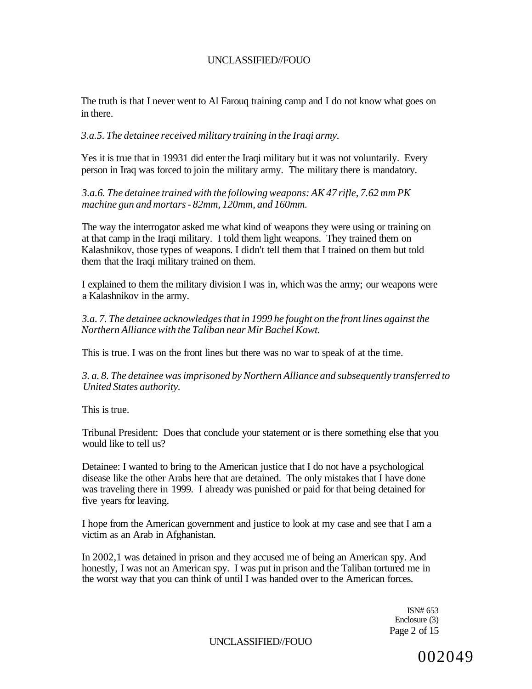The truth is that I never went to Al Farouq training camp and I do not know what goes on in there.

*3.a.5. The detainee received military training in the Iraqi army.* 

Yes it is true that in 19931 did enter the Iraqi military but it was not voluntarily. Every person in Iraq was forced to join the military army. The military there is mandatory.

*3.a.6. The detainee trained with the following weapons: AK 47 rifle, 7.62 mm PK machine gun and mortars - 82mm, 120mm, and 160mm.* 

The way the interrogator asked me what kind of weapons they were using or training on at that camp in the Iraqi military. I told them light weapons. They trained them on Kalashnikov, those types of weapons. I didn't tell them that I trained on them but told them that the Iraqi military trained on them.

I explained to them the military division I was in, which was the army; our weapons were a Kalashnikov in the army.

*3.a. 7. The detainee acknowledges that in 1999 he fought on the front lines against the Northern Alliance with the Taliban near Mir Bachel Kowt.* 

This is true. I was on the front lines but there was no war to speak of at the time.

*3. a. 8. The detainee was imprisoned by Northern Alliance and subsequently transferred to United States authority.* 

This is true.

Tribunal President: Does that conclude your statement or is there something else that you would like to tell us?

Detainee: I wanted to bring to the American justice that I do not have a psychological disease like the other Arabs here that are detained. The only mistakes that I have done was traveling there in 1999. I already was punished or paid for that being detained for five years for leaving.

I hope from the American government and justice to look at my case and see that I am a victim as an Arab in Afghanistan.

In 2002,1 was detained in prison and they accused me of being an American spy. And honestly, I was not an American spy. I was put in prison and the Taliban tortured me in the worst way that you can think of until I was handed over to the American forces.

> ISN# 653 Enclosure (3) Page 2 of 15

UNCLASSIFIED//FOUO

002049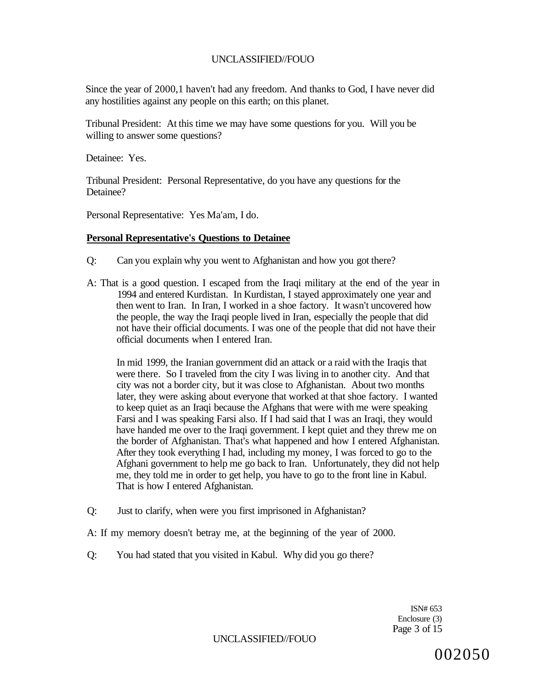Since the year of 2000,1 haven't had any freedom. And thanks to God, I have never did any hostilities against any people on this earth; on this planet.

Tribunal President: At this time we may have some questions for you. Will you be willing to answer some questions?

Detainee: Yes.

Tribunal President: Personal Representative, do you have any questions for the Detainee?

Personal Representative: Yes Ma'am, I do.

#### **Personal Representative's Questions to Detainee**

- Q: Can you explain why you went to Afghanistan and how you got there?
- A: That is a good question. I escaped from the Iraqi military at the end of the year in 1994 and entered Kurdistan. In Kurdistan, I stayed approximately one year and then went to Iran. In Iran, I worked in a shoe factory. It wasn't uncovered how the people, the way the Iraqi people lived in Iran, especially the people that did not have their official documents. I was one of the people that did not have their official documents when I entered Iran.

In mid 1999, the Iranian government did an attack or a raid with the Iraqis that were there. So I traveled from the city I was living in to another city. And that city was not a border city, but it was close to Afghanistan. About two months later, they were asking about everyone that worked at that shoe factory. I wanted to keep quiet as an Iraqi because the Afghans that were with me were speaking Farsi and I was speaking Farsi also. If I had said that I was an Iraqi, they would have handed me over to the Iraqi government. I kept quiet and they threw me on the border of Afghanistan. That's what happened and how I entered Afghanistan. After they took everything I had, including my money, I was forced to go to the Afghani government to help me go back to Iran. Unfortunately, they did not help me, they told me in order to get help, you have to go to the front line in Kabul. That is how I entered Afghanistan.

Q: Just to clarify, when were you first imprisoned in Afghanistan?

A: If my memory doesn't betray me, at the beginning of the year of 2000.

Q: You had stated that you visited in Kabul. Why did you go there?

ISN# 653 Enclosure (3) Page 3 of 15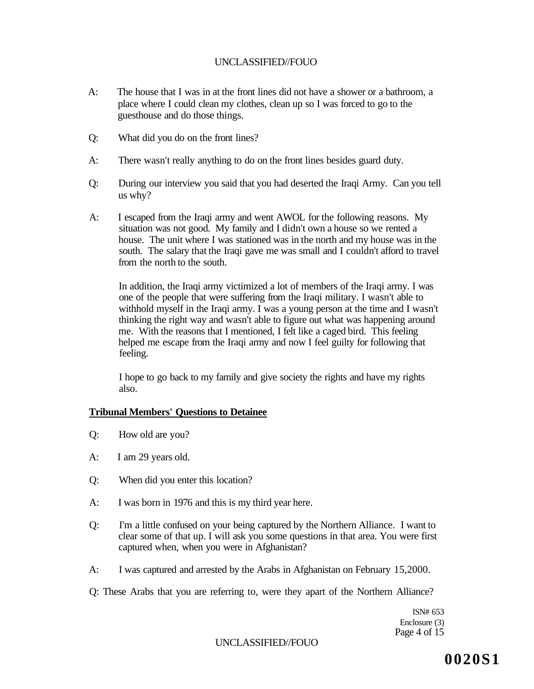- A: The house that I was in at the front lines did not have a shower or a bathroom, a place where I could clean my clothes, clean up so I was forced to go to the guesthouse and do those things.
- Q: What did you do on the front lines?
- A: There wasn't really anything to do on the front lines besides guard duty.
- Q: During our interview you said that you had deserted the Iraqi Army. Can you tell us why?
- A: I escaped from the Iraqi army and went AWOL for the following reasons. My situation was not good. My family and I didn't own a house so we rented a house. The unit where I was stationed was in the north and my house was in the south. The salary that the Iraqi gave me was small and I couldn't afford to travel from the north to the south.

In addition, the Iraqi army victimized a lot of members of the Iraqi army. I was one of the people that were suffering from the Iraqi military. I wasn't able to withhold myself in the Iraqi army. I was a young person at the time and I wasn't thinking the right way and wasn't able to figure out what was happening around me. With the reasons that I mentioned, I felt like a caged bird. This feeling helped me escape from the Iraqi army and now I feel guilty for following that feeling.

I hope to go back to my family and give society the rights and have my rights also.

#### **Tribunal Members' Questions to Detainee**

- Q: How old are you?
- A: I am 29 years old.
- Q: When did you enter this location?
- A: I was born in 1976 and this is my third year here.
- Q: I'm a little confused on your being captured by the Northern Alliance. I want to clear some of that up. I will ask you some questions in that area. You were first captured when, when you were in Afghanistan?
- A: I was captured and arrested by the Arabs in Afghanistan on February 15,2000.
- Q: These Arabs that you are referring to, were they apart of the Northern Alliance?

ISN# 653 Enclosure (3) Page 4 of 15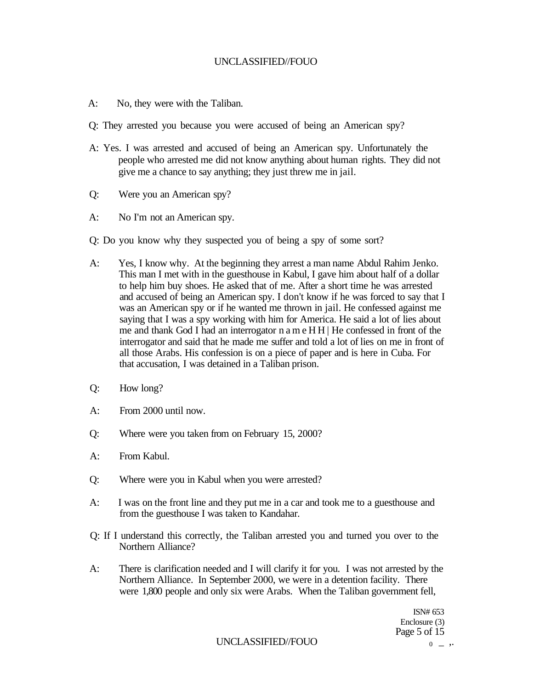- A: No, they were with the Taliban.
- Q: They arrested you because you were accused of being an American spy?
- A: Yes. I was arrested and accused of being an American spy. Unfortunately the people who arrested me did not know anything about human rights. They did not give me a chance to say anything; they just threw me in jail.
- Q: Were you an American spy?
- A: No I'm not an American spy.
- Q: Do you know why they suspected you of being a spy of some sort?
- A: Yes, I know why. At the beginning they arrest a man name Abdul Rahim Jenko. This man I met with in the guesthouse in Kabul, I gave him about half of a dollar to help him buy shoes. He asked that of me. After a short time he was arrested and accused of being an American spy. I don't know if he was forced to say that I was an American spy or if he wanted me thrown in jail. He confessed against me saying that I was a spy working with him for America. He said a lot of lies about me and thank God I had an interrogator n a m e H H | He confessed in front of the interrogator and said that he made me suffer and told a lot of lies on me in front of all those Arabs. His confession is on a piece of paper and is here in Cuba. For that accusation, I was detained in a Taliban prison.
- Q: How long?
- A: From 2000 until now.
- Q: Where were you taken from on February 15, 2000?
- A: From Kabul.
- Q: Where were you in Kabul when you were arrested?
- A: I was on the front line and they put me in a car and took me to a guesthouse and from the guesthouse I was taken to Kandahar.
- Q: If I understand this correctly, the Taliban arrested you and turned you over to the Northern Alliance?
- A: There is clarification needed and I will clarify it for you. I was not arrested by the Northern Alliance. In September 2000, we were in a detention facility. There were 1,800 people and only six were Arabs. When the Taliban government fell,

ISN# 653 Enclosure (3) Page 5 of 15

UNCLASSIFIED//FOUO  $_{0}$   $_{+}$ .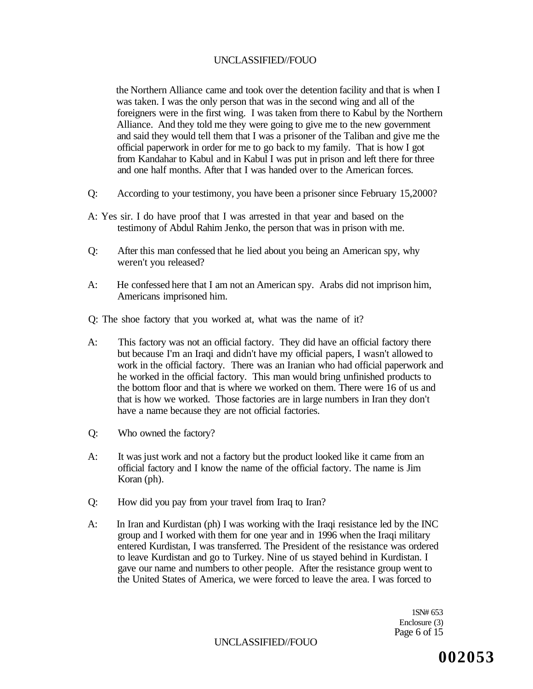the Northern Alliance came and took over the detention facility and that is when I was taken. I was the only person that was in the second wing and all of the foreigners were in the first wing. I was taken from there to Kabul by the Northern Alliance. And they told me they were going to give me to the new government and said they would tell them that I was a prisoner of the Taliban and give me the official paperwork in order for me to go back to my family. That is how I got from Kandahar to Kabul and in Kabul I was put in prison and left there for three and one half months. After that I was handed over to the American forces.

- Q: According to your testimony, you have been a prisoner since February 15,2000?
- A: Yes sir. I do have proof that I was arrested in that year and based on the testimony of Abdul Rahim Jenko, the person that was in prison with me.
- Q: After this man confessed that he lied about you being an American spy, why weren't you released?
- A: He confessed here that I am not an American spy. Arabs did not imprison him, Americans imprisoned him.

Q: The shoe factory that you worked at, what was the name of it?

- A: This factory was not an official factory. They did have an official factory there but because I'm an Iraqi and didn't have my official papers, I wasn't allowed to work in the official factory. There was an Iranian who had official paperwork and he worked in the official factory. This man would bring unfinished products to the bottom floor and that is where we worked on them. There were 16 of us and that is how we worked. Those factories are in large numbers in Iran they don't have a name because they are not official factories.
- Q: Who owned the factory?
- A: It was just work and not a factory but the product looked like it came from an official factory and I know the name of the official factory. The name is Jim Koran (ph).
- Q: How did you pay from your travel from Iraq to Iran?
- A: In Iran and Kurdistan (ph) I was working with the Iraqi resistance led by the INC group and I worked with them for one year and in 1996 when the Iraqi military entered Kurdistan, I was transferred. The President of the resistance was ordered to leave Kurdistan and go to Turkey. Nine of us stayed behind in Kurdistan. I gave our name and numbers to other people. After the resistance group went to the United States of America, we were forced to leave the area. I was forced to

1SN# 653 Enclosure (3) Page 6 of 15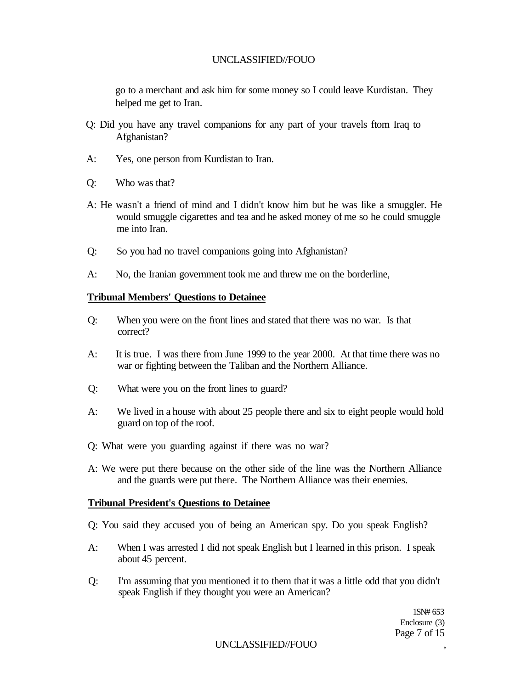go to a merchant and ask him for some money so I could leave Kurdistan. They helped me get to Iran.

- Q: Did you have any travel companions for any part of your travels ftom Iraq to Afghanistan?
- A: Yes, one person from Kurdistan to Iran.
- Q: Who was that?
- A: He wasn't a friend of mind and I didn't know him but he was like a smuggler. He would smuggle cigarettes and tea and he asked money of me so he could smuggle me into Iran.
- Q: So you had no travel companions going into Afghanistan?
- A: No, the Iranian government took me and threw me on the borderline,

#### **Tribunal Members' Questions to Detainee**

- Q: When you were on the front lines and stated that there was no war. Is that correct?
- A: It is true. I was there from June 1999 to the year 2000. At that time there was no war or fighting between the Taliban and the Northern Alliance.
- Q: What were you on the front lines to guard?
- A: We lived in a house with about 25 people there and six to eight people would hold guard on top of the roof.
- Q: What were you guarding against if there was no war?
- A: We were put there because on the other side of the line was the Northern Alliance and the guards were put there. The Northern Alliance was their enemies.

#### **Tribunal President's Questions to Detainee**

Q: You said they accused you of being an American spy. Do you speak English?

- A: When I was arrested I did not speak English but I learned in this prison. I speak about 45 percent.
- Q: I'm assuming that you mentioned it to them that it was a little odd that you didn't speak English if they thought you were an American?

1SN# 653 Enclosure (3) Page 7 of 15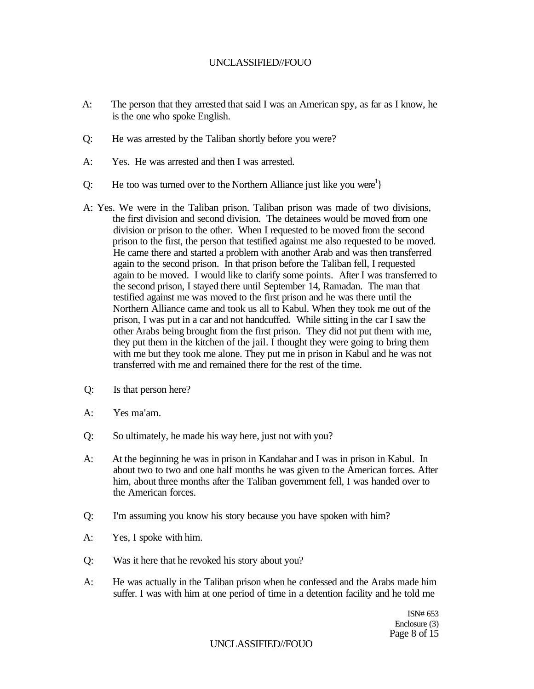- A: The person that they arrested that said I was an American spy, as far as I know, he is the one who spoke English.
- Q: He was arrested by the Taliban shortly before you were?
- A: Yes. He was arrested and then I was arrested.
- Q: He too was turned over to the Northern Alliance just like you were<sup>1</sup>}
- A: Yes. We were in the Taliban prison. Taliban prison was made of two divisions, the first division and second division. The detainees would be moved from one division or prison to the other. When I requested to be moved from the second prison to the first, the person that testified against me also requested to be moved. He came there and started a problem with another Arab and was then transferred again to the second prison. In that prison before the Taliban fell, I requested again to be moved. I would like to clarify some points. After I was transferred to the second prison, I stayed there until September 14, Ramadan. The man that testified against me was moved to the first prison and he was there until the Northern Alliance came and took us all to Kabul. When they took me out of the prison, I was put in a car and not handcuffed. While sitting in the car I saw the other Arabs being brought from the first prison. They did not put them with me, they put them in the kitchen of the jail. I thought they were going to bring them with me but they took me alone. They put me in prison in Kabul and he was not transferred with me and remained there for the rest of the time.
- Q: Is that person here?
- A: Yes ma'am.
- Q: So ultimately, he made his way here, just not with you?
- A: At the beginning he was in prison in Kandahar and I was in prison in Kabul. In about two to two and one half months he was given to the American forces. After him, about three months after the Taliban government fell, I was handed over to the American forces.
- Q: I'm assuming you know his story because you have spoken with him?
- A: Yes, I spoke with him.
- Q: Was it here that he revoked his story about you?
- A: He was actually in the Taliban prison when he confessed and the Arabs made him suffer. I was with him at one period of time in a detention facility and he told me

ISN# 653 Enclosure (3) Page 8 of 15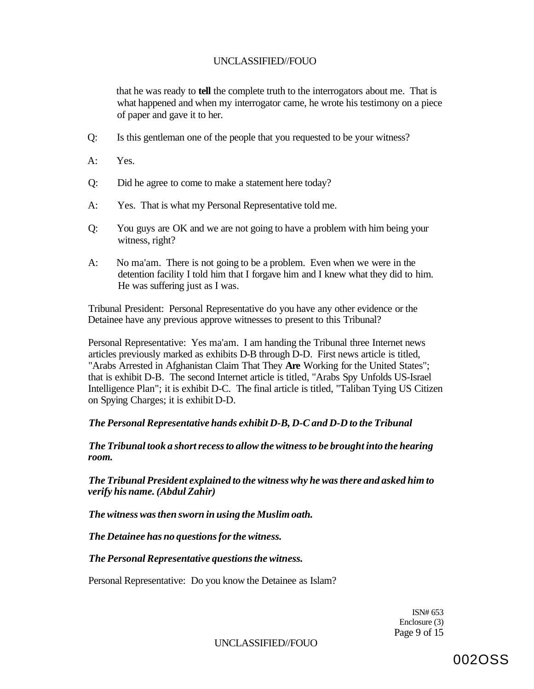that he was ready to **tell** the complete truth to the interrogators about me. That is what happened and when my interrogator came, he wrote his testimony on a piece of paper and gave it to her.

- Q: Is this gentleman one of the people that you requested to be your witness?
- A: Yes.
- Q: Did he agree to come to make a statement here today?
- A: Yes. That is what my Personal Representative told me.
- Q: You guys are OK and we are not going to have a problem with him being your witness, right?
- A: No ma'am. There is not going to be a problem. Even when we were in the detention facility I told him that I forgave him and I knew what they did to him. He was suffering just as I was.

Tribunal President: Personal Representative do you have any other evidence or the Detainee have any previous approve witnesses to present to this Tribunal?

Personal Representative: Yes ma'am. I am handing the Tribunal three Internet news articles previously marked as exhibits D-B through D-D. First news article is titled, "Arabs Arrested in Afghanistan Claim That They **Are** Working for the United States"; that is exhibit D-B. The second Internet article is titled, "Arabs Spy Unfolds US-Israel Intelligence Plan"; it is exhibit D-C. The final article is titled, "Taliban Tying US Citizen on Spying Charges; it is exhibit D-D.

*The Personal Representative hands exhibit D-B, D-C and D-D to the Tribunal* 

*The Tribunal took a short recess to allow the witness to be brought into the hearing room.* 

*The Tribunal President explained to the witness why he was there and asked him to verify his name. (Abdul Zahir)* 

*The witness was then sworn in using the Muslim oath.* 

*The Detainee has no questions for the witness.* 

*The Personal Representative questions the witness.* 

Personal Representative: Do you know the Detainee as Islam?

ISN# 653 Enclosure (3) Page 9 of 15

UNCLASSIFIED//FOUO

002OSS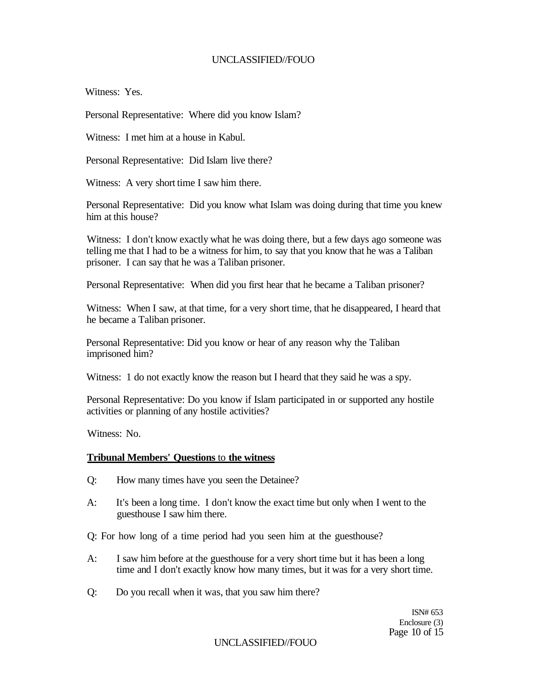Witness: Yes.

Personal Representative: Where did you know Islam?

Witness: I met him at a house in Kabul.

Personal Representative: Did Islam live there?

Witness: A very short time I saw him there.

Personal Representative: Did you know what Islam was doing during that time you knew him at this house?

Witness: I don't know exactly what he was doing there, but a few days ago someone was telling me that I had to be a witness for him, to say that you know that he was a Taliban prisoner. I can say that he was a Taliban prisoner.

Personal Representative: When did you first hear that he became a Taliban prisoner?

Witness: When I saw, at that time, for a very short time, that he disappeared, I heard that he became a Taliban prisoner.

Personal Representative: Did you know or hear of any reason why the Taliban imprisoned him?

Witness: 1 do not exactly know the reason but I heard that they said he was a spy.

Personal Representative: Do you know if Islam participated in or supported any hostile activities or planning of any hostile activities?

Witness: No.

### **Tribunal Members' Questions** to **the witness**

- Q: How many times have you seen the Detainee?
- A: It's been a long time. I don't know the exact time but only when I went to the guesthouse I saw him there.
- Q: For how long of a time period had you seen him at the guesthouse?
- A: I saw him before at the guesthouse for a very short time but it has been a long time and I don't exactly know how many times, but it was for a very short time.
- Q: Do you recall when it was, that you saw him there?

ISN# 653 Enclosure (3) Page 10 of 15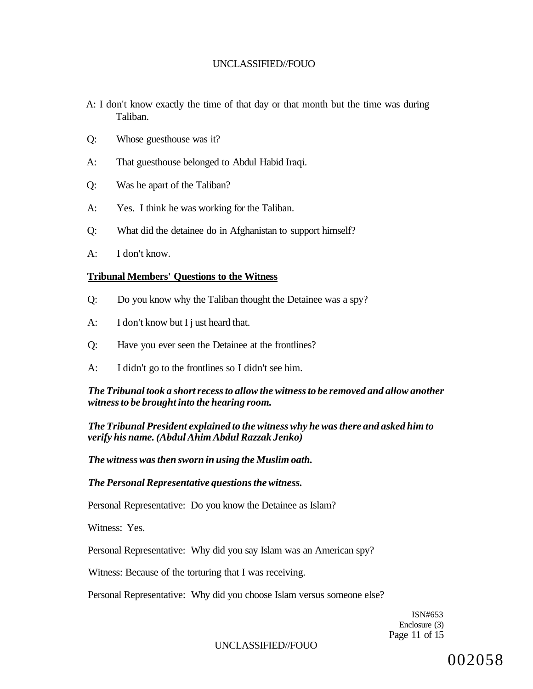- A: I don't know exactly the time of that day or that month but the time was during Taliban.
- Q: Whose guesthouse was it?
- A: That guesthouse belonged to Abdul Habid Iraqi.
- Q: Was he apart of the Taliban?
- A: Yes. I think he was working for the Taliban.
- Q: What did the detainee do in Afghanistan to support himself?
- A: I don't know.

#### **Tribunal Members' Questions to the Witness**

- Q: Do you know why the Taliban thought the Detainee was a spy?
- A: I don't know but I j ust heard that.
- Q: Have you ever seen the Detainee at the frontlines?
- A: I didn't go to the frontlines so I didn't see him.

## *The Tribunal took a short recess to allow the witness to be removed and allow another witness to be brought into the hearing room.*

*The Tribunal President explained to the witness why he was there and asked him to verify his name. (Abdul Ahim Abdul Razzak Jenko)* 

*The witness was then sworn in using the Muslim oath.* 

*The Personal Representative questions the witness.* 

Personal Representative: Do you know the Detainee as Islam?

Witness: Yes.

Personal Representative: Why did you say Islam was an American spy?

Witness: Because of the torturing that I was receiving.

Personal Representative: Why did you choose Islam versus someone else?

ISN#653 Enclosure (3) Page 11 of 15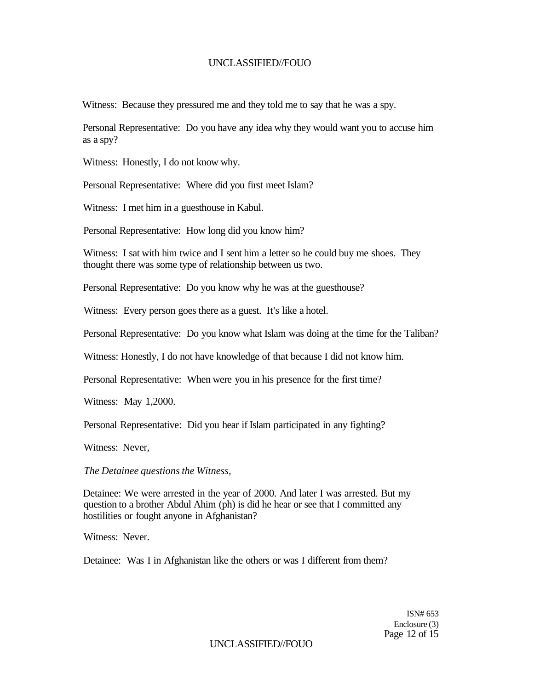Witness: Because they pressured me and they told me to say that he was a spy.

Personal Representative: Do you have any idea why they would want you to accuse him as a spy?

Witness: Honestly, I do not know why.

Personal Representative: Where did you first meet Islam?

Witness: I met him in a guesthouse in Kabul.

Personal Representative: How long did you know him?

Witness: I sat with him twice and I sent him a letter so he could buy me shoes. They thought there was some type of relationship between us two.

Personal Representative: Do you know why he was at the guesthouse?

Witness: Every person goes there as a guest. It's like a hotel.

Personal Representative: Do you know what Islam was doing at the time for the Taliban?

Witness: Honestly, I do not have knowledge of that because I did not know him.

Personal Representative: When were you in his presence for the first time?

Witness: May 1,2000.

Personal Representative: Did you hear if Islam participated in any fighting?

Witness: Never,

*The Detainee questions the Witness,* 

Detainee: We were arrested in the year of 2000. And later I was arrested. But my question to a brother Abdul Ahim (ph) is did he hear or see that I committed any hostilities or fought anyone in Afghanistan?

Witness: Never.

Detainee: Was I in Afghanistan like the others or was I different from them?

ISN# 653 Enclosure (3) Page 12 of 15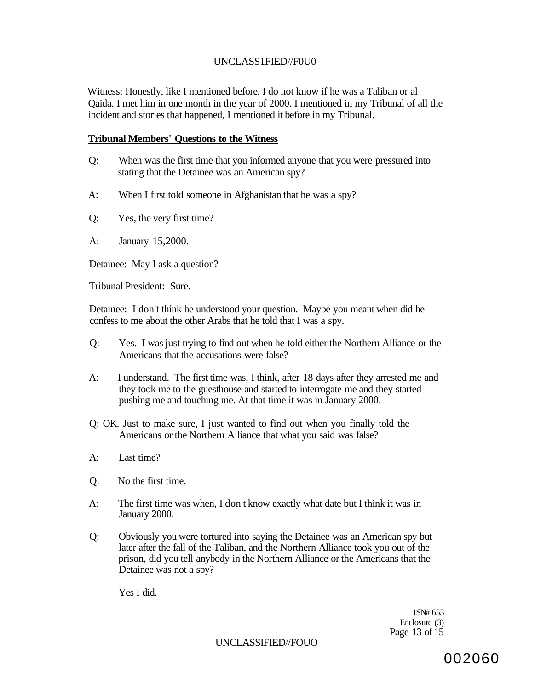## UNCLASS1FIED//F0U0

Witness: Honestly, like I mentioned before, I do not know if he was a Taliban or al Qaida. I met him in one month in the year of 2000. I mentioned in my Tribunal of all the incident and stories that happened, I mentioned it before in my Tribunal.

#### **Tribunal Members' Questions to the Witness**

- Q: When was the first time that you informed anyone that you were pressured into stating that the Detainee was an American spy?
- A: When I first told someone in Afghanistan that he was a spy?
- Q: Yes, the very first time?
- A: January 15,2000.

Detainee: May I ask a question?

Tribunal President: Sure.

Detainee: I don't think he understood your question. Maybe you meant when did he confess to me about the other Arabs that he told that I was a spy.

- Q: Yes. I was just trying to find out when he told either the Northern Alliance or the Americans that the accusations were false?
- A: I understand. The first time was, I think, after 18 days after they arrested me and they took me to the guesthouse and started to interrogate me and they started pushing me and touching me. At that time it was in January 2000.
- Q: OK. Just to make sure, I just wanted to find out when you finally told the Americans or the Northern Alliance that what you said was false?
- A: Last time?
- Q: No the first time.
- A: The first time was when, I don't know exactly what date but I think it was in January 2000.
- Q: Obviously you were tortured into saying the Detainee was an American spy but later after the fall of the Taliban, and the Northern Alliance took you out of the prison, did you tell anybody in the Northern Alliance or the Americans that the Detainee was not a spy?

Yes I did.

1SN# 653 Enclosure (3) Page 13 of 15

UNCLASSIFIED//FOUO

002060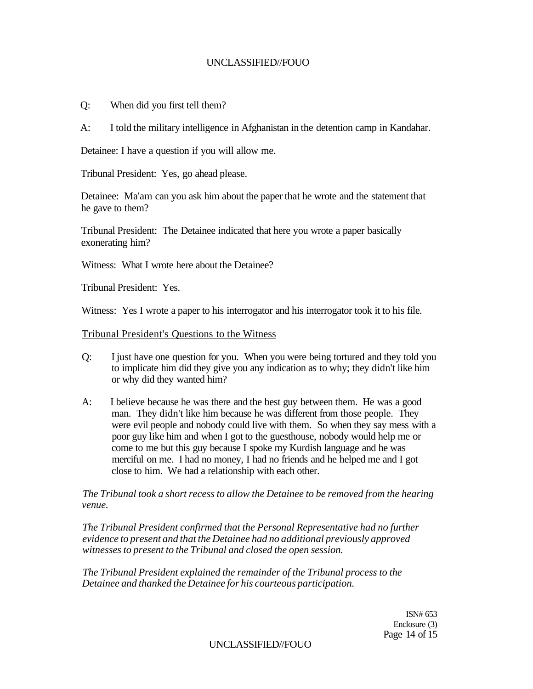- Q: When did you first tell them?
- A: I told the military intelligence in Afghanistan in the detention camp in Kandahar.

Detainee: I have a question if you will allow me.

Tribunal President: Yes, go ahead please.

Detainee: Ma'am can you ask him about the paper that he wrote and the statement that he gave to them?

Tribunal President: The Detainee indicated that here you wrote a paper basically exonerating him?

Witness: What I wrote here about the Detainee?

Tribunal President: Yes.

Witness: Yes I wrote a paper to his interrogator and his interrogator took it to his file.

Tribunal President's Questions to the Witness

- Q: I just have one question for you. When you were being tortured and they told you to implicate him did they give you any indication as to why; they didn't like him or why did they wanted him?
- A: I believe because he was there and the best guy between them. He was a good man. They didn't like him because he was different from those people. They were evil people and nobody could live with them. So when they say mess with a poor guy like him and when I got to the guesthouse, nobody would help me or come to me but this guy because I spoke my Kurdish language and he was merciful on me. I had no money, I had no friends and he helped me and I got close to him. We had a relationship with each other.

*The Tribunal took a short recess to allow the Detainee to be removed from the hearing venue.* 

*The Tribunal President confirmed that the Personal Representative had no further evidence to present and that the Detainee had no additional previously approved witnesses to present to the Tribunal and closed the open session.* 

*The Tribunal President explained the remainder of the Tribunal process to the Detainee and thanked the Detainee for his courteous participation.* 

> ISN# 653 Enclosure (3) Page 14 of 15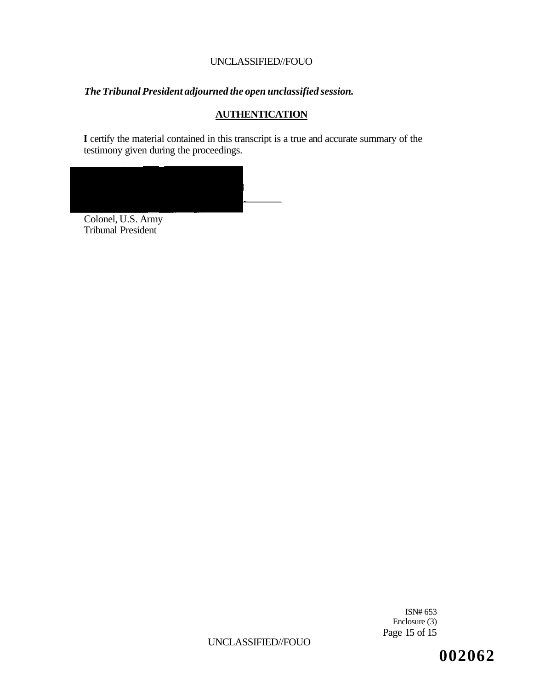# *The Tribunal President adjourned the open unclassified session.*

## **AUTHENTICATION**

**I** certify the material contained in this transcript is a true and accurate summary of the testimony given during the proceedings.



Colonel, U.S. Army Tribunal President<sup>-</sup>

> ISN# 653 Enclosure (3) Page 15 of 15

UNCLASSIFIED//FOUO

**002062**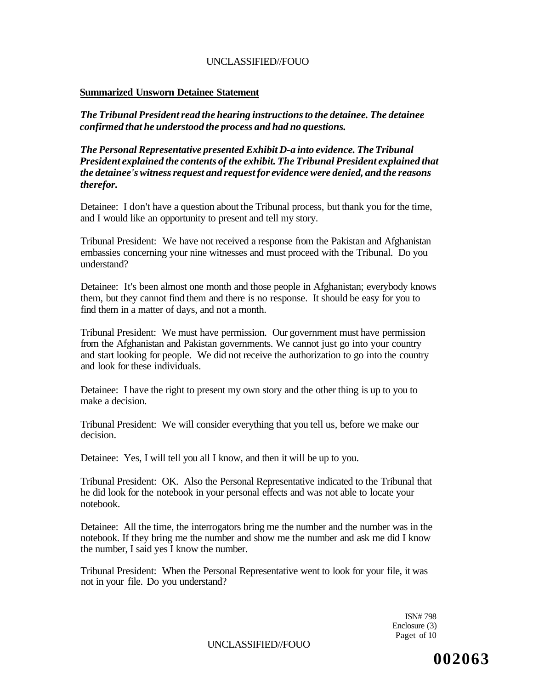### **Summarized Unsworn Detainee Statement**

*The Tribunal President read the hearing instructions to the detainee. The detainee confirmed that he understood the process and had no questions.* 

*The Personal Representative presented Exhibit D-a into evidence. The Tribunal President explained the contents of the exhibit. The Tribunal President explained that the detainee's witness request and request for evidence were denied, and the reasons therefor.* 

Detainee: I don't have a question about the Tribunal process, but thank you for the time, and I would like an opportunity to present and tell my story.

Tribunal President: We have not received a response from the Pakistan and Afghanistan embassies concerning your nine witnesses and must proceed with the Tribunal. Do you understand?

Detainee: It's been almost one month and those people in Afghanistan; everybody knows them, but they cannot find them and there is no response. It should be easy for you to find them in a matter of days, and not a month.

Tribunal President: We must have permission. Our government must have permission from the Afghanistan and Pakistan governments. We cannot just go into your country and start looking for people. We did not receive the authorization to go into the country and look for these individuals.

Detainee: I have the right to present my own story and the other thing is up to you to make a decision.

Tribunal President: We will consider everything that you tell us, before we make our decision.

Detainee: Yes, I will tell you all I know, and then it will be up to you.

Tribunal President: OK. Also the Personal Representative indicated to the Tribunal that he did look for the notebook in your personal effects and was not able to locate your notebook.

Detainee: All the time, the interrogators bring me the number and the number was in the notebook. If they bring me the number and show me the number and ask me did I know the number, I said yes I know the number.

Tribunal President: When the Personal Representative went to look for your file, it was not in your file. Do you understand?

> ISN# 798 Enclosure (3) Paget of 10

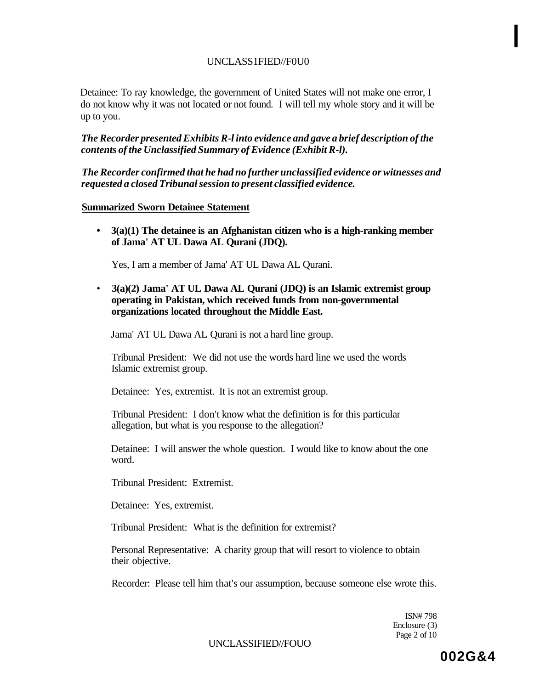## UNCLASS1FIED//F0U0

Detainee: To ray knowledge, the government of United States will not make one error, I do not know why it was not located or not found. I will tell my whole story and it will be up to you.

*The Recorder presented Exhibits R-l into evidence and gave a brief description of the contents of the Unclassified Summary of Evidence (Exhibit R-l).* 

*The Recorder confirmed that he had no further unclassified evidence or witnesses and requested a closed Tribunal session to present classified evidence.* 

#### **Summarized Sworn Detainee Statement**

**• 3(a)(1) The detainee is an Afghanistan citizen who is a high-ranking member of Jama' AT UL Dawa AL Qurani (JDQ).** 

Yes, I am a member of Jama' AT UL Dawa AL Qurani.

• **3(a)(2) Jama' AT UL Dawa AL Qurani (JDQ) is an Islamic extremist group operating in Pakistan, which received funds from non-governmental organizations located throughout the Middle East.** 

Jama' AT UL Dawa AL Qurani is not a hard line group.

Tribunal President: We did not use the words hard line we used the words Islamic extremist group.

Detainee: Yes, extremist. It is not an extremist group.

Tribunal President: I don't know what the definition is for this particular allegation, but what is you response to the allegation?

Detainee: I will answer the whole question. I would like to know about the one word.

Tribunal President: Extremist.

Detainee: Yes, extremist.

Tribunal President: What is the definition for extremist?

Personal Representative: A charity group that will resort to violence to obtain their objective.

Recorder: Please tell him that's our assumption, because someone else wrote this.

ISN# 798 Enclosure (3) Page 2 of 10

UNCLASSIFIED//FOUO

**I**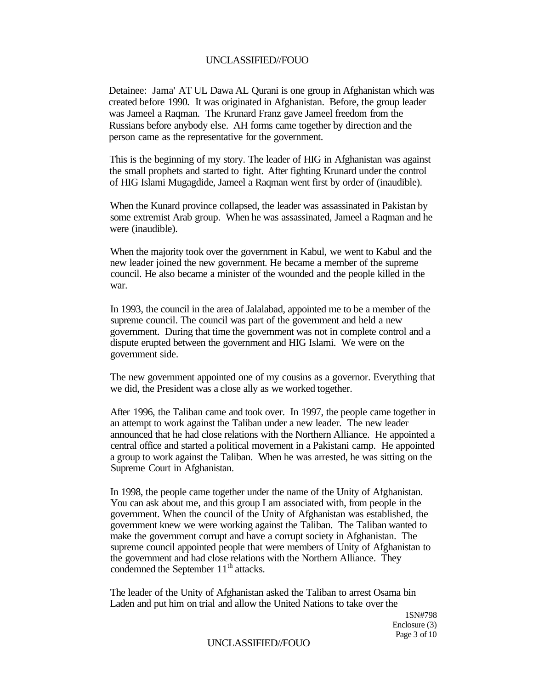Detainee: Jama' AT UL Dawa AL Qurani is one group in Afghanistan which was created before 1990. It was originated in Afghanistan. Before, the group leader was Jameel a Raqman. The Krunard Franz gave Jameel freedom from the Russians before anybody else. AH forms came together by direction and the person came as the representative for the government.

This is the beginning of my story. The leader of HIG in Afghanistan was against the small prophets and started to fight. After fighting Krunard under the control of HIG Islami Mugagdide, Jameel a Raqman went first by order of (inaudible).

When the Kunard province collapsed, the leader was assassinated in Pakistan by some extremist Arab group. When he was assassinated, Jameel a Raqman and he were (inaudible).

When the majority took over the government in Kabul, we went to Kabul and the new leader joined the new government. He became a member of the supreme council. He also became a minister of the wounded and the people killed in the war.

In 1993, the council in the area of Jalalabad, appointed me to be a member of the supreme council. The council was part of the government and held a new government. During that time the government was not in complete control and a dispute erupted between the government and HIG Islami. We were on the government side.

The new government appointed one of my cousins as a governor. Everything that we did, the President was a close ally as we worked together.

After 1996, the Taliban came and took over. In 1997, the people came together in an attempt to work against the Taliban under a new leader. The new leader announced that he had close relations with the Northern Alliance. He appointed a central office and started a political movement in a Pakistani camp. He appointed a group to work against the Taliban. When he was arrested, he was sitting on the Supreme Court in Afghanistan.

In 1998, the people came together under the name of the Unity of Afghanistan. You can ask about me, and this group I am associated with, from people in the government. When the council of the Unity of Afghanistan was established, the government knew we were working against the Taliban. The Taliban wanted to make the government corrupt and have a corrupt society in Afghanistan. The supreme council appointed people that were members of Unity of Afghanistan to the government and had close relations with the Northern Alliance. They condemned the September 11<sup>th</sup> attacks.

The leader of the Unity of Afghanistan asked the Taliban to arrest Osama bin Laden and put him on trial and allow the United Nations to take over the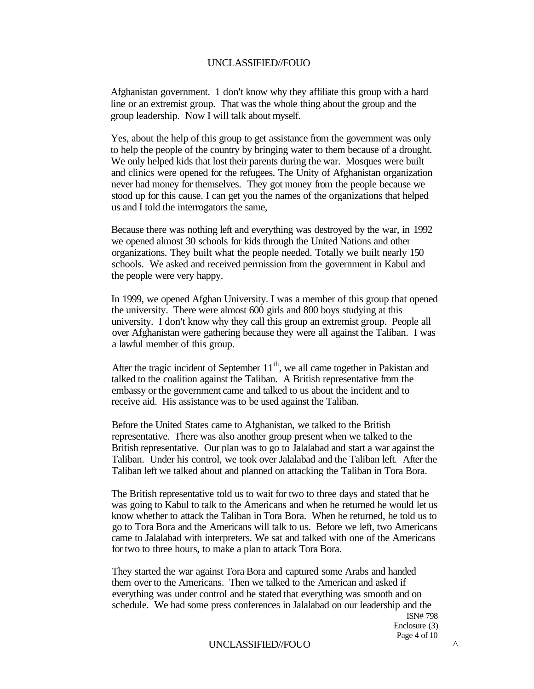Afghanistan government. 1 don't know why they affiliate this group with a hard line or an extremist group. That was the whole thing about the group and the group leadership. Now I will talk about myself.

Yes, about the help of this group to get assistance from the government was only to help the people of the country by bringing water to them because of a drought. We only helped kids that lost their parents during the war. Mosques were built and clinics were opened for the refugees. The Unity of Afghanistan organization never had money for themselves. They got money from the people because we stood up for this cause. I can get you the names of the organizations that helped us and I told the interrogators the same,

Because there was nothing left and everything was destroyed by the war, in 1992 we opened almost 30 schools for kids through the United Nations and other organizations. They built what the people needed. Totally we built nearly 150 schools. We asked and received permission from the government in Kabul and the people were very happy.

In 1999, we opened Afghan University. I was a member of this group that opened the university. There were almost 600 girls and 800 boys studying at this university. I don't know why they call this group an extremist group. People all over Afghanistan were gathering because they were all against the Taliban. I was a lawful member of this group.

After the tragic incident of September  $11<sup>th</sup>$ , we all came together in Pakistan and talked to the coalition against the Taliban. A British representative from the embassy or the government came and talked to us about the incident and to receive aid. His assistance was to be used against the Taliban.

Before the United States came to Afghanistan, we talked to the British representative. There was also another group present when we talked to the British representative. Our plan was to go to Jalalabad and start a war against the Taliban. Under his control, we took over Jalalabad and the Taliban left. After the Taliban left we talked about and planned on attacking the Taliban in Tora Bora.

The British representative told us to wait for two to three days and stated that he was going to Kabul to talk to the Americans and when he returned he would let us know whether to attack the Taliban in Tora Bora. When he returned, he told us to go to Tora Bora and the Americans will talk to us. Before we left, two Americans came to Jalalabad with interpreters. We sat and talked with one of the Americans for two to three hours, to make a plan to attack Tora Bora.

They started the war against Tora Bora and captured some Arabs and handed them over to the Americans. Then we talked to the American and asked if everything was under control and he stated that everything was smooth and on schedule. We had some press conferences in Jalalabad on our leadership and the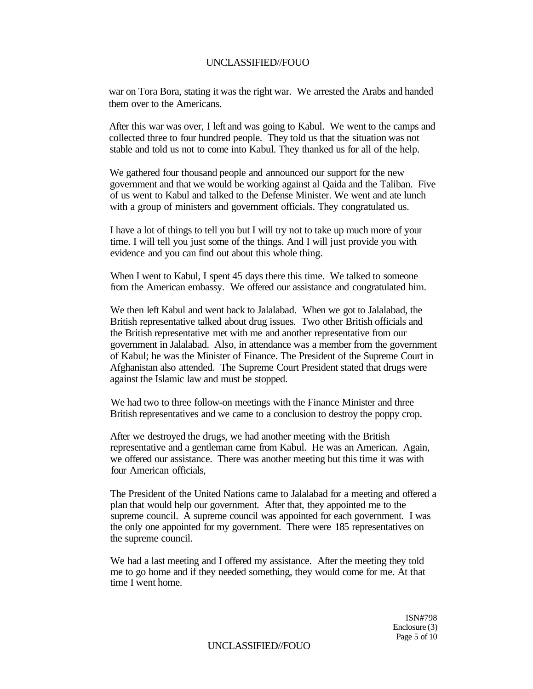war on Tora Bora, stating it was the right war. We arrested the Arabs and handed them over to the Americans.

After this war was over, I left and was going to Kabul. We went to the camps and collected three to four hundred people. They told us that the situation was not stable and told us not to come into Kabul. They thanked us for all of the help.

We gathered four thousand people and announced our support for the new government and that we would be working against al Qaida and the Taliban. Five of us went to Kabul and talked to the Defense Minister. We went and ate lunch with a group of ministers and government officials. They congratulated us.

I have a lot of things to tell you but I will try not to take up much more of your time. I will tell you just some of the things. And I will just provide you with evidence and you can find out about this whole thing.

When I went to Kabul, I spent 45 days there this time. We talked to someone from the American embassy. We offered our assistance and congratulated him.

We then left Kabul and went back to Jalalabad. When we got to Jalalabad, the British representative talked about drug issues. Two other British officials and the British representative met with me and another representative from our government in Jalalabad. Also, in attendance was a member from the government of Kabul; he was the Minister of Finance. The President of the Supreme Court in Afghanistan also attended. The Supreme Court President stated that drugs were against the Islamic law and must be stopped.

We had two to three follow-on meetings with the Finance Minister and three British representatives and we came to a conclusion to destroy the poppy crop.

After we destroyed the drugs, we had another meeting with the British representative and a gentleman came from Kabul. He was an American. Again, we offered our assistance. There was another meeting but this time it was with four American officials,

The President of the United Nations came to Jalalabad for a meeting and offered a plan that would help our government. After that, they appointed me to the supreme council. A supreme council was appointed for each government. I was the only one appointed for my government. There were 185 representatives on the supreme council.

We had a last meeting and I offered my assistance. After the meeting they told me to go home and if they needed something, they would come for me. At that time I went home.

> ISN#798 Enclosure (3) Page 5 of 10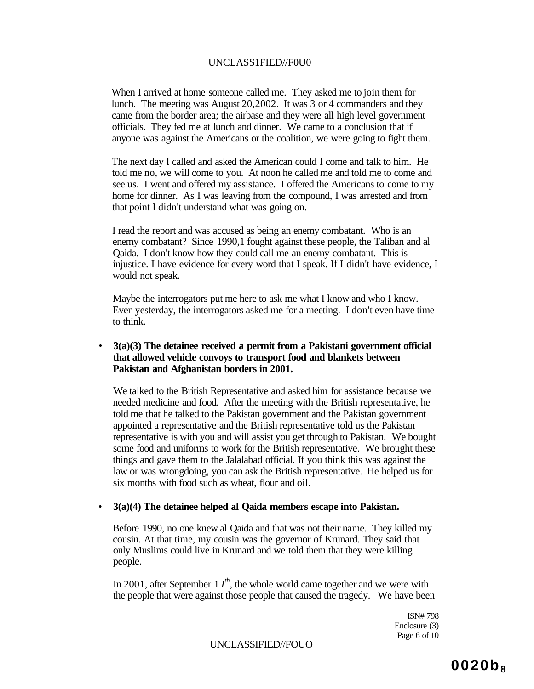#### UNCLASS1FIED//F0U0

When I arrived at home someone called me. They asked me to join them for lunch. The meeting was August 20,2002. It was 3 or 4 commanders and they came from the border area; the airbase and they were all high level government officials. They fed me at lunch and dinner. We came to a conclusion that if anyone was against the Americans or the coalition, we were going to fight them.

The next day I called and asked the American could I come and talk to him. He told me no, we will come to you. At noon he called me and told me to come and see us. I went and offered my assistance. I offered the Americans to come to my home for dinner. As I was leaving from the compound, I was arrested and from that point I didn't understand what was going on.

I read the report and was accused as being an enemy combatant. Who is an enemy combatant? Since 1990,1 fought against these people, the Taliban and al Qaida. I don't know how they could call me an enemy combatant. This is injustice. I have evidence for every word that I speak. If I didn't have evidence, I would not speak.

Maybe the interrogators put me here to ask me what I know and who I know. Even yesterday, the interrogators asked me for a meeting. I don't even have time to think.

#### • **3(a)(3) The detainee received a permit from a Pakistani government official that allowed vehicle convoys to transport food and blankets between Pakistan and Afghanistan borders in 2001.**

We talked to the British Representative and asked him for assistance because we needed medicine and food. After the meeting with the British representative, he told me that he talked to the Pakistan government and the Pakistan government appointed a representative and the British representative told us the Pakistan representative is with you and will assist you get through to Pakistan. We bought some food and uniforms to work for the British representative. We brought these things and gave them to the Jalalabad official. If you think this was against the law or was wrongdoing, you can ask the British representative. He helped us for six months with food such as wheat, flour and oil.

#### • **3(a)(4) The detainee helped al Qaida members escape into Pakistan.**

Before 1990, no one knew al Qaida and that was not their name. They killed my cousin. At that time, my cousin was the governor of Krunard. They said that only Muslims could live in Krunard and we told them that they were killing people.

In 2001, after September 1  $I^{th}$ , the whole world came together and we were with the people that were against those people that caused the tragedy. We have been

> ISN# 798 Enclosure (3) Page 6 of 10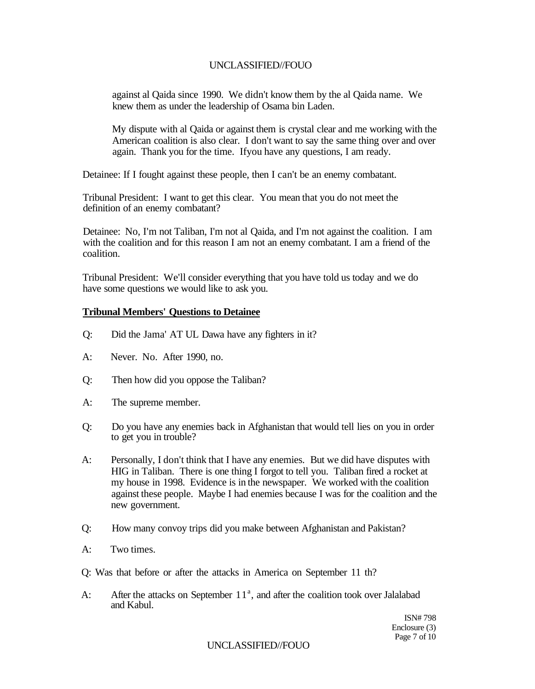against al Qaida since 1990. We didn't know them by the al Qaida name. We knew them as under the leadership of Osama bin Laden.

My dispute with al Qaida or against them is crystal clear and me working with the American coalition is also clear. I don't want to say the same thing over and over again. Thank you for the time. Ifyou have any questions, I am ready.

Detainee: If I fought against these people, then I can't be an enemy combatant.

Tribunal President: I want to get this clear. You mean that you do not meet the definition of an enemy combatant?

Detainee: No, I'm not Taliban, I'm not al Qaida, and I'm not against the coalition. I am with the coalition and for this reason I am not an enemy combatant. I am a friend of the coalition.

Tribunal President: We'll consider everything that you have told us today and we do have some questions we would like to ask you.

#### **Tribunal Members' Questions to Detainee**

- Q: Did the Jama' AT UL Dawa have any fighters in it?
- A: Never. No. After 1990, no.
- Q: Then how did you oppose the Taliban?
- A: The supreme member.
- Q: Do you have any enemies back in Afghanistan that would tell lies on you in order to get you in trouble?
- A: Personally, I don't think that I have any enemies. But we did have disputes with HIG in Taliban. There is one thing I forgot to tell you. Taliban fired a rocket at my house in 1998. Evidence is in the newspaper. We worked with the coalition against these people. Maybe I had enemies because I was for the coalition and the new government.
- Q: How many convoy trips did you make between Afghanistan and Pakistan?
- A: Two times.
- Q: Was that before or after the attacks in America on September 11 th?
- A: After the attacks on September  $11<sup>a</sup>$ , and after the coalition took over Jalalabad and Kabul.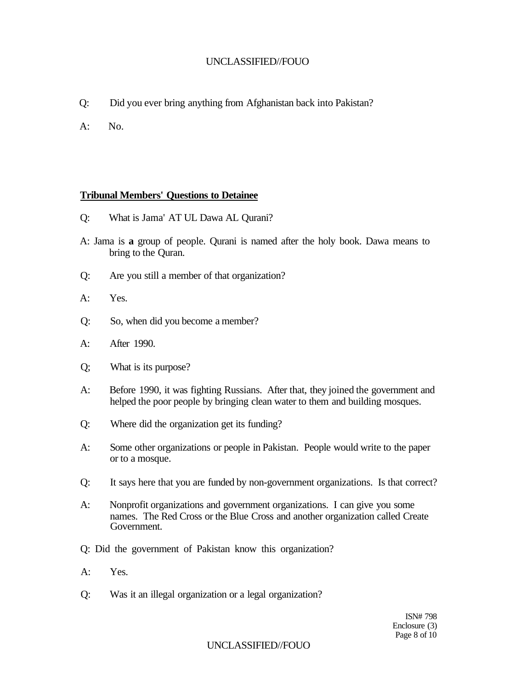- Q: Did you ever bring anything from Afghanistan back into Pakistan?
- A: No.

### **Tribunal Members' Questions to Detainee**

- Q: What is Jama' AT UL Dawa AL Qurani?
- A: Jama is **a** group of people. Qurani is named after the holy book. Dawa means to bring to the Quran.
- Q: Are you still a member of that organization?
- A: Yes.
- Q: So, when did you become a member?
- A: After 1990.
- Q; What is its purpose?
- A: Before 1990, it was fighting Russians. After that, they joined the government and helped the poor people by bringing clean water to them and building mosques.
- Q: Where did the organization get its funding?
- A: Some other organizations or people in Pakistan. People would write to the paper or to a mosque.
- Q: It says here that you are funded by non-government organizations. Is that correct?
- A: Nonprofit organizations and government organizations. I can give you some names. The Red Cross or the Blue Cross and another organization called Create Government.
- Q: Did the government of Pakistan know this organization?
- A: Yes.
- Q: Was it an illegal organization or a legal organization?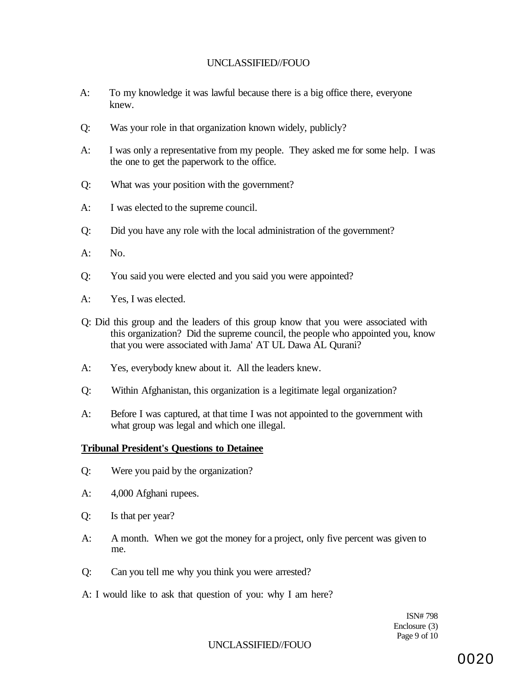- A: To my knowledge it was lawful because there is a big office there, everyone knew.
- Q: Was your role in that organization known widely, publicly?
- A: I was only a representative from my people. They asked me for some help. I was the one to get the paperwork to the office.
- Q: What was your position with the government?
- A: I was elected to the supreme council.
- Q: Did you have any role with the local administration of the government?
- A: No.
- Q: You said you were elected and you said you were appointed?
- A: Yes, I was elected.
- Q: Did this group and the leaders of this group know that you were associated with this organization? Did the supreme council, the people who appointed you, know that you were associated with Jama' AT UL Dawa AL Qurani?
- A: Yes, everybody knew about it. All the leaders knew.
- Q: Within Afghanistan, this organization is a legitimate legal organization?
- A: Before I was captured, at that time I was not appointed to the government with what group was legal and which one illegal.

#### **Tribunal President's Questions to Detainee**

- Q: Were you paid by the organization?
- A: 4,000 Afghani rupees.
- Q: Is that per year?
- A: A month. When we got the money for a project, only five percent was given to me.
- Q: Can you tell me why you think you were arrested?
- A: I would like to ask that question of you: why I am here?

ISN# 798 Enclosure (3) Page 9 of 10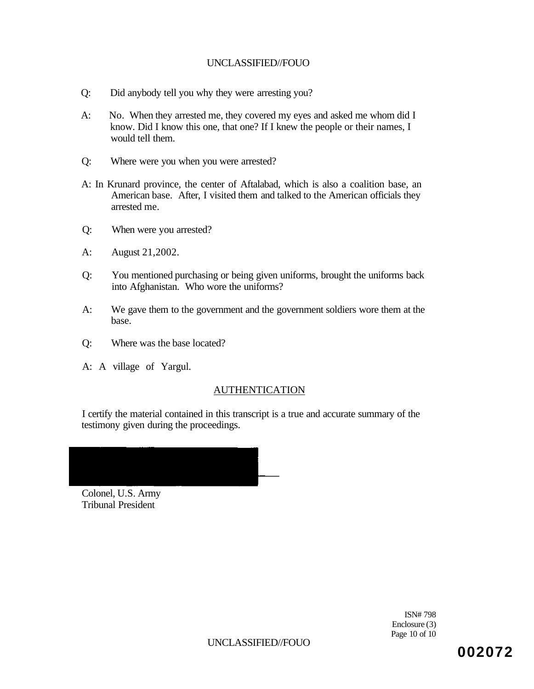- Q: Did anybody tell you why they were arresting you?
- A: No. When they arrested me, they covered my eyes and asked me whom did I know. Did I know this one, that one? If I knew the people or their names, I would tell them.
- Q: Where were you when you were arrested?
- A: In Krunard province, the center of Aftalabad, which is also a coalition base, an American base. After, I visited them and talked to the American officials they arrested me.
- Q: When were you arrested?
- A: August 21,2002.
- Q: You mentioned purchasing or being given uniforms, brought the uniforms back into Afghanistan. Who wore the uniforms?
- A: We gave them to the government and the government soldiers wore them at the base.
- Q: Where was the base located?
- A: A village of Yargul.

## AUTHENTICATION

I certify the material contained in this transcript is a true and accurate summary of the testimony given during the proceedings.

Colonel, U.S. Army Tribunal President

> ISN# 798 Enclosure (3) Page 10 of 10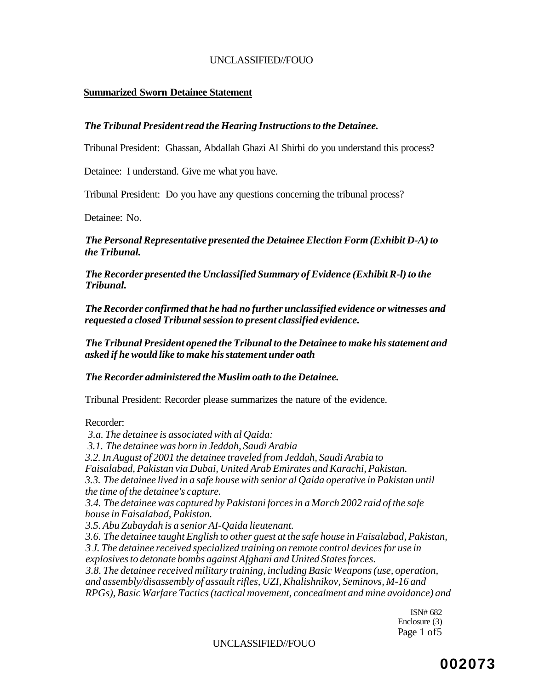#### **Summarized Sworn Detainee Statement**

#### *The Tribunal President read the Hearing Instructions to the Detainee.*

Tribunal President: Ghassan, Abdallah Ghazi Al Shirbi do you understand this process?

Detainee: I understand. Give me what you have.

Tribunal President: Do you have any questions concerning the tribunal process?

Detainee: No.

*The Personal Representative presented the Detainee Election Form (Exhibit D-A) to the Tribunal.* 

*The Recorder presented the Unclassified Summary of Evidence (Exhibit R-l) to the Tribunal.* 

*The Recorder confirmed that he had no further unclassified evidence or witnesses and requested a closed Tribunal session to present classified evidence.* 

*The Tribunal President opened the Tribunal to the Detainee to make his statement and asked if he would like to make his statement under oath* 

#### *The Recorder administered the Muslim oath to the Detainee.*

Tribunal President: Recorder please summarizes the nature of the evidence.

#### Recorder:

*3.a. The detainee is associated with al Qaida: 3.1. The detainee was born in Jeddah, Saudi Arabia 3.2. In August of 2001 the detainee traveled from Jeddah, Saudi Arabia to Faisalabad, Pakistan via Dubai, United Arab Emirates and Karachi, Pakistan. 3.3. The detainee lived in a safe house with senior al Qaida operative in Pakistan until the time of the detainee's capture. 3.4. The detainee was captured by Pakistani forces in a March 2002 raid of the safe house in Faisalabad, Pakistan. 3.5. Abu Zubaydah is a senior AI-Qaida lieutenant. 3.6. The detainee taught English to other guest at the safe house in Faisalabad, Pakistan, 3 J. The detainee received specialized training on remote control devices for use in explosives to detonate bombs against Afghani and United States forces. 3.8. The detainee received military training, including Basic Weapons (use, operation, and assembly/disassembly of assault rifles, UZI, Khalishnikov, Seminovs, M-16 and RPGs), Basic Warfare Tactics (tactical movement, concealment and mine avoidance) and* 

> ISN# 682 Enclosure (3) Page 1 of 5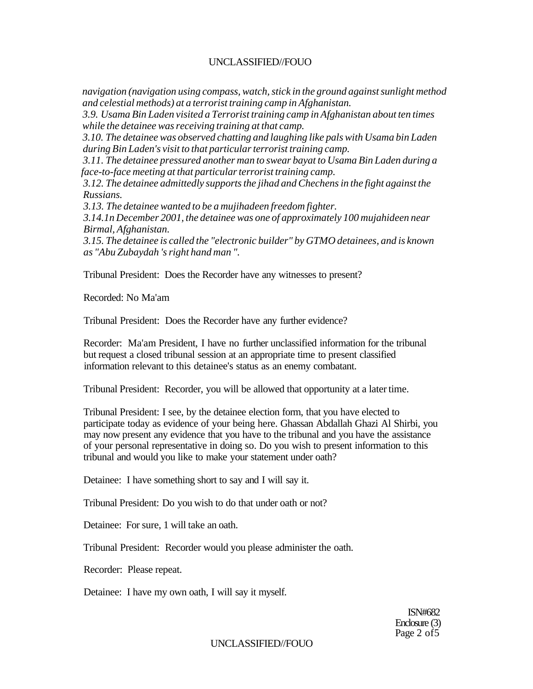*navigation (navigation using compass, watch, stick in the ground against sunlight method and celestial methods) at a terrorist training camp in Afghanistan.* 

*3.9. Usama Bin Laden visited a Terrorist training camp in Afghanistan about ten times while the detainee was receiving training at that camp.* 

*3.10. The detainee was observed chatting and laughing like pals with Usama bin Laden during Bin Laden's visit to that particular terrorist training camp.* 

*3.11. The detainee pressured another man to swear bayat to Usama Bin Laden during a face-to-face meeting at that particular terrorist training camp.* 

*3.12. The detainee admittedly supports the jihad and Chechens in the fight against the Russians.* 

*3.13. The detainee wanted to be a mujihadeen freedom fighter.* 

*3.14.1n December 2001, the detainee was one of approximately 100 mujahideen near Birmal, Afghanistan.* 

*3.15. The detainee is called the "electronic builder" by GTMO detainees, and is known as "Abu Zubaydah 's right hand man ".* 

Tribunal President: Does the Recorder have any witnesses to present?

Recorded: No Ma'am

Tribunal President: Does the Recorder have any further evidence?

Recorder: Ma'am President, I have no further unclassified information for the tribunal but request a closed tribunal session at an appropriate time to present classified information relevant to this detainee's status as an enemy combatant.

Tribunal President: Recorder, you will be allowed that opportunity at a later time.

Tribunal President: I see, by the detainee election form, that you have elected to participate today as evidence of your being here. Ghassan Abdallah Ghazi Al Shirbi, you may now present any evidence that you have to the tribunal and you have the assistance of your personal representative in doing so. Do you wish to present information to this tribunal and would you like to make your statement under oath?

Detainee: I have something short to say and I will say it.

Tribunal President: Do you wish to do that under oath or not?

Detainee: For sure, 1 will take an oath.

Tribunal President: Recorder would you please administer the oath.

Recorder: Please repeat.

Detainee: I have my own oath, I will say it myself.

ISN#682 Enclosure (3) Page 2 of 5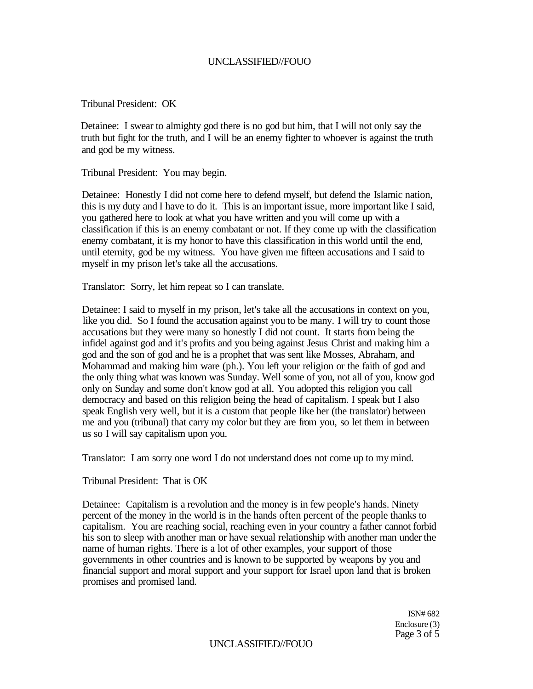Tribunal President: OK

Detainee: I swear to almighty god there is no god but him, that I will not only say the truth but fight for the truth, and I will be an enemy fighter to whoever is against the truth and god be my witness.

Tribunal President: You may begin.

Detainee: Honestly I did not come here to defend myself, but defend the Islamic nation, this is my duty and I have to do it. This is an important issue, more important like I said, you gathered here to look at what you have written and you will come up with a classification if this is an enemy combatant or not. If they come up with the classification enemy combatant, it is my honor to have this classification in this world until the end, until eternity, god be my witness. You have given me fifteen accusations and I said to myself in my prison let's take all the accusations.

Translator: Sorry, let him repeat so I can translate.

Detainee: I said to myself in my prison, let's take all the accusations in context on you, like you did. So I found the accusation against you to be many. I will try to count those accusations but they were many so honestly I did not count. It starts from being the infidel against god and it's profits and you being against Jesus Christ and making him a god and the son of god and he is a prophet that was sent like Mosses, Abraham, and Mohammad and making him ware (ph.). You left your religion or the faith of god and the only thing what was known was Sunday. Well some of you, not all of you, know god only on Sunday and some don't know god at all. You adopted this religion you call democracy and based on this religion being the head of capitalism. I speak but I also speak English very well, but it is a custom that people like her (the translator) between me and you (tribunal) that carry my color but they are from you, so let them in between us so I will say capitalism upon you.

Translator: I am sorry one word I do not understand does not come up to my mind.

Tribunal President: That is OK

Detainee: Capitalism is a revolution and the money is in few people's hands. Ninety percent of the money in the world is in the hands often percent of the people thanks to capitalism. You are reaching social, reaching even in your country a father cannot forbid his son to sleep with another man or have sexual relationship with another man under the name of human rights. There is a lot of other examples, your support of those governments in other countries and is known to be supported by weapons by you and financial support and moral support and your support for Israel upon land that is broken promises and promised land.

> ISN# 682 Enclosure (3) Page 3 of 5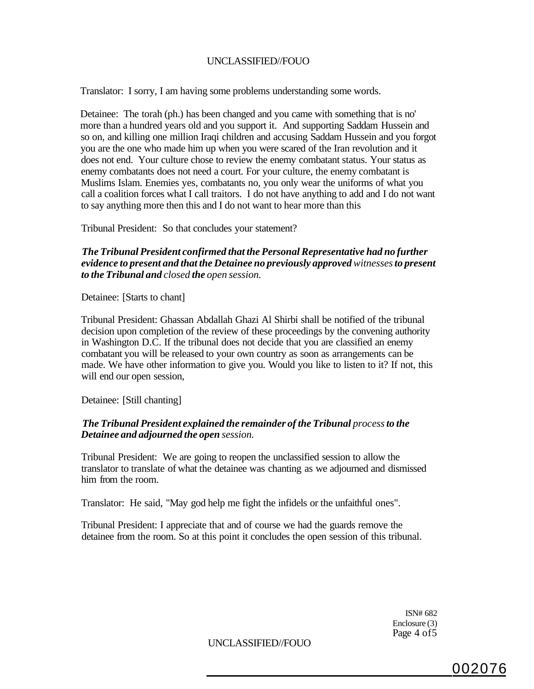Translator: I sorry, I am having some problems understanding some words.

Detainee: The torah (ph.) has been changed and you came with something that is no' more than a hundred years old and you support it. And supporting Saddam Hussein and so on, and killing one million Iraqi children and accusing Saddam Hussein and you forgot you are the one who made him up when you were scared of the Iran revolution and it does not end. Your culture chose to review the enemy combatant status. Your status as enemy combatants does not need a court. For your culture, the enemy combatant is Muslims Islam. Enemies yes, combatants no, you only wear the uniforms of what you call a coalition forces what I call traitors. I do not have anything to add and I do not want to say anything more then this and I do not want to hear more than this

Tribunal President: So that concludes your statement?

*The Tribunal President confirmed that the Personal Representative had no further evidence to present and that the Detainee no previously approved witnesses to present to the Tribunal and closed the open session.* 

Detainee: [Starts to chant]

Tribunal President: Ghassan Abdallah Ghazi Al Shirbi shall be notified of the tribunal decision upon completion of the review of these proceedings by the convening authority in Washington D.C. If the tribunal does not decide that you are classified an enemy combatant you will be released to your own country as soon as arrangements can be made. We have other information to give you. Would you like to listen to it? If not, this will end our open session,

Detainee: [Still chanting]

#### *The Tribunal President explained the remainder of the Tribunal process to the Detainee and adjourned the open session.*

Tribunal President: We are going to reopen the unclassified session to allow the translator to translate of what the detainee was chanting as we adjourned and dismissed him from the room.

Translator: He said, "May god help me fight the infidels or the unfaithful ones".

Tribunal President: I appreciate that and of course we had the guards remove the detainee from the room. So at this point it concludes the open session of this tribunal.

> ISN# 682 Enclosure (3) Page 4 of 5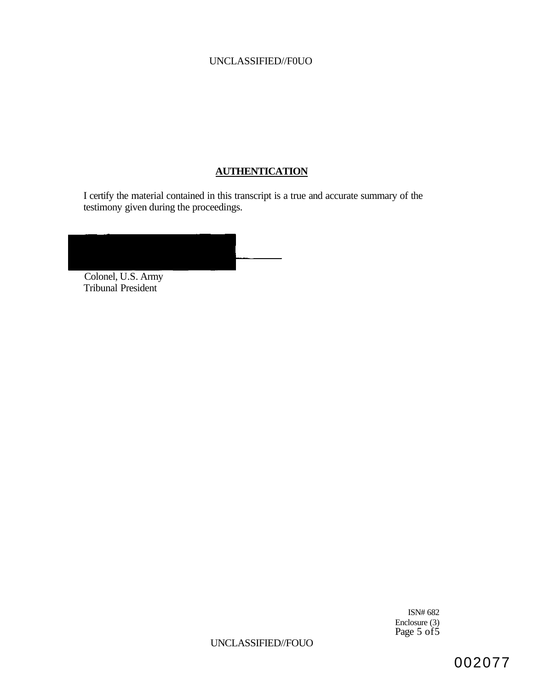## **AUTHENTICATION**

I certify the material contained in this transcript is a true and accurate summary of the testimony given during the proceedings.

| Colonel, U.S. Army |  |
|--------------------|--|

Tribunal President

ISN# 682 Enclosure (3) Page 5 of5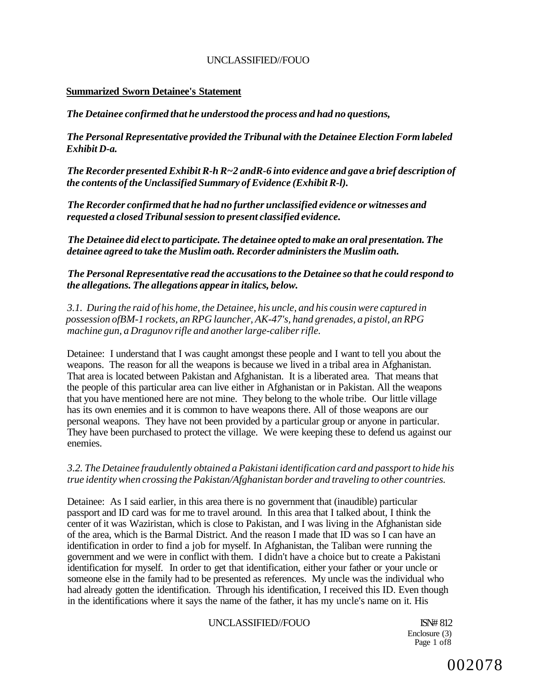#### **Summarized Sworn Detainee's Statement**

*The Detainee confirmed that he understood the process and had no questions,* 

*The Personal Representative provided the Tribunal with the Detainee Election Form labeled Exhibit D-a.* 

*The Recorder presented Exhibit R-h R~2 andR-6 into evidence and gave a brief description of the contents of the Unclassified Summary of Evidence (Exhibit R-l).* 

*The Recorder confirmed that he had no further unclassified evidence or witnesses and requested a closed Tribunal session to present classified evidence.* 

*The Detainee did elect to participate. The detainee opted to make an oral presentation. The detainee agreed to take the Muslim oath. Recorder administers the Muslim oath.* 

*The Personal Representative read the accusations to the Detainee so that he could respond to the allegations. The allegations appear in italics, below.* 

*3.1. During the raid of his home, the Detainee, his uncle, and his cousin were captured in possession ofBM-1 rockets, an RPG launcher, AK-47's, hand grenades, a pistol, an RPG machine gun, a Dragunov rifle and another large-caliber rifle.* 

Detainee: I understand that I was caught amongst these people and I want to tell you about the weapons. The reason for all the weapons is because we lived in a tribal area in Afghanistan. That area is located between Pakistan and Afghanistan. It is a liberated area. That means that the people of this particular area can live either in Afghanistan or in Pakistan. All the weapons that you have mentioned here are not mine. They belong to the whole tribe. Our little village has its own enemies and it is common to have weapons there. All of those weapons are our personal weapons. They have not been provided by a particular group or anyone in particular. They have been purchased to protect the village. We were keeping these to defend us against our enemies.

*3.2. The Detainee fraudulently obtained a Pakistani identification card and passport to hide his true identity when crossing the Pakistan/Afghanistan border and traveling to other countries.* 

Detainee: As I said earlier, in this area there is no government that (inaudible) particular passport and ID card was for me to travel around. In this area that I talked about, I think the center of it was Waziristan, which is close to Pakistan, and I was living in the Afghanistan side of the area, which is the Barmal District. And the reason I made that ID was so I can have an identification in order to find a job for myself. In Afghanistan, the Taliban were running the government and we were in conflict with them. I didn't have a choice but to create a Pakistani identification for myself. In order to get that identification, either your father or your uncle or someone else in the family had to be presented as references. My uncle was the individual who had already gotten the identification. Through his identification, I received this ID. Even though in the identifications where it says the name of the father, it has my uncle's name on it. His

#### UNCLASSIFIED//FOUO ISN# 812

Enclosure (3) Page 1 of8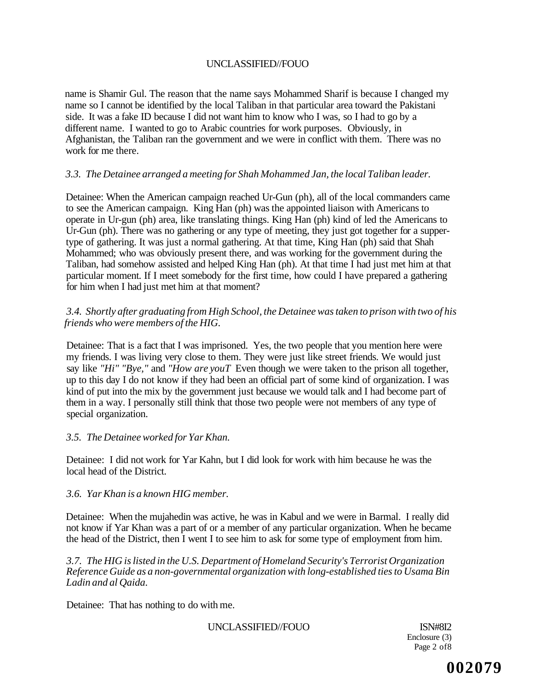name is Shamir Gul. The reason that the name says Mohammed Sharif is because I changed my name so I cannot be identified by the local Taliban in that particular area toward the Pakistani side. It was a fake ID because I did not want him to know who I was, so I had to go by a different name. I wanted to go to Arabic countries for work purposes. Obviously, in Afghanistan, the Taliban ran the government and we were in conflict with them. There was no work for me there.

### *3.3. The Detainee arranged a meeting for Shah Mohammed Jan, the local Taliban leader.*

Detainee: When the American campaign reached Ur-Gun (ph), all of the local commanders came to see the American campaign. King Han (ph) was the appointed liaison with Americans to operate in Ur-gun (ph) area, like translating things. King Han (ph) kind of led the Americans to Ur-Gun (ph). There was no gathering or any type of meeting, they just got together for a suppertype of gathering. It was just a normal gathering. At that time, King Han (ph) said that Shah Mohammed; who was obviously present there, and was working for the government during the Taliban, had somehow assisted and helped King Han (ph). At that time I had just met him at that particular moment. If I meet somebody for the first time, how could I have prepared a gathering for him when I had just met him at that moment?

## *3.4. Shortly after graduating from High School, the Detainee was taken to prison with two of his friends who were members of the HIG.*

Detainee: That is a fact that I was imprisoned. Yes, the two people that you mention here were my friends. I was living very close to them. They were just like street friends. We would just say like *"Hi" "Bye,"* and *"How are youT* Even though we were taken to the prison all together, up to this day I do not know if they had been an official part of some kind of organization. I was kind of put into the mix by the government just because we would talk and I had become part of them in a way. I personally still think that those two people were not members of any type of special organization.

### *3.5. The Detainee worked for Yar Khan.*

Detainee: I did not work for Yar Kahn, but I did look for work with him because he was the local head of the District.

### *3.6. Yar Khan is a known HIG member.*

Detainee: When the mujahedin was active, he was in Kabul and we were in Barmal. I really did not know if Yar Khan was a part of or a member of any particular organization. When he became the head of the District, then I went I to see him to ask for some type of employment from him.

*3.7. The HIG is listed in the U.S. Department of Homeland Security's Terrorist Organization Reference Guide as a non-governmental organization with long-established ties to Usama Bin Ladin and al Qaida.* 

Detainee: That has nothing to do with me.

UNCLASSIFIED//FOUO ISN#8I2

Enclosure (3) Page 2 of8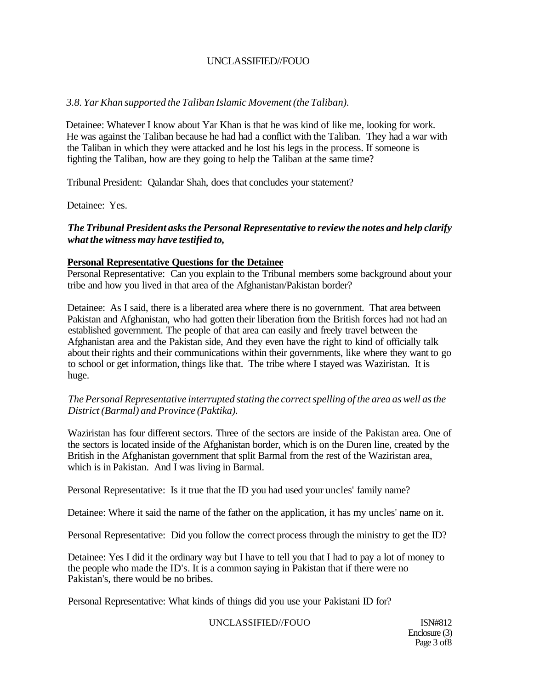## *3.8. Yar Khan supported the Taliban Islamic Movement (the Taliban).*

Detainee: Whatever I know about Yar Khan is that he was kind of like me, looking for work. He was against the Taliban because he had had a conflict with the Taliban. They had a war with the Taliban in which they were attacked and he lost his legs in the process. If someone is fighting the Taliban, how are they going to help the Taliban at the same time?

Tribunal President: Qalandar Shah, does that concludes your statement?

Detainee: Yes.

## *The Tribunal President asks the Personal Representative to review the notes and help clarify what the witness may have testified to,*

### **Personal Representative Questions for the Detainee**

Personal Representative: Can you explain to the Tribunal members some background about your tribe and how you lived in that area of the Afghanistan/Pakistan border?

Detainee: As I said, there is a liberated area where there is no government. That area between Pakistan and Afghanistan, who had gotten their liberation from the British forces had not had an established government. The people of that area can easily and freely travel between the Afghanistan area and the Pakistan side, And they even have the right to kind of officially talk about their rights and their communications within their governments, like where they want to go to school or get information, things like that. The tribe where I stayed was Waziristan. It is huge.

*The Personal Representative interrupted stating the correct spelling of the area as well as the District (Barmal) and Province (Paktika).* 

Waziristan has four different sectors. Three of the sectors are inside of the Pakistan area. One of the sectors is located inside of the Afghanistan border, which is on the Duren line, created by the British in the Afghanistan government that split Barmal from the rest of the Waziristan area, which is in Pakistan. And I was living in Barmal.

Personal Representative: Is it true that the ID you had used your uncles' family name?

Detainee: Where it said the name of the father on the application, it has my uncles' name on it.

Personal Representative: Did you follow the correct process through the ministry to get the ID?

Detainee: Yes I did it the ordinary way but I have to tell you that I had to pay a lot of money to the people who made the ID's. It is a common saying in Pakistan that if there were no Pakistan's, there would be no bribes.

Personal Representative: What kinds of things did you use your Pakistani ID for?

### UNCLASSIFIED//FOUO ISN#812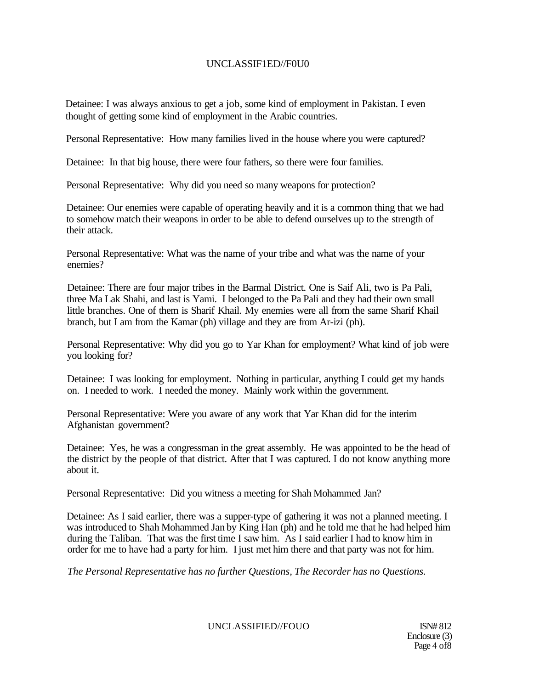## UNCLASSIF1ED//F0U0

Detainee: I was always anxious to get a job, some kind of employment in Pakistan. I even thought of getting some kind of employment in the Arabic countries.

Personal Representative: How many families lived in the house where you were captured?

Detainee: In that big house, there were four fathers, so there were four families.

Personal Representative: Why did you need so many weapons for protection?

Detainee: Our enemies were capable of operating heavily and it is a common thing that we had to somehow match their weapons in order to be able to defend ourselves up to the strength of their attack.

Personal Representative: What was the name of your tribe and what was the name of your enemies?

Detainee: There are four major tribes in the Barmal District. One is Saif Ali, two is Pa Pali, three Ma Lak Shahi, and last is Yami. I belonged to the Pa Pali and they had their own small little branches. One of them is Sharif Khail. My enemies were all from the same Sharif Khail branch, but I am from the Kamar (ph) village and they are from Ar-izi (ph).

Personal Representative: Why did you go to Yar Khan for employment? What kind of job were you looking for?

Detainee: I was looking for employment. Nothing in particular, anything I could get my hands on. I needed to work. I needed the money. Mainly work within the government.

Personal Representative: Were you aware of any work that Yar Khan did for the interim Afghanistan government?

Detainee: Yes, he was a congressman in the great assembly. He was appointed to be the head of the district by the people of that district. After that I was captured. I do not know anything more about it.

Personal Representative: Did you witness a meeting for Shah Mohammed Jan?

Detainee: As I said earlier, there was a supper-type of gathering it was not a planned meeting. I was introduced to Shah Mohammed Jan by King Han (ph) and he told me that he had helped him during the Taliban. That was the first time I saw him. As I said earlier I had to know him in order for me to have had a party for him. I just met him there and that party was not for him.

*The Personal Representative has no further Questions, The Recorder has no Questions.* 

UNCLASSIFIED//FOUO ISN# 812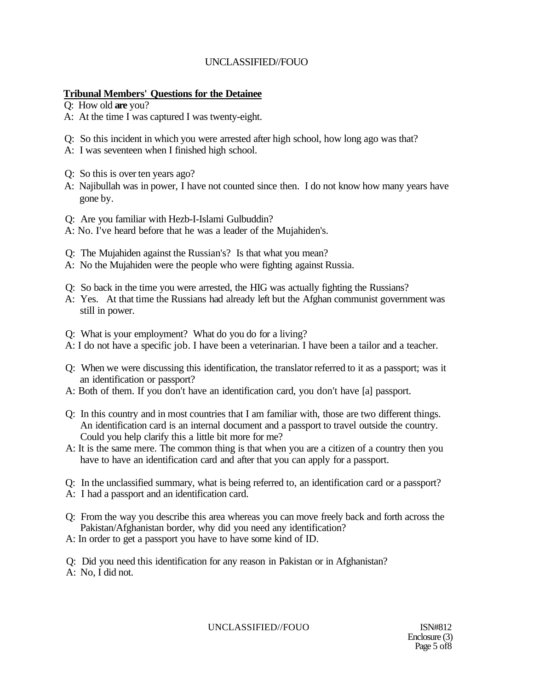## **Tribunal Members' Questions for the Detainee**

Q: How old **are** you?

- A: At the time I was captured I was twenty-eight.
- Q: So this incident in which you were arrested after high school, how long ago was that?
- A: I was seventeen when I finished high school.
- Q: So this is over ten years ago?
- A: Najibullah was in power, I have not counted since then. I do not know how many years have gone by.
- Q: Are you familiar with Hezb-I-Islami Gulbuddin?
- A: No. I've heard before that he was a leader of the Mujahiden's.
- Q: The Mujahiden against the Russian's? Is that what you mean?
- A: No the Mujahiden were the people who were fighting against Russia.
- Q: So back in the time you were arrested, the HIG was actually fighting the Russians?
- A: Yes. At that time the Russians had already left but the Afghan communist government was still in power.
- Q: What is your employment? What do you do for a living?
- A: I do not have a specific job. I have been a veterinarian. I have been a tailor and a teacher.
- Q: When we were discussing this identification, the translator referred to it as a passport; was it an identification or passport?
- A: Both of them. If you don't have an identification card, you don't have [a] passport.
- Q: In this country and in most countries that I am familiar with, those are two different things. An identification card is an internal document and a passport to travel outside the country. Could you help clarify this a little bit more for me?
- A: It is the same mere. The common thing is that when you are a citizen of a country then you have to have an identification card and after that you can apply for a passport.
- Q: In the unclassified summary, what is being referred to, an identification card or a passport?
- A: I had a passport and an identification card.
- Q: From the way you describe this area whereas you can move freely back and forth across the Pakistan/Afghanistan border, why did you need any identification?
- A: In order to get a passport you have to have some kind of ID.

Q: Did you need this identification for any reason in Pakistan or in Afghanistan? A: No, I did not.

UNCLASSIFIED//FOUO ISN#812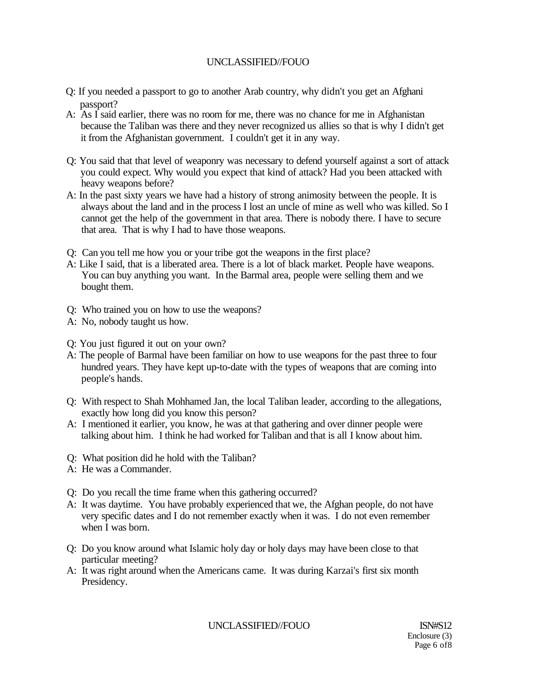- Q: If you needed a passport to go to another Arab country, why didn't you get an Afghani passport?
- A: As I said earlier, there was no room for me, there was no chance for me in Afghanistan because the Taliban was there and they never recognized us allies so that is why I didn't get it from the Afghanistan government. I couldn't get it in any way.
- Q: You said that that level of weaponry was necessary to defend yourself against a sort of attack you could expect. Why would you expect that kind of attack? Had you been attacked with heavy weapons before?
- A: In the past sixty years we have had a history of strong animosity between the people. It is always about the land and in the process I lost an uncle of mine as well who was killed. So I cannot get the help of the government in that area. There is nobody there. I have to secure that area. That is why I had to have those weapons.
- Q: Can you tell me how you or your tribe got the weapons in the first place?
- A: Like I said, that is a liberated area. There is a lot of black market. People have weapons. You can buy anything you want. In the Barmal area, people were selling them and we bought them.
- Q: Who trained you on how to use the weapons?
- A: No, nobody taught us how.
- Q: You just figured it out on your own?
- A: The people of Barmal have been familiar on how to use weapons for the past three to four hundred years. They have kept up-to-date with the types of weapons that are coming into people's hands.
- Q: With respect to Shah Mohhamed Jan, the local Taliban leader, according to the allegations, exactly how long did you know this person?
- A: I mentioned it earlier, you know, he was at that gathering and over dinner people were talking about him. I think he had worked for Taliban and that is all I know about him.
- Q: What position did he hold with the Taliban?
- A: He was a Commander.
- Q: Do you recall the time frame when this gathering occurred?
- A: It was daytime. You have probably experienced that we, the Afghan people, do not have very specific dates and I do not remember exactly when it was. I do not even remember when I was born.
- Q: Do you know around what Islamic holy day or holy days may have been close to that particular meeting?
- A: It was right around when the Americans came. It was during Karzai's first six month Presidency.

UNCLASSIFIED//FOUO ISN#S12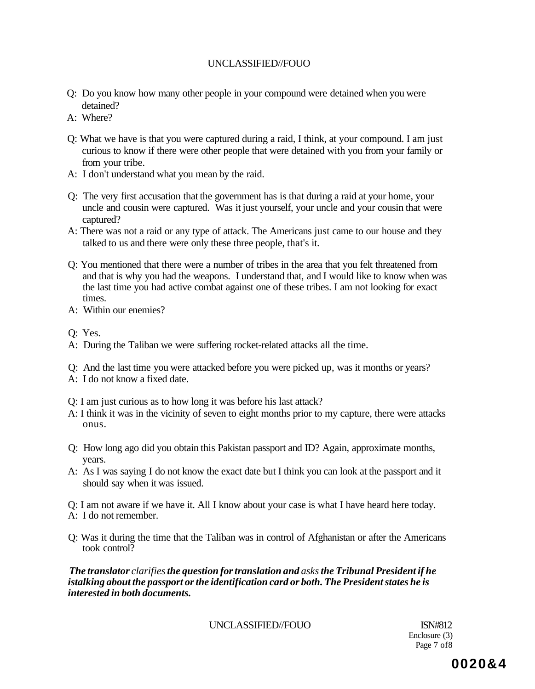- Q: Do you know how many other people in your compound were detained when you were detained?
- A: Where?
- Q: What we have is that you were captured during a raid, I think, at your compound. I am just curious to know if there were other people that were detained with you from your family or from your tribe.
- A: I don't understand what you mean by the raid.
- Q: The very first accusation that the government has is that during a raid at your home, your uncle and cousin were captured. Was it just yourself, your uncle and your cousin that were captured?
- A: There was not a raid or any type of attack. The Americans just came to our house and they talked to us and there were only these three people, that's it.
- Q: You mentioned that there were a number of tribes in the area that you felt threatened from and that is why you had the weapons. I understand that, and I would like to know when was the last time you had active combat against one of these tribes. I am not looking for exact times.
- A: Within our enemies?
- Q: Yes.
- A: During the Taliban we were suffering rocket-related attacks all the time.
- Q: And the last time you were attacked before you were picked up, was it months or years?
- A: I do not know a fixed date.
- Q: I am just curious as to how long it was before his last attack?
- A: I think it was in the vicinity of seven to eight months prior to my capture, there were attacks onus.
- Q: How long ago did you obtain this Pakistan passport and ID? Again, approximate months, years.
- A: As I was saying I do not know the exact date but I think you can look at the passport and it should say when it was issued.

Q: I am not aware if we have it. All I know about your case is what I have heard here today. A: I do not remember.

Q: Was it during the time that the Taliban was in control of Afghanistan or after the Americans took control?

*The translator clarifies the question for translation and asks the Tribunal President if he istalking about the passport or the identification card or both. The President states he is interested in both documents.* 

UNCLASSIFIED//FOUO ISN#812

Enclosure (3) Page 7 of8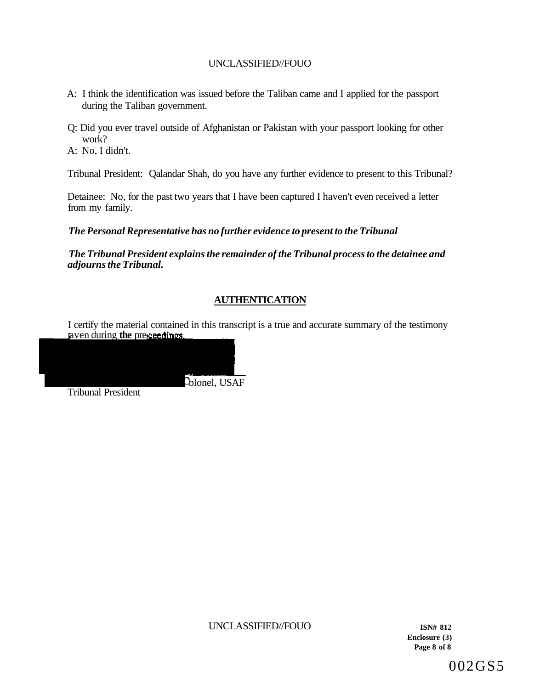- A: I think the identification was issued before the Taliban came and I applied for the passport during the Taliban government.
- Q: Did you ever travel outside of Afghanistan or Pakistan with your passport looking for other work?

A: No, I didn't.

Tribunal President: Qalandar Shah, do you have any further evidence to present to this Tribunal?

Detainee: No, for the past two years that I have been captured I haven't even received a letter from my family.

*The Personal Representative has no further evidence to present to the Tribunal* 

blonel, USAF

*The Tribunal President explains the remainder of the Tribunal process to the detainee and adjourns the Tribunal.* 

# **AUTHENTICATION**

I certify the material contained in this transcript is a true and accurate summary of the testimony aven during **the** pre

Tribunal President

UNCLASSIFIED//FOUO **ISN# 812** 

**Enclosure (3) Page 8 of 8** 

002GS5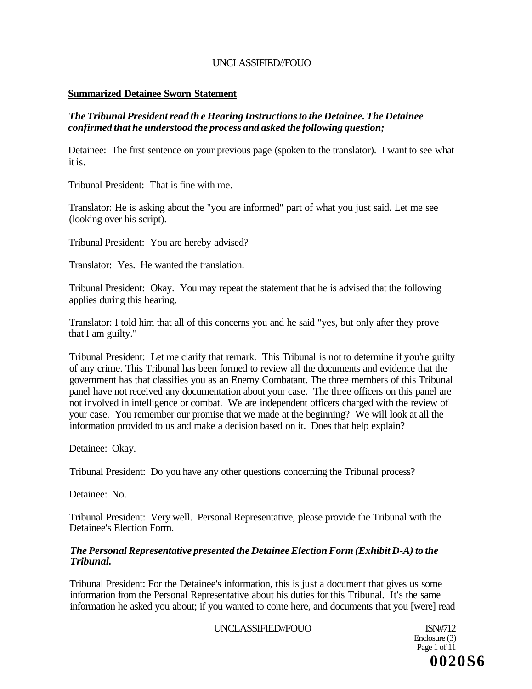### **Summarized Detainee Sworn Statement**

## *The Tribunal President read th e Hearing Instructions to the Detainee. The Detainee confirmed that he understood the process and asked the following question;*

Detainee: The first sentence on your previous page (spoken to the translator). I want to see what it is.

Tribunal President: That is fine with me.

Translator: He is asking about the "you are informed" part of what you just said. Let me see (looking over his script).

Tribunal President: You are hereby advised?

Translator: Yes. He wanted the translation.

Tribunal President: Okay. You may repeat the statement that he is advised that the following applies during this hearing.

Translator: I told him that all of this concerns you and he said "yes, but only after they prove that I am guilty."

Tribunal President: Let me clarify that remark. This Tribunal is not to determine if you're guilty of any crime. This Tribunal has been formed to review all the documents and evidence that the government has that classifies you as an Enemy Combatant. The three members of this Tribunal panel have not received any documentation about your case. The three officers on this panel are not involved in intelligence or combat. We are independent officers charged with the review of your case. You remember our promise that we made at the beginning? We will look at all the information provided to us and make a decision based on it. Does that help explain?

Detainee: Okay.

Tribunal President: Do you have any other questions concerning the Tribunal process?

Detainee: No.

Tribunal President: Very well. Personal Representative, please provide the Tribunal with the Detainee's Election Form.

#### *The Personal Representative presented the Detainee Election Form (Exhibit D-A) to the Tribunal.*

Tribunal President: For the Detainee's information, this is just a document that gives us some information from the Personal Representative about his duties for this Tribunal. It's the same information he asked you about; if you wanted to come here, and documents that you [were] read

UNCLASSIFIED//FOUO ISN#712

Enclosure (3) Page 1 of 11 **0020S6**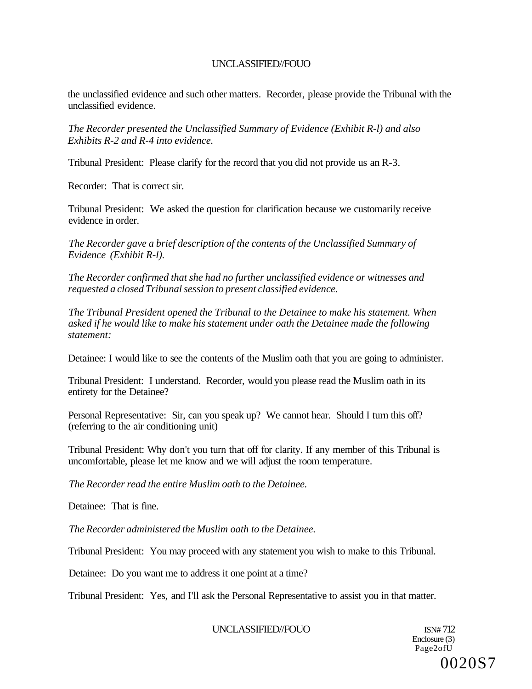the unclassified evidence and such other matters. Recorder, please provide the Tribunal with the unclassified evidence.

*The Recorder presented the Unclassified Summary of Evidence (Exhibit R-l) and also Exhibits R-2 and R-4 into evidence.* 

Tribunal President: Please clarify for the record that you did not provide us an R-3.

Recorder: That is correct sir.

Tribunal President: We asked the question for clarification because we customarily receive evidence in order.

*The Recorder gave a brief description of the contents of the Unclassified Summary of Evidence (Exhibit R-l).* 

*The Recorder confirmed that she had no further unclassified evidence or witnesses and requested a closed Tribunal session to present classified evidence.* 

*The Tribunal President opened the Tribunal to the Detainee to make his statement. When asked if he would like to make his statement under oath the Detainee made the following statement:* 

Detainee: I would like to see the contents of the Muslim oath that you are going to administer.

Tribunal President: I understand. Recorder, would you please read the Muslim oath in its entirety for the Detainee?

Personal Representative: Sir, can you speak up? We cannot hear. Should I turn this off? (referring to the air conditioning unit)

Tribunal President: Why don't you turn that off for clarity. If any member of this Tribunal is uncomfortable, please let me know and we will adjust the room temperature.

*The Recorder read the entire Muslim oath to the Detainee.* 

Detainee: That is fine.

*The Recorder administered the Muslim oath to the Detainee.* 

Tribunal President: You may proceed with any statement you wish to make to this Tribunal.

Detainee: Do you want me to address it one point at a time?

Tribunal President: Yes, and I'll ask the Personal Representative to assist you in that matter.

UNCLASSIFIED//FOUO

Enclosure (3) Page2ofU 0020S7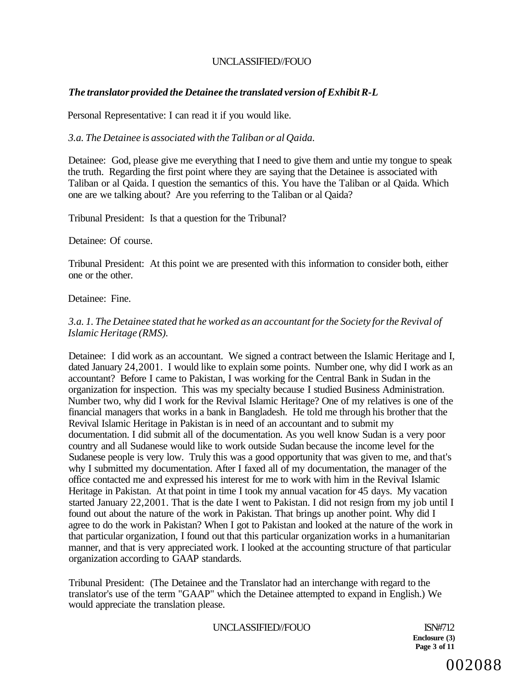## *The translator provided the Detainee the translated version of Exhibit R-L*

Personal Representative: I can read it if you would like.

*3.a. The Detainee is associated with the Taliban or al Qaida.* 

Detainee: God, please give me everything that I need to give them and untie my tongue to speak the truth. Regarding the first point where they are saying that the Detainee is associated with Taliban or al Qaida. I question the semantics of this. You have the Taliban or al Qaida. Which one are we talking about? Are you referring to the Taliban or al Qaida?

Tribunal President: Is that a question for the Tribunal?

Detainee: Of course.

Tribunal President: At this point we are presented with this information to consider both, either one or the other.

Detainee: Fine.

### *3.a. 1. The Detainee stated that he worked as an accountant for the Society for the Revival of Islamic Heritage (RMS).*

Detainee: I did work as an accountant. We signed a contract between the Islamic Heritage and I, dated January 24,2001. I would like to explain some points. Number one, why did I work as an accountant? Before I came to Pakistan, I was working for the Central Bank in Sudan in the organization for inspection. This was my specialty because I studied Business Administration. Number two, why did I work for the Revival Islamic Heritage? One of my relatives is one of the financial managers that works in a bank in Bangladesh. He told me through his brother that the Revival Islamic Heritage in Pakistan is in need of an accountant and to submit my documentation. I did submit all of the documentation. As you well know Sudan is a very poor country and all Sudanese would like to work outside Sudan because the income level for the Sudanese people is very low. Truly this was a good opportunity that was given to me, and that's why I submitted my documentation. After I faxed all of my documentation, the manager of the office contacted me and expressed his interest for me to work with him in the Revival Islamic Heritage in Pakistan. At that point in time I took my annual vacation for 45 days. My vacation started January 22,2001. That is the date I went to Pakistan. I did not resign from my job until I found out about the nature of the work in Pakistan. That brings up another point. Why did I agree to do the work in Pakistan? When I got to Pakistan and looked at the nature of the work in that particular organization, I found out that this particular organization works in a humanitarian manner, and that is very appreciated work. I looked at the accounting structure of that particular organization according to GAAP standards.

Tribunal President: (The Detainee and the Translator had an interchange with regard to the translator's use of the term "GAAP" which the Detainee attempted to expand in English.) We would appreciate the translation please.

UNCLASSIFIED//FOUO ISN#712

**Enclosure (3) Page 3 of 11**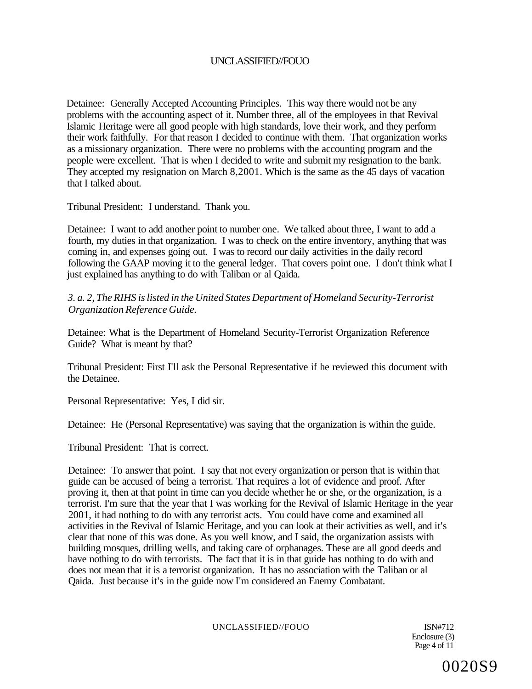Detainee: Generally Accepted Accounting Principles. This way there would not be any problems with the accounting aspect of it. Number three, all of the employees in that Revival Islamic Heritage were all good people with high standards, love their work, and they perform their work faithfully. For that reason I decided to continue with them. That organization works as a missionary organization. There were no problems with the accounting program and the people were excellent. That is when I decided to write and submit my resignation to the bank. They accepted my resignation on March 8,2001. Which is the same as the 45 days of vacation that I talked about.

Tribunal President: I understand. Thank you.

Detainee: I want to add another point to number one. We talked about three, I want to add a fourth, my duties in that organization. I was to check on the entire inventory, anything that was coming in, and expenses going out. I was to record our daily activities in the daily record following the GAAP moving it to the general ledger. That covers point one. I don't think what I just explained has anything to do with Taliban or al Qaida.

*3. a. 2, The RIHS is listed in the United States Department of Homeland Security-Terrorist Organization Reference Guide.* 

Detainee: What is the Department of Homeland Security-Terrorist Organization Reference Guide? What is meant by that?

Tribunal President: First I'll ask the Personal Representative if he reviewed this document with the Detainee.

Personal Representative: Yes, I did sir.

Detainee: He (Personal Representative) was saying that the organization is within the guide.

Tribunal President: That is correct.

Detainee: To answer that point. I say that not every organization or person that is within that guide can be accused of being a terrorist. That requires a lot of evidence and proof. After proving it, then at that point in time can you decide whether he or she, or the organization, is a terrorist. I'm sure that the year that I was working for the Revival of Islamic Heritage in the year 2001, it had nothing to do with any terrorist acts. You could have come and examined all activities in the Revival of Islamic Heritage, and you can look at their activities as well, and it's clear that none of this was done. As you well know, and I said, the organization assists with building mosques, drilling wells, and taking care of orphanages. These are all good deeds and have nothing to do with terrorists. The fact that it is in that guide has nothing to do with and does not mean that it is a terrorist organization. It has no association with the Taliban or al Qaida. Just because it's in the guide now I'm considered an Enemy Combatant.

UNCLASSIFIED//FOUO ISN#712

Enclosure (3) Page 4 of 11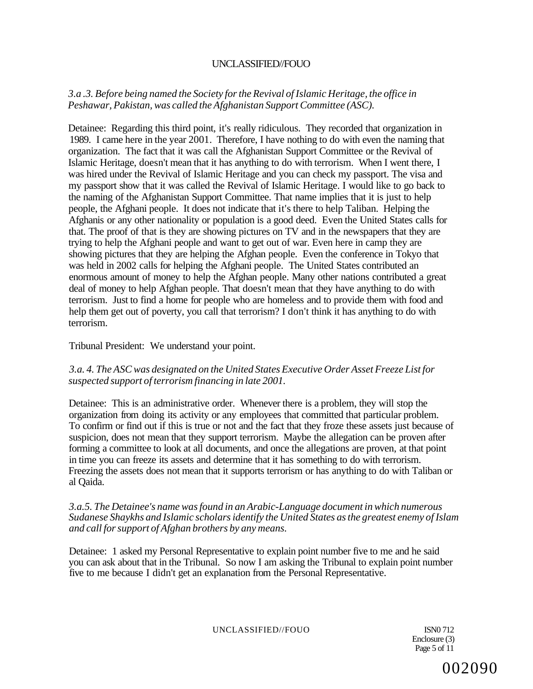## *3.a .3. Before being named the Society for the Revival of Islamic Heritage, the office in Peshawar, Pakistan, was called the Afghanistan Support Committee (ASC).*

Detainee: Regarding this third point, it's really ridiculous. They recorded that organization in 1989. I came here in the year 2001. Therefore, I have nothing to do with even the naming that organization. The fact that it was call the Afghanistan Support Committee or the Revival of Islamic Heritage, doesn't mean that it has anything to do with terrorism. When I went there, I was hired under the Revival of Islamic Heritage and you can check my passport. The visa and my passport show that it was called the Revival of Islamic Heritage. I would like to go back to the naming of the Afghanistan Support Committee. That name implies that it is just to help people, the Afghani people. It does not indicate that it's there to help Taliban. Helping the Afghanis or any other nationality or population is a good deed. Even the United States calls for that. The proof of that is they are showing pictures on TV and in the newspapers that they are trying to help the Afghani people and want to get out of war. Even here in camp they are showing pictures that they are helping the Afghan people. Even the conference in Tokyo that was held in 2002 calls for helping the Afghani people. The United States contributed an enormous amount of money to help the Afghan people. Many other nations contributed a great deal of money to help Afghan people. That doesn't mean that they have anything to do with terrorism. Just to find a home for people who are homeless and to provide them with food and help them get out of poverty, you call that terrorism? I don't think it has anything to do with terrorism.

### Tribunal President: We understand your point.

### *3.a. 4. The ASC was designated on the United States Executive Order Asset Freeze List for suspected support of terrorism financing in late 2001.*

Detainee: This is an administrative order. Whenever there is a problem, they will stop the organization from doing its activity or any employees that committed that particular problem. To confirm or find out if this is true or not and the fact that they froze these assets just because of suspicion, does not mean that they support terrorism. Maybe the allegation can be proven after forming a committee to look at all documents, and once the allegations are proven, at that point in time you can freeze its assets and determine that it has something to do with terrorism. Freezing the assets does not mean that it supports terrorism or has anything to do with Taliban or al Qaida.

#### *3.a.5. The Detainee's name was found in an Arabic-Language document in which numerous Sudanese Shaykhs and Islamic scholars identify the United States as the greatest enemy of Islam and call for support of Afghan brothers by any means.*

Detainee: 1 asked my Personal Representative to explain point number five to me and he said you can ask about that in the Tribunal. So now I am asking the Tribunal to explain point number five to me because I didn't get an explanation from the Personal Representative.

UNCLASSIFIED//FOUO ISN0 712

Enclosure (3) Page 5 of 11

002090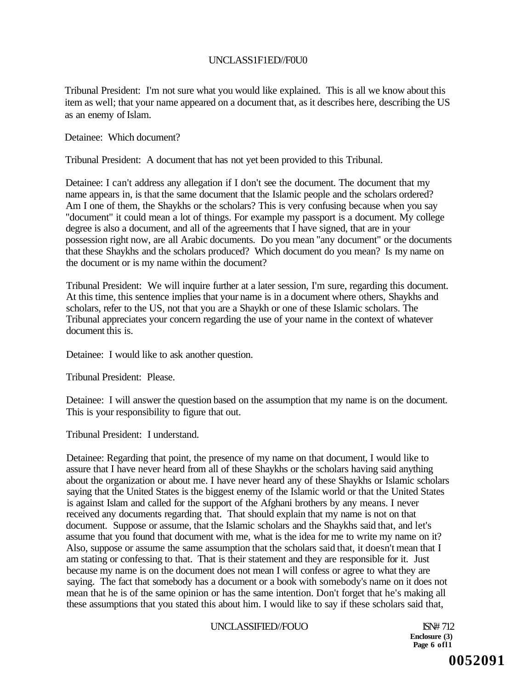## UNCLASS1F1ED//F0U0

Tribunal President: I'm not sure what you would like explained. This is all we know about this item as well; that your name appeared on a document that, as it describes here, describing the US as an enemy of Islam.

Detainee: Which document?

Tribunal President: A document that has not yet been provided to this Tribunal.

Detainee: I can't address any allegation if I don't see the document. The document that my name appears in, is that the same document that the Islamic people and the scholars ordered? Am I one of them, the Shaykhs or the scholars? This is very confusing because when you say "document" it could mean a lot of things. For example my passport is a document. My college degree is also a document, and all of the agreements that I have signed, that are in your possession right now, are all Arabic documents. Do you mean "any document" or the documents that these Shaykhs and the scholars produced? Which document do you mean? Is my name on the document or is my name within the document?

Tribunal President: We will inquire further at a later session, I'm sure, regarding this document. At this time, this sentence implies that your name is in a document where others, Shaykhs and scholars, refer to the US, not that you are a Shaykh or one of these Islamic scholars. The Tribunal appreciates your concern regarding the use of your name in the context of whatever document this is.

Detainee: I would like to ask another question.

Tribunal President: Please.

Detainee: I will answer the question based on the assumption that my name is on the document. This is your responsibility to figure that out.

Tribunal President: I understand.

Detainee: Regarding that point, the presence of my name on that document, I would like to assure that I have never heard from all of these Shaykhs or the scholars having said anything about the organization or about me. I have never heard any of these Shaykhs or Islamic scholars saying that the United States is the biggest enemy of the Islamic world or that the United States is against Islam and called for the support of the Afghani brothers by any means. I never received any documents regarding that. That should explain that my name is not on that document. Suppose or assume, that the Islamic scholars and the Shaykhs said that, and let's assume that you found that document with me, what is the idea for me to write my name on it? Also, suppose or assume the same assumption that the scholars said that, it doesn't mean that I am stating or confessing to that. That is their statement and they are responsible for it. Just because my name is on the document does not mean I will confess or agree to what they are saying. The fact that somebody has a document or a book with somebody's name on it does not mean that he is of the same opinion or has the same intention. Don't forget that he's making all these assumptions that you stated this about him. I would like to say if these scholars said that,

#### UNCLASSIFIED//FOUO ISN# 712

**Enclosure (3) Page 6 ofl1**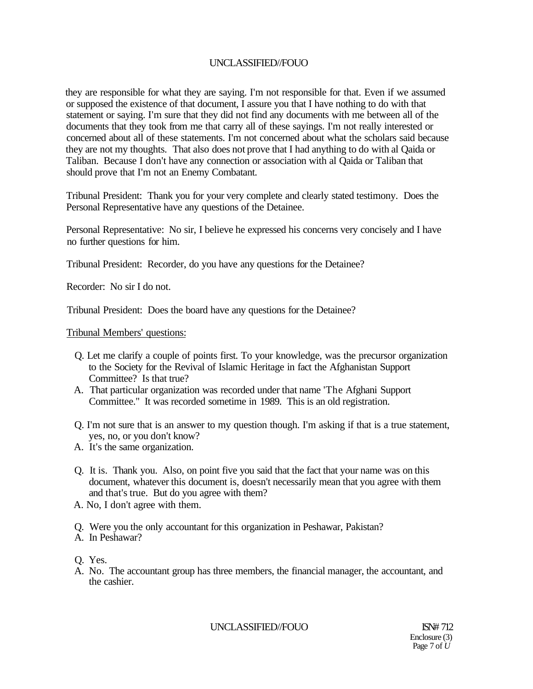they are responsible for what they are saying. I'm not responsible for that. Even if we assumed or supposed the existence of that document, I assure you that I have nothing to do with that statement or saying. I'm sure that they did not find any documents with me between all of the documents that they took from me that carry all of these sayings. I'm not really interested or concerned about all of these statements. I'm not concerned about what the scholars said because they are not my thoughts. That also does not prove that I had anything to do with al Qaida or Taliban. Because I don't have any connection or association with al Qaida or Taliban that should prove that I'm not an Enemy Combatant.

Tribunal President: Thank you for your very complete and clearly stated testimony. Does the Personal Representative have any questions of the Detainee.

Personal Representative: No sir, I believe he expressed his concerns very concisely and I have no further questions for him.

Tribunal President: Recorder, do you have any questions for the Detainee?

Recorder: No sir I do not.

Tribunal President: Does the board have any questions for the Detainee?

Tribunal Members' questions:

- Q. Let me clarify a couple of points first. To your knowledge, was the precursor organization to the Society for the Revival of Islamic Heritage in fact the Afghanistan Support Committee? Is that true?
- A. That particular organization was recorded under that name 'The Afghani Support Committee." It was recorded sometime in 1989. This is an old registration.
- Q. I'm not sure that is an answer to my question though. I'm asking if that is a true statement, yes, no, or you don't know?
- A. It's the same organization.
- Q. It is. Thank you. Also, on point five you said that the fact that your name was on this document, whatever this document is, doesn't necessarily mean that you agree with them and that's true. But do you agree with them?
- A. No, I don't agree with them.
- Q. Were you the only accountant for this organization in Peshawar, Pakistan?
- A. In Peshawar?

Q. Yes.

A. No. The accountant group has three members, the financial manager, the accountant, and the cashier.

UNCLASSIFIED//FOUO ISN# 712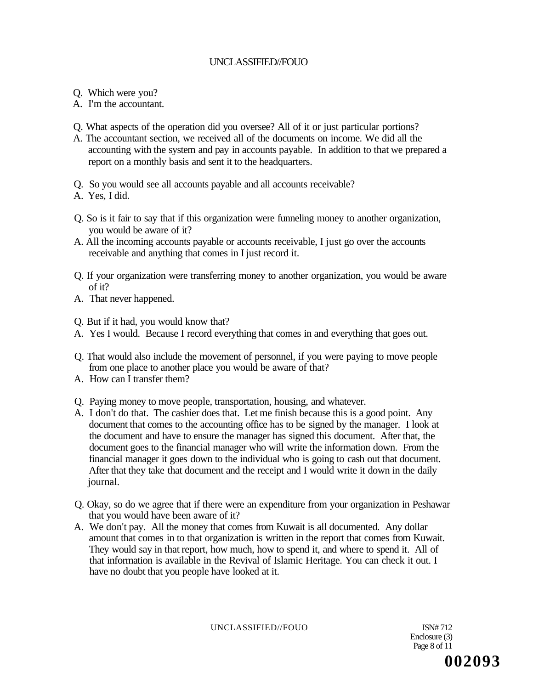- Q. Which were you?
- A. I'm the accountant.
- Q. What aspects of the operation did you oversee? All of it or just particular portions?
- A. The accountant section, we received all of the documents on income. We did all the accounting with the system and pay in accounts payable. In addition to that we prepared a report on a monthly basis and sent it to the headquarters.
- Q. So you would see all accounts payable and all accounts receivable?
- A. Yes, I did.
- Q. So is it fair to say that if this organization were funneling money to another organization, you would be aware of it?
- A. All the incoming accounts payable or accounts receivable, I just go over the accounts receivable and anything that comes in I just record it.
- Q. If your organization were transferring money to another organization, you would be aware of it?
- A. That never happened.

Q. But if it had, you would know that?

- A. Yes I would. Because I record everything that comes in and everything that goes out.
- Q. That would also include the movement of personnel, if you were paying to move people from one place to another place you would be aware of that?
- A. How can I transfer them?
- Q. Paying money to move people, transportation, housing, and whatever.
- A. I don't do that. The cashier does that. Let me finish because this is a good point. Any document that comes to the accounting office has to be signed by the manager. I look at the document and have to ensure the manager has signed this document. After that, the document goes to the financial manager who will write the information down. From the financial manager it goes down to the individual who is going to cash out that document. After that they take that document and the receipt and I would write it down in the daily journal.
- Q. Okay, so do we agree that if there were an expenditure from your organization in Peshawar that you would have been aware of it?
- A. We don't pay. All the money that comes from Kuwait is all documented. Any dollar amount that comes in to that organization is written in the report that comes from Kuwait. They would say in that report, how much, how to spend it, and where to spend it. All of that information is available in the Revival of Islamic Heritage. You can check it out. I have no doubt that you people have looked at it.

UNCLASSIFIED//FOUO ISN# 712

Enclosure (3) Page 8 of 11 **002093**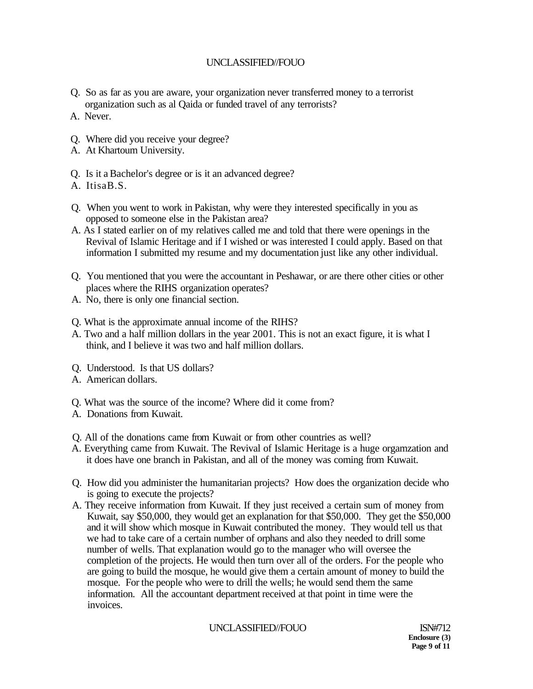- Q. So as far as you are aware, your organization never transferred money to a terrorist organization such as al Qaida or funded travel of any terrorists?
- A. Never.
- Q. Where did you receive your degree?
- A. At Khartoum University.
- Q. Is it a Bachelor's degree or is it an advanced degree?
- A. ItisaB.S.
- Q. When you went to work in Pakistan, why were they interested specifically in you as opposed to someone else in the Pakistan area?
- A. As I stated earlier on of my relatives called me and told that there were openings in the Revival of Islamic Heritage and if I wished or was interested I could apply. Based on that information I submitted my resume and my documentation just like any other individual.
- Q. You mentioned that you were the accountant in Peshawar, or are there other cities or other places where the RIHS organization operates?
- A. No, there is only one financial section.
- Q. What is the approximate annual income of the RIHS?
- A. Two and a half million dollars in the year 2001. This is not an exact figure, it is what I think, and I believe it was two and half million dollars.
- Q. Understood. Is that US dollars?
- A. American dollars.
- Q. What was the source of the income? Where did it come from?
- A. Donations from Kuwait.
- Q. All of the donations came from Kuwait or from other countries as well?
- A. Everything came from Kuwait. The Revival of Islamic Heritage is a huge orgamzation and it does have one branch in Pakistan, and all of the money was coming from Kuwait.
- Q. How did you administer the humanitarian projects? How does the organization decide who is going to execute the projects?
- A. They receive information from Kuwait. If they just received a certain sum of money from Kuwait, say \$50,000, they would get an explanation for that \$50,000. They get the \$50,000 and it will show which mosque in Kuwait contributed the money. They would tell us that we had to take care of a certain number of orphans and also they needed to drill some number of wells. That explanation would go to the manager who will oversee the completion of the projects. He would then turn over all of the orders. For the people who are going to build the mosque, he would give them a certain amount of money to build the mosque. For the people who were to drill the wells; he would send them the same information. All the accountant department received at that point in time were the invoices.

### UNCLASSIFIED//FOUO ISN#712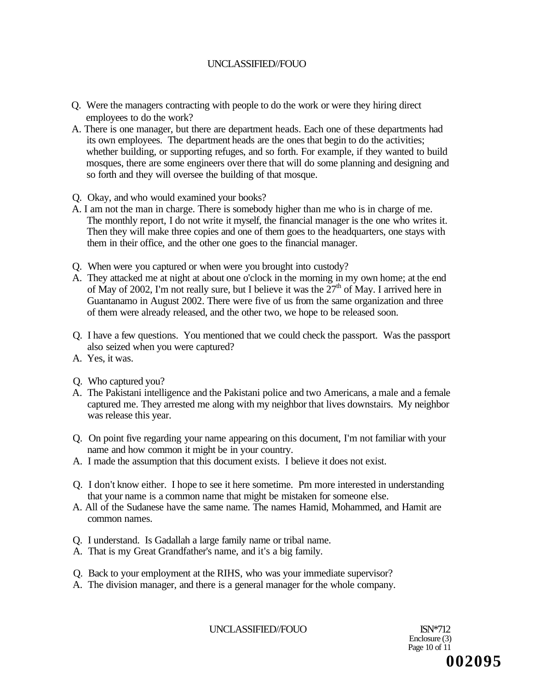- Q. Were the managers contracting with people to do the work or were they hiring direct employees to do the work?
- A. There is one manager, but there are department heads. Each one of these departments had its own employees. The department heads are the ones that begin to do the activities; whether building, or supporting refuges, and so forth. For example, if they wanted to build mosques, there are some engineers over there that will do some planning and designing and so forth and they will oversee the building of that mosque.
- Q. Okay, and who would examined your books?
- A. I am not the man in charge. There is somebody higher than me who is in charge of me. The monthly report, I do not write it myself, the financial manager is the one who writes it. Then they will make three copies and one of them goes to the headquarters, one stays with them in their office, and the other one goes to the financial manager.
- Q. When were you captured or when were you brought into custody?
- A. They attacked me at night at about one o'clock in the morning in my own home; at the end of May of 2002, I'm not really sure, but I believe it was the  $27<sup>th</sup>$  of May. I arrived here in Guantanamo in August 2002. There were five of us from the same organization and three of them were already released, and the other two, we hope to be released soon.
- Q. I have a few questions. You mentioned that we could check the passport. Was the passport also seized when you were captured?
- A. Yes, it was.
- Q. Who captured you?
- A. The Pakistani intelligence and the Pakistani police and two Americans, a male and a female captured me. They arrested me along with my neighbor that lives downstairs. My neighbor was release this year.
- Q. On point five regarding your name appearing on this document, I'm not familiar with your name and how common it might be in your country.
- A. I made the assumption that this document exists. I believe it does not exist.
- Q. I don't know either. I hope to see it here sometime. Pm more interested in understanding that your name is a common name that might be mistaken for someone else.
- A. All of the Sudanese have the same name. The names Hamid, Mohammed, and Hamit are common names.
- Q. I understand. Is Gadallah a large family name or tribal name.
- A. That is my Great Grandfather's name, and it's a big family.
- Q. Back to your employment at the RIHS, who was your immediate supervisor?
- A. The division manager, and there is a general manager for the whole company.

UNCLASSIFIED//FOUO ISN\*712

Enclosure (3) Page 10 of 11 **002095**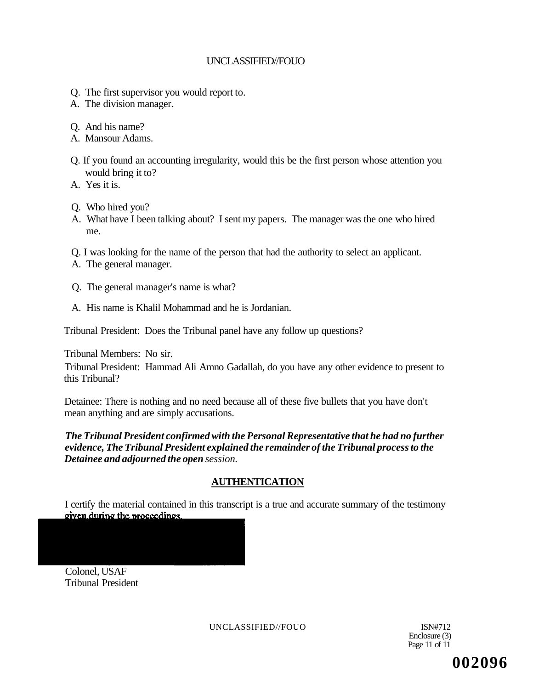- Q. The first supervisor you would report to.
- A. The division manager.
- Q. And his name?
- A. Mansour Adams.
- Q. If you found an accounting irregularity, would this be the first person whose attention you would bring it to?
- A. Yes it is.
- Q. Who hired you?
- A. What have I been talking about? I sent my papers. The manager was the one who hired me.
- Q. I was looking for the name of the person that had the authority to select an applicant.
- A. The general manager.
- Q. The general manager's name is what?
- A. His name is Khalil Mohammad and he is Jordanian.

Tribunal President: Does the Tribunal panel have any follow up questions?

Tribunal Members: No sir.

Tribunal President: Hammad Ali Amno Gadallah, do you have any other evidence to present to this Tribunal?

Detainee: There is nothing and no need because all of these five bullets that you have don't mean anything and are simply accusations.

## *The Tribunal President confirmed with the Personal Representative that he had no further evidence, The Tribunal President explained the remainder of the Tribunal process to the Detainee and adjourned the open session.*

## **AUTHENTICATION**

I certify the material contained in this transcript is a true and accurate summary of the testimony given during the proceedings.

Colonel, USAF Tribunal President

UNCLASSIFIED//FOUO ISN#712

Enclosure (3) Page 11 of 11

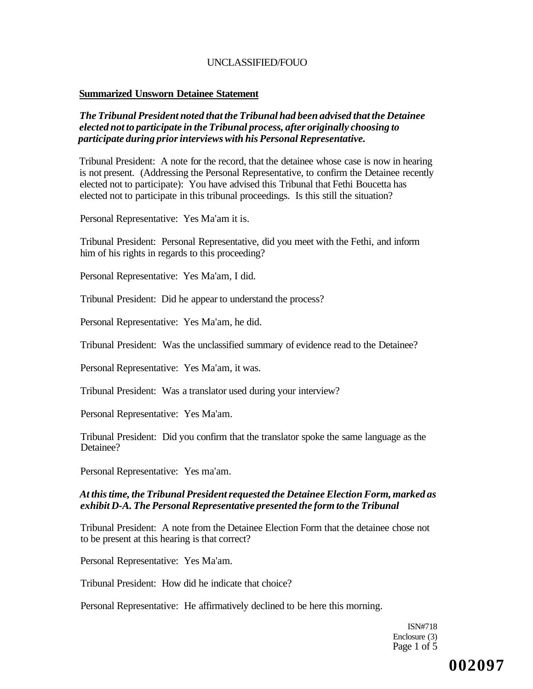#### **Summarized Unsworn Detainee Statement**

### *The Tribunal President noted that the Tribunal had been advised that the Detainee elected not to participate in the Tribunal process, after originally choosing to participate during prior interviews with his Personal Representative.*

Tribunal President: A note for the record, that the detainee whose case is now in hearing is not present. (Addressing the Personal Representative, to confirm the Detainee recently elected not to participate): You have advised this Tribunal that Fethi Boucetta has elected not to participate in this tribunal proceedings. Is this still the situation?

Personal Representative: Yes Ma'am it is.

Tribunal President: Personal Representative, did you meet with the Fethi, and inform him of his rights in regards to this proceeding?

Personal Representative: Yes Ma'am, I did.

Tribunal President: Did he appear to understand the process?

Personal Representative: Yes Ma'am, he did.

Tribunal President: Was the unclassified summary of evidence read to the Detainee?

Personal Representative: Yes Ma'am, it was.

Tribunal President: Was a translator used during your interview?

Personal Representative: Yes Ma'am.

Tribunal President: Did you confirm that the translator spoke the same language as the Detainee?

Personal Representative: Yes ma'am.

### *At this time, the Tribunal President requested the Detainee Election Form, marked as exhibit D-A. The Personal Representative presented the form to the Tribunal*

Tribunal President: A note from the Detainee Election Form that the detainee chose not to be present at this hearing is that correct?

Personal Representative: Yes Ma'am.

Tribunal President: How did he indicate that choice?

Personal Representative: He affirmatively declined to be here this morning.

ISN#718 Enclosure (3) Page 1 of 5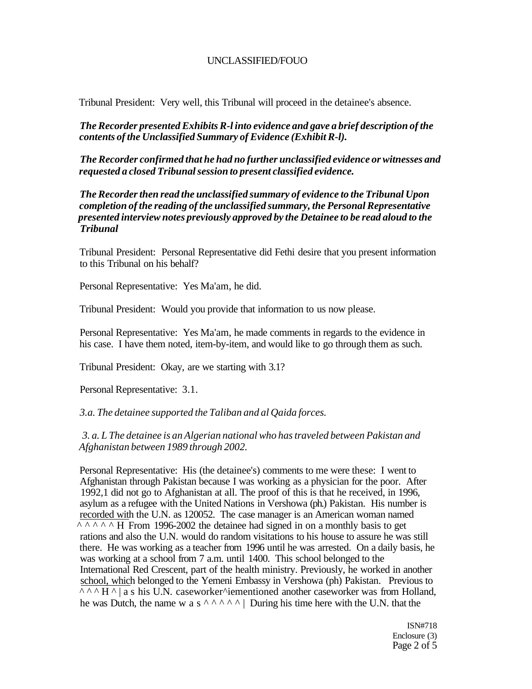Tribunal President: Very well, this Tribunal will proceed in the detainee's absence.

*The Recorder presented Exhibits R-l into evidence and gave a brief description of the contents of the Unclassified Summary of Evidence (Exhibit R-l).* 

*The Recorder confirmed that he had no further unclassified evidence or witnesses and requested a closed Tribunal session to present classified evidence.* 

*The Recorder then read the unclassified summary of evidence to the Tribunal Upon completion of the reading of the unclassified summary, the Personal Representative presented interview notes previously approved by the Detainee to be read aloud to the Tribunal* 

Tribunal President: Personal Representative did Fethi desire that you present information to this Tribunal on his behalf?

Personal Representative: Yes Ma'am, he did.

Tribunal President: Would you provide that information to us now please.

Personal Representative: Yes Ma'am, he made comments in regards to the evidence in his case. I have them noted, item-by-item, and would like to go through them as such.

Tribunal President: Okay, are we starting with 3.1?

Personal Representative: 3.1.

*3.a. The detainee supported the Taliban and al Qaida forces.* 

*3. a. L The detainee is an Algerian national who has traveled between Pakistan and Afghanistan between 1989 through 2002.* 

Personal Representative: His (the detainee's) comments to me were these: I went to Afghanistan through Pakistan because I was working as a physician for the poor. After 1992,1 did not go to Afghanistan at all. The proof of this is that he received, in 1996, asylum as a refugee with the United Nations in Vershowa (ph.) Pakistan. His number is recorded with the U.N. as 120052. The case manager is an American woman named  $\land \land \land \land \land$  H From 1996-2002 the detainee had signed in on a monthly basis to get rations and also the U.N. would do random visitations to his house to assure he was still there. He was working as a teacher from 1996 until he was arrested. On a daily basis, he was working at a school from 7 a.m. until 1400. This school belonged to the International Red Crescent, part of the health ministry. Previously, he worked in another school, which belonged to the Yemeni Embassy in Vershowa (ph) Pakistan. Previous to  $\wedge\wedge\wedge H\wedge$  a s his U.N. caseworker $\wedge$ iementioned another caseworker was from Holland, he was Dutch, the name w a s<sup> $\wedge \wedge \wedge \wedge'$ </sup> | During his time here with the U.N. that the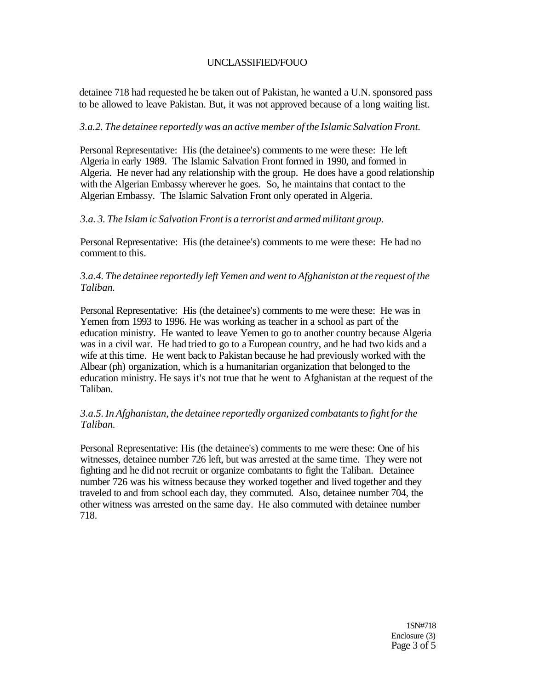detainee 718 had requested he be taken out of Pakistan, he wanted a U.N. sponsored pass to be allowed to leave Pakistan. But, it was not approved because of a long waiting list.

### *3.a.2. The detainee reportedly was an active member of the Islamic Salvation Front.*

Personal Representative: His (the detainee's) comments to me were these: He left Algeria in early 1989. The Islamic Salvation Front formed in 1990, and formed in Algeria. He never had any relationship with the group. He does have a good relationship with the Algerian Embassy wherever he goes. So, he maintains that contact to the Algerian Embassy. The Islamic Salvation Front only operated in Algeria.

### *3.a. 3. The Islam ic Salvation Front is a terrorist and armed militant group.*

Personal Representative: His (the detainee's) comments to me were these: He had no comment to this.

### *3.a.4. The detainee reportedly left Yemen and went to Afghanistan at the request of the Taliban.*

Personal Representative: His (the detainee's) comments to me were these: He was in Yemen from 1993 to 1996. He was working as teacher in a school as part of the education ministry. He wanted to leave Yemen to go to another country because Algeria was in a civil war. He had tried to go to a European country, and he had two kids and a wife at this time. He went back to Pakistan because he had previously worked with the Albear (ph) organization, which is a humanitarian organization that belonged to the education ministry. He says it's not true that he went to Afghanistan at the request of the Taliban.

### *3.a.5. In Afghanistan, the detainee reportedly organized combatants to fight for the Taliban.*

Personal Representative: His (the detainee's) comments to me were these: One of his witnesses, detainee number 726 left, but was arrested at the same time. They were not fighting and he did not recruit or organize combatants to fight the Taliban. Detainee number 726 was his witness because they worked together and lived together and they traveled to and from school each day, they commuted. Also, detainee number 704, the other witness was arrested on the same day. He also commuted with detainee number 718.

> 1SN#718 Enclosure (3) Page 3 of 5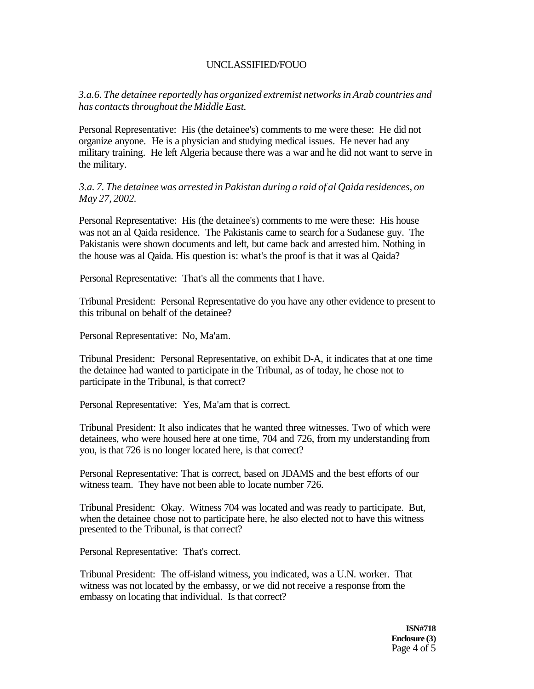*3.a.6. The detainee reportedly has organized extremist networks in Arab countries and has contacts throughout the Middle East.* 

Personal Representative: His (the detainee's) comments to me were these: He did not organize anyone. He is a physician and studying medical issues. He never had any military training. He left Algeria because there was a war and he did not want to serve in the military.

*3.a. 7. The detainee was arrested in Pakistan during a raid of al Qaida residences, on May 27, 2002.* 

Personal Representative: His (the detainee's) comments to me were these: His house was not an al Qaida residence. The Pakistanis came to search for a Sudanese guy. The Pakistanis were shown documents and left, but came back and arrested him. Nothing in the house was al Qaida. His question is: what's the proof is that it was al Qaida?

Personal Representative: That's all the comments that I have.

Tribunal President: Personal Representative do you have any other evidence to present to this tribunal on behalf of the detainee?

Personal Representative: No, Ma'am.

Tribunal President: Personal Representative, on exhibit D-A, it indicates that at one time the detainee had wanted to participate in the Tribunal, as of today, he chose not to participate in the Tribunal, is that correct?

Personal Representative: Yes, Ma'am that is correct.

Tribunal President: It also indicates that he wanted three witnesses. Two of which were detainees, who were housed here at one time, 704 and 726, from my understanding from you, is that 726 is no longer located here, is that correct?

Personal Representative: That is correct, based on JDAMS and the best efforts of our witness team. They have not been able to locate number 726.

Tribunal President: Okay. Witness 704 was located and was ready to participate. But, when the detainee chose not to participate here, he also elected not to have this witness presented to the Tribunal, is that correct?

Personal Representative: That's correct.

Tribunal President: The off-island witness, you indicated, was a U.N. worker. That witness was not located by the embassy, or we did not receive a response from the embassy on locating that individual. Is that correct?

> **ISN#718 Enclosure (3)**  Page 4 of 5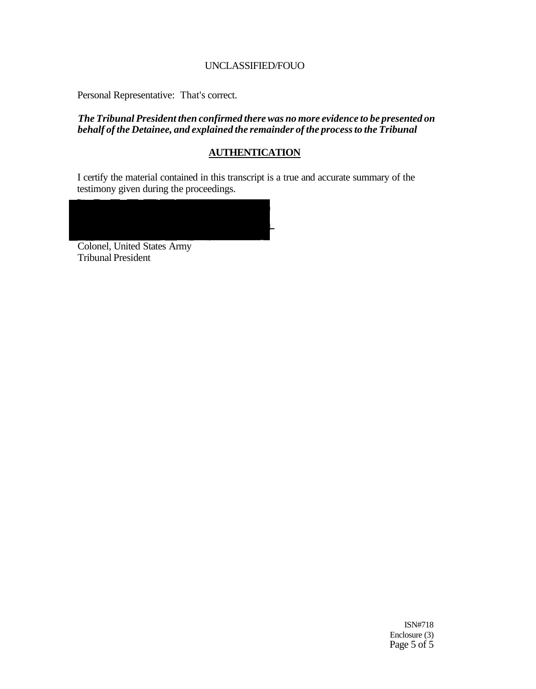Personal Representative: That's correct.

*The Tribunal President then confirmed there was no more evidence to be presented on behalf of the Detainee, and explained the remainder of the process to the Tribunal* 

## **AUTHENTICATION**

I certify the material contained in this transcript is a true and accurate summary of the testimony given during the proceedings.

Colonel, United States Army Tribunal President

> ISN#718 Enclosure (3) Page 5 of 5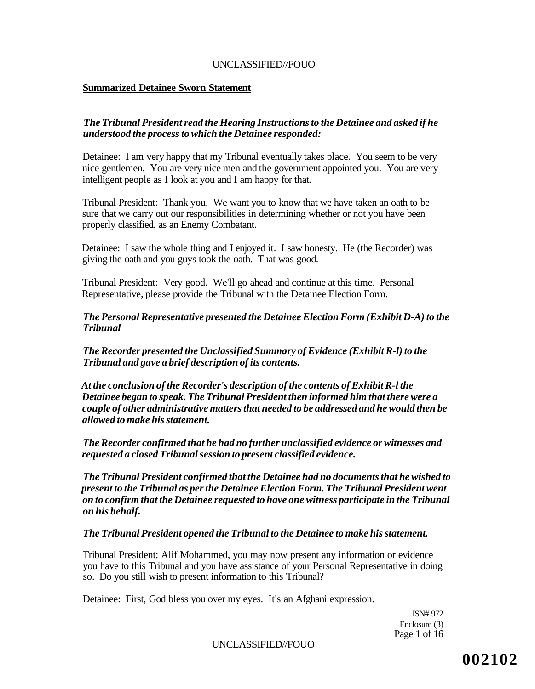#### **Summarized Detainee Sworn Statement**

## *The Tribunal President read the Hearing Instructions to the Detainee and asked if he understood the process to which the Detainee responded:*

Detainee: I am very happy that my Tribunal eventually takes place. You seem to be very nice gentlemen. You are very nice men and the government appointed you. You are very intelligent people as I look at you and I am happy for that.

Tribunal President: Thank you. We want you to know that we have taken an oath to be sure that we carry out our responsibilities in determining whether or not you have been properly classified, as an Enemy Combatant.

Detainee: I saw the whole thing and I enjoyed it. I saw honesty. He (the Recorder) was giving the oath and you guys took the oath. That was good.

Tribunal President: Very good. We'll go ahead and continue at this time. Personal Representative, please provide the Tribunal with the Detainee Election Form.

## *The Personal Representative presented the Detainee Election Form (Exhibit D-A) to the Tribunal*

*The Recorder presented the Unclassified Summary of Evidence (Exhibit R-l) to the Tribunal and gave a brief description of its contents.* 

*At the conclusion of the Recorder's description of the contents of Exhibit R-l the Detainee began to speak. The Tribunal President then informed him that there were a couple of other administrative matters that needed to be addressed and he would then be allowed to make his statement.* 

*The Recorder confirmed that he had no further unclassified evidence or witnesses and requested a closed Tribunal session to present classified evidence.* 

*The Tribunal President confirmed that the Detainee had no documents that he wished to present to the Tribunal as per the Detainee Election Form. The Tribunal President went on to confirm that the Detainee requested to have one witness participate in the Tribunal on his behalf.* 

#### *The Tribunal President opened the Tribunal to the Detainee to make his statement.*

Tribunal President: Alif Mohammed, you may now present any information or evidence you have to this Tribunal and you have assistance of your Personal Representative in doing so. Do you still wish to present information to this Tribunal?

Detainee: First, God bless you over my eyes. It's an Afghani expression.

ISN# 972 Enclosure (3) Page 1 of 16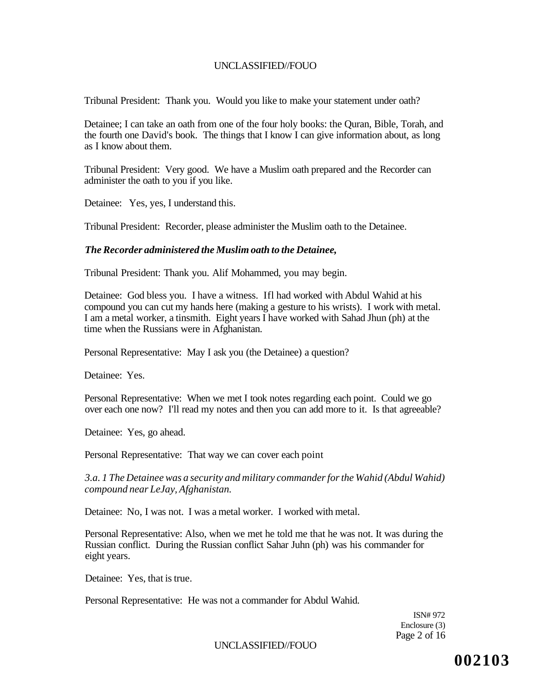Tribunal President: Thank you. Would you like to make your statement under oath?

Detainee; I can take an oath from one of the four holy books: the Quran, Bible, Torah, and the fourth one David's book. The things that I know I can give information about, as long as I know about them.

Tribunal President: Very good. We have a Muslim oath prepared and the Recorder can administer the oath to you if you like.

Detainee: Yes, yes, I understand this.

Tribunal President: Recorder, please administer the Muslim oath to the Detainee.

#### *The Recorder administered the Muslim oath to the Detainee,*

Tribunal President: Thank you. Alif Mohammed, you may begin.

Detainee: God bless you. I have a witness. Ifl had worked with Abdul Wahid at his compound you can cut my hands here (making a gesture to his wrists). I work with metal. I am a metal worker, a tinsmith. Eight years I have worked with Sahad Jhun (ph) at the time when the Russians were in Afghanistan.

Personal Representative: May I ask you (the Detainee) a question?

Detainee: Yes.

Personal Representative: When we met I took notes regarding each point. Could we go over each one now? I'll read my notes and then you can add more to it. Is that agreeable?

Detainee: Yes, go ahead.

Personal Representative: That way we can cover each point

*3.a. 1 The Detainee was a security and military commander for the Wahid (Abdul Wahid) compound near LeJay, Afghanistan.* 

Detainee: No, I was not. I was a metal worker. I worked with metal.

Personal Representative: Also, when we met he told me that he was not. It was during the Russian conflict. During the Russian conflict Sahar Juhn (ph) was his commander for eight years.

Detainee: Yes, that is true.

Personal Representative: He was not a commander for Abdul Wahid.

ISN# 972 Enclosure (3) Page 2 of 16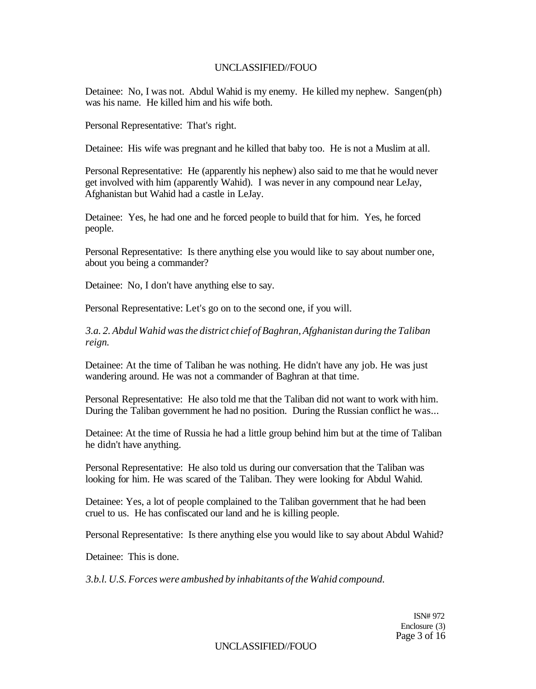Detainee: No, I was not. Abdul Wahid is my enemy. He killed my nephew. Sangen(ph) was his name. He killed him and his wife both.

Personal Representative: That's right.

Detainee: His wife was pregnant and he killed that baby too. He is not a Muslim at all.

Personal Representative: He (apparently his nephew) also said to me that he would never get involved with him (apparently Wahid). I was never in any compound near LeJay, Afghanistan but Wahid had a castle in LeJay.

Detainee: Yes, he had one and he forced people to build that for him. Yes, he forced people.

Personal Representative: Is there anything else you would like to say about number one, about you being a commander?

Detainee: No, I don't have anything else to say.

Personal Representative: Let's go on to the second one, if you will.

*3.a. 2. Abdul Wahid was the district chief of Baghran, Afghanistan during the Taliban reign.* 

Detainee: At the time of Taliban he was nothing. He didn't have any job. He was just wandering around. He was not a commander of Baghran at that time.

Personal Representative: He also told me that the Taliban did not want to work with him. During the Taliban government he had no position. During the Russian conflict he was...

Detainee: At the time of Russia he had a little group behind him but at the time of Taliban he didn't have anything.

Personal Representative: He also told us during our conversation that the Taliban was looking for him. He was scared of the Taliban. They were looking for Abdul Wahid.

Detainee: Yes, a lot of people complained to the Taliban government that he had been cruel to us. He has confiscated our land and he is killing people.

Personal Representative: Is there anything else you would like to say about Abdul Wahid?

Detainee: This is done.

*3.b.l. U.S. Forces were ambushed by inhabitants of the Wahid compound.* 

ISN# 972 Enclosure (3) Page 3 of 16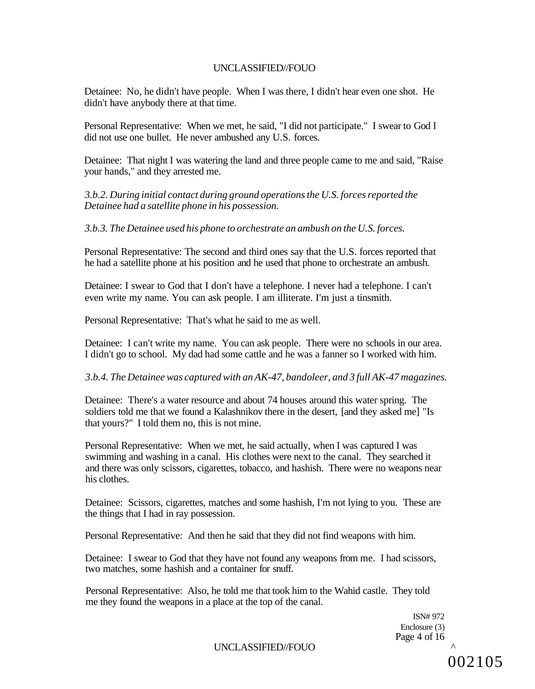Detainee: No, he didn't have people. When I was there, I didn't hear even one shot. He didn't have anybody there at that time.

Personal Representative: When we met, he said, "I did not participate." I swear to God I did not use one bullet. He never ambushed any U.S. forces.

Detainee: That night I was watering the land and three people came to me and said, "Raise your hands," and they arrested me.

*3.b.2. During initial contact during ground operations the U.S. forces reported the Detainee had a satellite phone in his possession.* 

*3.b.3. The Detainee used his phone to orchestrate an ambush on the U.S. forces.* 

Personal Representative: The second and third ones say that the U.S. forces reported that he had a satellite phone at his position and he used that phone to orchestrate an ambush.

Detainee: I swear to God that I don't have a telephone. I never had a telephone. I can't even write my name. You can ask people. I am illiterate. I'm just a tinsmith.

Personal Representative: That's what he said to me as well.

Detainee: I can't write my name. You can ask people. There were no schools in our area. I didn't go to school. My dad had some cattle and he was a fanner so I worked with him.

#### *3.b.4. The Detainee was captured with an AK-47, bandoleer, and 3 full AK-47 magazines.*

Detainee: There's a water resource and about 74 houses around this water spring. The soldiers told me that we found a Kalashnikov there in the desert, [and they asked me] "Is that yours?" I told them no, this is not mine.

Personal Representative: When we met, he said actually, when I was captured I was swimming and washing in a canal. His clothes were next to the canal. They searched it and there was only scissors, cigarettes, tobacco, and hashish. There were no weapons near his clothes.

Detainee: Scissors, cigarettes, matches and some hashish, I'm not lying to you. These are the things that I had in ray possession.

Personal Representative: And then he said that they did not find weapons with him.

Detainee: I swear to God that they have not found any weapons from me. I had scissors, two matches, some hashish and a container for snuff.

Personal Representative: Also, he told me that took him to the Wahid castle. They told me they found the weapons in a place at the top of the canal.

> ISN# 972 Enclosure (3) Page 4 of 16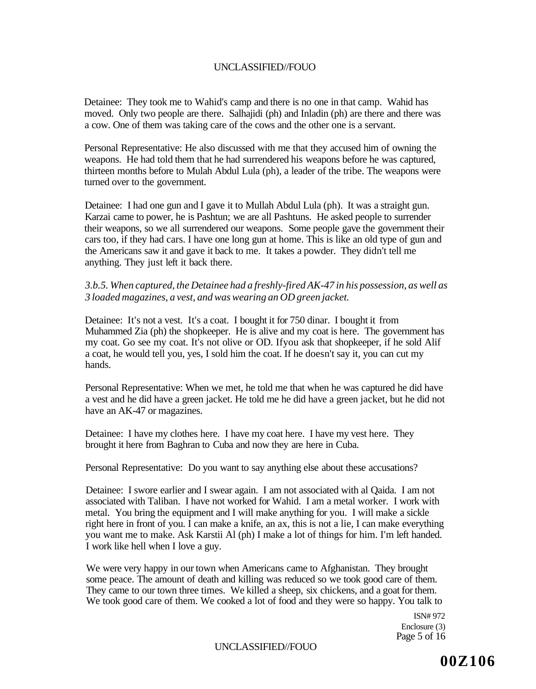Detainee: They took me to Wahid's camp and there is no one in that camp. Wahid has moved. Only two people are there. Salhajidi (ph) and Inladin (ph) are there and there was a cow. One of them was taking care of the cows and the other one is a servant.

Personal Representative: He also discussed with me that they accused him of owning the weapons. He had told them that he had surrendered his weapons before he was captured, thirteen months before to Mulah Abdul Lula (ph), a leader of the tribe. The weapons were turned over to the government.

Detainee: I had one gun and I gave it to Mullah Abdul Lula (ph). It was a straight gun. Karzai came to power, he is Pashtun; we are all Pashtuns. He asked people to surrender their weapons, so we all surrendered our weapons. Some people gave the government their cars too, if they had cars. I have one long gun at home. This is like an old type of gun and the Americans saw it and gave it back to me. It takes a powder. They didn't tell me anything. They just left it back there.

*3.b.5. When captured, the Detainee had a freshly-fired AK-47 in his possession, as well as 3 loaded magazines, a vest, and was wearing an OD green jacket.* 

Detainee: It's not a vest. It's a coat. I bought it for 750 dinar. I bought it from Muhammed Zia (ph) the shopkeeper. He is alive and my coat is here. The government has my coat. Go see my coat. It's not olive or OD. Ifyou ask that shopkeeper, if he sold Alif a coat, he would tell you, yes, I sold him the coat. If he doesn't say it, you can cut my hands.

Personal Representative: When we met, he told me that when he was captured he did have a vest and he did have a green jacket. He told me he did have a green jacket, but he did not have an AK-47 or magazines.

Detainee: I have my clothes here. I have my coat here. I have my vest here. They brought it here from Baghran to Cuba and now they are here in Cuba.

Personal Representative: Do you want to say anything else about these accusations?

Detainee: I swore earlier and I swear again. I am not associated with al Qaida. I am not associated with Taliban. I have not worked for Wahid. I am a metal worker. I work with metal. You bring the equipment and I will make anything for you. I will make a sickle right here in front of you. I can make a knife, an ax, this is not a lie, I can make everything you want me to make. Ask Karstii Al (ph) I make a lot of things for him. I'm left handed. I work like hell when I love a guy.

We were very happy in our town when Americans came to Afghanistan. They brought some peace. The amount of death and killing was reduced so we took good care of them. They came to our town three times. We killed a sheep, six chickens, and a goat for them. We took good care of them. We cooked a lot of food and they were so happy. You talk to

> ISN# 972 Enclosure (3) Page 5 of 16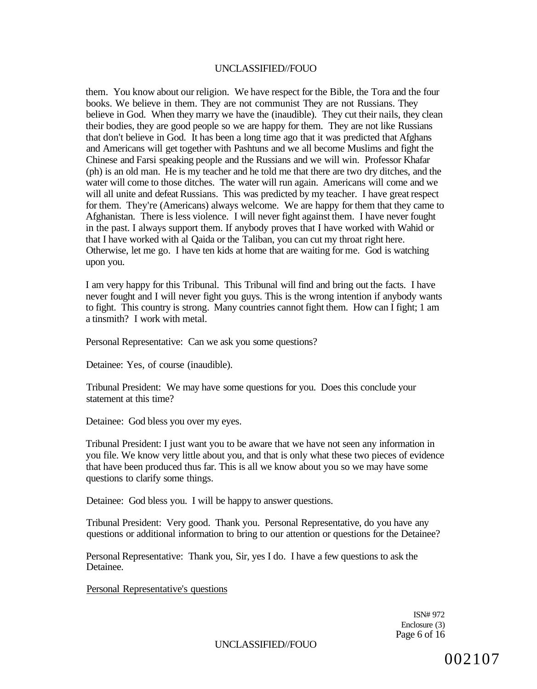them. You know about our religion. We have respect for the Bible, the Tora and the four books. We believe in them. They are not communist They are not Russians. They believe in God. When they marry we have the (inaudible). They cut their nails, they clean their bodies, they are good people so we are happy for them. They are not like Russians that don't believe in God. It has been a long time ago that it was predicted that Afghans and Americans will get together with Pashtuns and we all become Muslims and fight the Chinese and Farsi speaking people and the Russians and we will win. Professor Khafar (ph) is an old man. He is my teacher and he told me that there are two dry ditches, and the water will come to those ditches. The water will run again. Americans will come and we will all unite and defeat Russians. This was predicted by my teacher. I have great respect for them. They're (Americans) always welcome. We are happy for them that they came to Afghanistan. There is less violence. I will never fight against them. I have never fought in the past. I always support them. If anybody proves that I have worked with Wahid or that I have worked with al Qaida or the Taliban, you can cut my throat right here. Otherwise, let me go. I have ten kids at home that are waiting for me. God is watching upon you.

I am very happy for this Tribunal. This Tribunal will find and bring out the facts. I have never fought and I will never fight you guys. This is the wrong intention if anybody wants to fight. This country is strong. Many countries cannot fight them. How can I fight; 1 am a tinsmith? I work with metal.

Personal Representative: Can we ask you some questions?

Detainee: Yes, of course (inaudible).

Tribunal President: We may have some questions for you. Does this conclude your statement at this time?

Detainee: God bless you over my eyes.

Tribunal President: I just want you to be aware that we have not seen any information in you file. We know very little about you, and that is only what these two pieces of evidence that have been produced thus far. This is all we know about you so we may have some questions to clarify some things.

Detainee: God bless you. I will be happy to answer questions.

Tribunal President: Very good. Thank you. Personal Representative, do you have any questions or additional information to bring to our attention or questions for the Detainee?

Personal Representative: Thank you, Sir, yes I do. I have a few questions to ask the Detainee.

Personal Representative's questions

ISN# 972 Enclosure (3) Page 6 of 16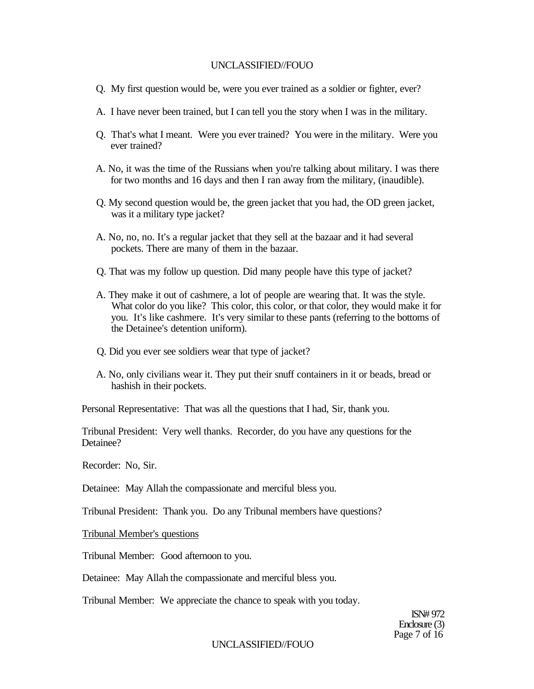- Q. My first question would be, were you ever trained as a soldier or fighter, ever?
- A. I have never been trained, but I can tell you the story when I was in the military.
- Q. That's what I meant. Were you ever trained? You were in the military. Were you ever trained?
- A. No, it was the time of the Russians when you're talking about military. I was there for two months and 16 days and then I ran away from the military, (inaudible).
- Q. My second question would be, the green jacket that you had, the OD green jacket, was it a military type jacket?
- A. No, no, no. It's a regular jacket that they sell at the bazaar and it had several pockets. There are many of them in the bazaar.
- Q. That was my follow up question. Did many people have this type of jacket?
- A. They make it out of cashmere, a lot of people are wearing that. It was the style. What color do you like? This color, this color, or that color, they would make it for you. It's like cashmere. It's very similar to these pants (referring to the bottoms of the Detainee's detention uniform).
- Q. Did you ever see soldiers wear that type of jacket?
- A. No, only civilians wear it. They put their snuff containers in it or beads, bread or hashish in their pockets.

Personal Representative: That was all the questions that I had, Sir, thank you.

Tribunal President: Very well thanks. Recorder, do you have any questions for the Detainee?

Recorder: No, Sir.

Detainee: May Allah the compassionate and merciful bless you.

Tribunal President: Thank you. Do any Tribunal members have questions?

Tribunal Member's questions

Tribunal Member: Good afternoon to you.

Detainee: May Allah the compassionate and merciful bless you.

Tribunal Member: We appreciate the chance to speak with you today.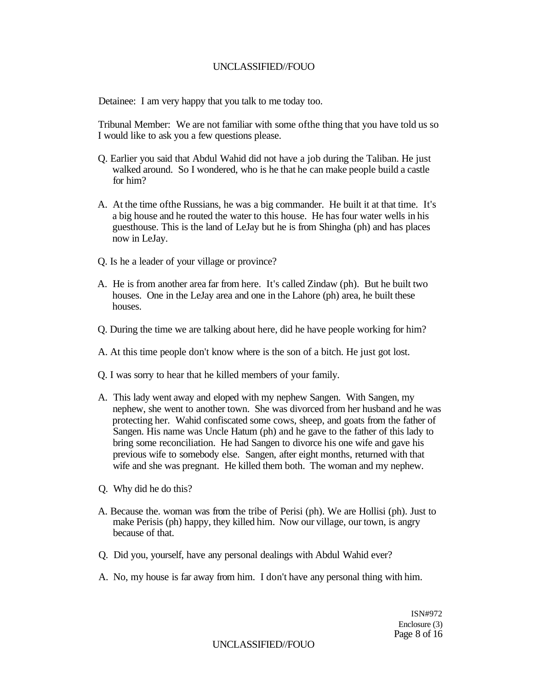Detainee: I am very happy that you talk to me today too.

Tribunal Member: We are not familiar with some ofthe thing that you have told us so I would like to ask you a few questions please.

- Q. Earlier you said that Abdul Wahid did not have a job during the Taliban. He just walked around. So I wondered, who is he that he can make people build a castle for him?
- A. At the time ofthe Russians, he was a big commander. He built it at that time. It's a big house and he routed the water to this house. He has four water wells in his guesthouse. This is the land of LeJay but he is from Shingha (ph) and has places now in LeJay.
- Q. Is he a leader of your village or province?
- A. He is from another area far from here. It's called Zindaw (ph). But he built two houses. One in the LeJay area and one in the Lahore (ph) area, he built these houses.
- Q. During the time we are talking about here, did he have people working for him?
- A. At this time people don't know where is the son of a bitch. He just got lost.
- Q. I was sorry to hear that he killed members of your family.
- A. This lady went away and eloped with my nephew Sangen. With Sangen, my nephew, she went to another town. She was divorced from her husband and he was protecting her. Wahid confiscated some cows, sheep, and goats from the father of Sangen. His name was Uncle Hatum (ph) and he gave to the father of this lady to bring some reconciliation. He had Sangen to divorce his one wife and gave his previous wife to somebody else. Sangen, after eight months, returned with that wife and she was pregnant. He killed them both. The woman and my nephew.
- Q. Why did he do this?
- A. Because the. woman was from the tribe of Perisi (ph). We are Hollisi (ph). Just to make Perisis (ph) happy, they killed him. Now our village, our town, is angry because of that.
- Q. Did you, yourself, have any personal dealings with Abdul Wahid ever?
- A. No, my house is far away from him. I don't have any personal thing with him.

ISN#972 Enclosure (3) Page 8 of 16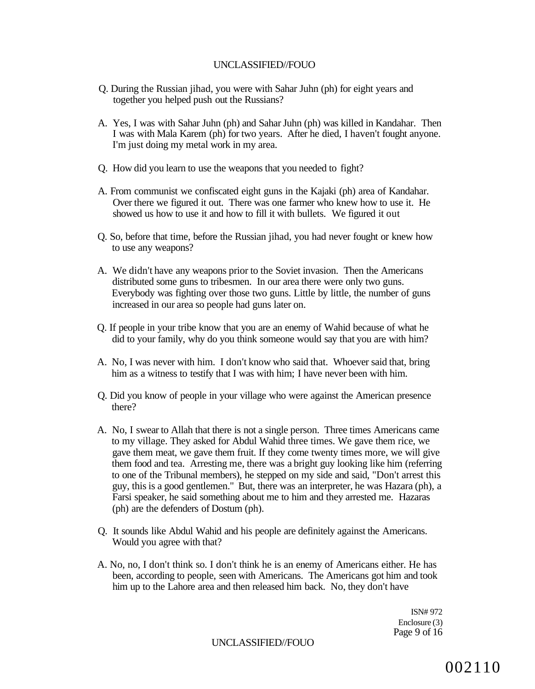- Q. During the Russian jihad, you were with Sahar Juhn (ph) for eight years and together you helped push out the Russians?
- A. Yes, I was with Sahar Juhn (ph) and Sahar Juhn (ph) was killed in Kandahar. Then I was with Mala Karem (ph) for two years. After he died, I haven't fought anyone. I'm just doing my metal work in my area.
- Q. How did you learn to use the weapons that you needed to fight?
- A. From communist we confiscated eight guns in the Kajaki (ph) area of Kandahar. Over there we figured it out. There was one farmer who knew how to use it. He showed us how to use it and how to fill it with bullets. We figured it out
- Q. So, before that time, before the Russian jihad, you had never fought or knew how to use any weapons?
- A. We didn't have any weapons prior to the Soviet invasion. Then the Americans distributed some guns to tribesmen. In our area there were only two guns. Everybody was fighting over those two guns. Little by little, the number of guns increased in our area so people had guns later on.
- Q. If people in your tribe know that you are an enemy of Wahid because of what he did to your family, why do you think someone would say that you are with him?
- A. No, I was never with him. I don't know who said that. Whoever said that, bring him as a witness to testify that I was with him; I have never been with him.
- Q. Did you know of people in your village who were against the American presence there?
- A. No, I swear to Allah that there is not a single person. Three times Americans came to my village. They asked for Abdul Wahid three times. We gave them rice, we gave them meat, we gave them fruit. If they come twenty times more, we will give them food and tea. Arresting me, there was a bright guy looking like him (referring to one of the Tribunal members), he stepped on my side and said, "Don't arrest this guy, this is a good gentlemen." But, there was an interpreter, he was Hazara (ph), a Farsi speaker, he said something about me to him and they arrested me. Hazaras (ph) are the defenders of Dostum (ph).
- Q. It sounds like Abdul Wahid and his people are definitely against the Americans. Would you agree with that?
- A. No, no, I don't think so. I don't think he is an enemy of Americans either. He has been, according to people, seen with Americans. The Americans got him and took him up to the Lahore area and then released him back. No, they don't have

ISN# 972 Enclosure (3) Page 9 of 16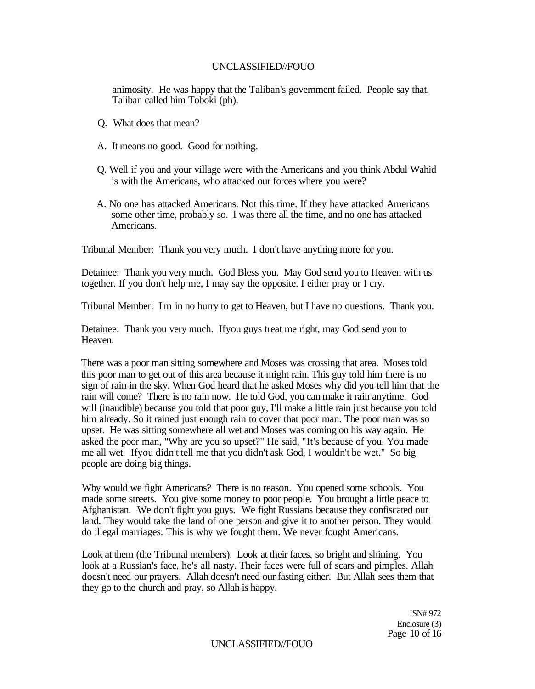animosity. He was happy that the Taliban's government failed. People say that. Taliban called him Toboki (ph).

- Q. What does that mean?
- A. It means no good. Good for nothing.
- Q. Well if you and your village were with the Americans and you think Abdul Wahid is with the Americans, who attacked our forces where you were?
- A. No one has attacked Americans. Not this time. If they have attacked Americans some other time, probably so. I was there all the time, and no one has attacked Americans.

Tribunal Member: Thank you very much. I don't have anything more for you.

Detainee: Thank you very much. God Bless you. May God send you to Heaven with us together. If you don't help me, I may say the opposite. I either pray or I cry.

Tribunal Member: I'm in no hurry to get to Heaven, but I have no questions. Thank you.

Detainee: Thank you very much. Ifyou guys treat me right, may God send you to Heaven.

There was a poor man sitting somewhere and Moses was crossing that area. Moses told this poor man to get out of this area because it might rain. This guy told him there is no sign of rain in the sky. When God heard that he asked Moses why did you tell him that the rain will come? There is no rain now. He told God, you can make it rain anytime. God will (inaudible) because you told that poor guy, I'll make a little rain just because you told him already. So it rained just enough rain to cover that poor man. The poor man was so upset. He was sitting somewhere all wet and Moses was coming on his way again. He asked the poor man, "Why are you so upset?" He said, "It's because of you. You made me all wet. Ifyou didn't tell me that you didn't ask God, I wouldn't be wet." So big people are doing big things.

Why would we fight Americans? There is no reason. You opened some schools. You made some streets. You give some money to poor people. You brought a little peace to Afghanistan. We don't fight you guys. We fight Russians because they confiscated our land. They would take the land of one person and give it to another person. They would do illegal marriages. This is why we fought them. We never fought Americans.

Look at them (the Tribunal members). Look at their faces, so bright and shining. You look at a Russian's face, he's all nasty. Their faces were full of scars and pimples. Allah doesn't need our prayers. Allah doesn't need our fasting either. But Allah sees them that they go to the church and pray, so Allah is happy.

> ISN# 972 Enclosure (3) Page 10 of 16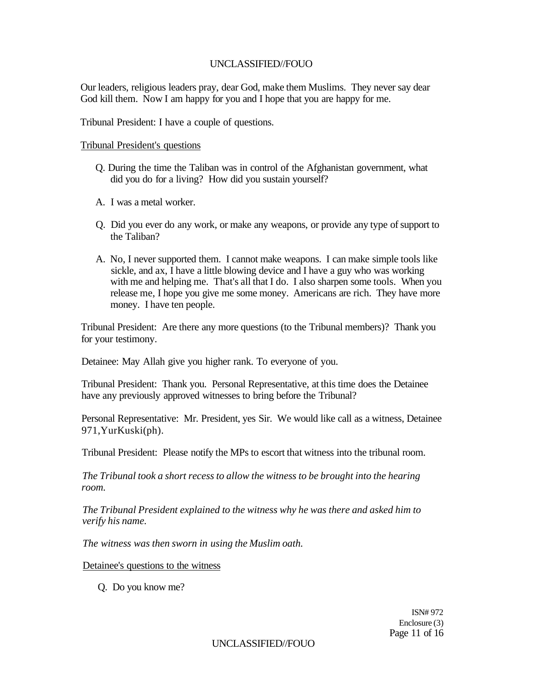Our leaders, religious leaders pray, dear God, make them Muslims. They never say dear God kill them. Now I am happy for you and I hope that you are happy for me.

Tribunal President: I have a couple of questions.

Tribunal President's questions

- Q. During the time the Taliban was in control of the Afghanistan government, what did you do for a living? How did you sustain yourself?
- A. I was a metal worker.
- Q. Did you ever do any work, or make any weapons, or provide any type of support to the Taliban?
- A. No, I never supported them. I cannot make weapons. I can make simple tools like sickle, and ax, I have a little blowing device and I have a guy who was working with me and helping me. That's all that I do. I also sharpen some tools. When you release me, I hope you give me some money. Americans are rich. They have more money. I have ten people.

Tribunal President: Are there any more questions (to the Tribunal members)? Thank you for your testimony.

Detainee: May Allah give you higher rank. To everyone of you.

Tribunal President: Thank you. Personal Representative, at this time does the Detainee have any previously approved witnesses to bring before the Tribunal?

Personal Representative: Mr. President, yes Sir. We would like call as a witness, Detainee 971,YurKuski(ph).

Tribunal President: Please notify the MPs to escort that witness into the tribunal room.

*The Tribunal took a short recess to allow the witness to be brought into the hearing room.* 

*The Tribunal President explained to the witness why he was there and asked him to verify his name.* 

*The witness was then sworn in using the Muslim oath.* 

Detainee's questions to the witness

Q. Do you know me?

ISN# 972 Enclosure (3) Page 11 of 16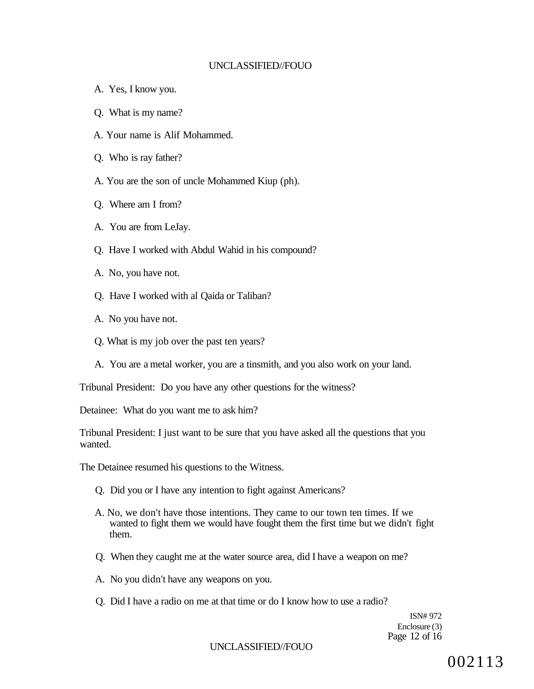- A. Yes, I know you.
- Q. What is my name?
- A. Your name is Alif Mohammed.
- Q. Who is ray father?
- A. You are the son of uncle Mohammed Kiup (ph).
- Q. Where am I from?
- A. You are from LeJay.
- Q. Have I worked with Abdul Wahid in his compound?
- A. No, you have not.
- Q. Have I worked with al Qaida or Taliban?
- A. No you have not.
- Q. What is my job over the past ten years?
- A. You are a metal worker, you are a tinsmith, and you also work on your land.

Tribunal President: Do you have any other questions for the witness?

Detainee: What do you want me to ask him?

Tribunal President: I just want to be sure that you have asked all the questions that you wanted.

The Detainee resumed his questions to the Witness.

- Q. Did you or I have any intention to fight against Americans?
- A. No, we don't have those intentions. They came to our town ten times. If we wanted to fight them we would have fought them the first time but we didn't fight them.
- Q. When they caught me at the water source area, did I have a weapon on me?
- A. No you didn't have any weapons on you.
- Q. Did I have a radio on me at that time or do I know how to use a radio?

ISN# 972 Enclosure (3) Page 12 of 16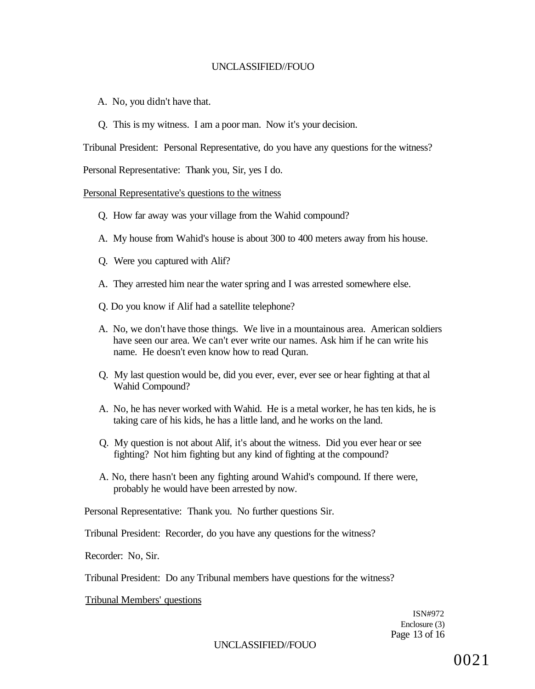A. No, you didn't have that.

Q. This is my witness. I am a poor man. Now it's your decision.

Tribunal President: Personal Representative, do you have any questions for the witness?

Personal Representative: Thank you, Sir, yes I do.

### Personal Representative's questions to the witness

- Q. How far away was your village from the Wahid compound?
- A. My house from Wahid's house is about 300 to 400 meters away from his house.
- Q. Were you captured with Alif?
- A. They arrested him near the water spring and I was arrested somewhere else.
- Q. Do you know if Alif had a satellite telephone?
- A. No, we don't have those things. We live in a mountainous area. American soldiers have seen our area. We can't ever write our names. Ask him if he can write his name. He doesn't even know how to read Quran.
- Q. My last question would be, did you ever, ever, ever see or hear fighting at that al Wahid Compound?
- A. No, he has never worked with Wahid. He is a metal worker, he has ten kids, he is taking care of his kids, he has a little land, and he works on the land.
- Q. My question is not about Alif, it's about the witness. Did you ever hear or see fighting? Not him fighting but any kind of fighting at the compound?
- A. No, there hasn't been any fighting around Wahid's compound. If there were, probably he would have been arrested by now.

Personal Representative: Thank you. No further questions Sir.

Tribunal President: Recorder, do you have any questions for the witness?

Recorder: No, Sir.

Tribunal President: Do any Tribunal members have questions for the witness?

Tribunal Members' questions

ISN#972 Enclosure (3) Page 13 of 16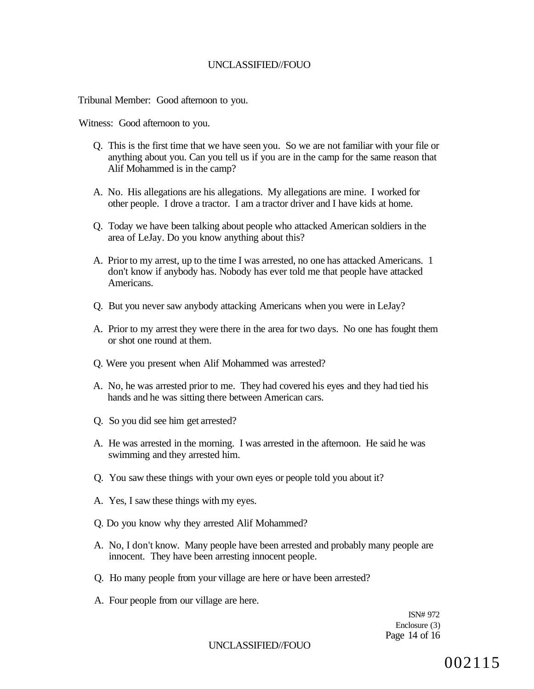Tribunal Member: Good afternoon to you.

Witness: Good afternoon to you.

- Q. This is the first time that we have seen you. So we are not familiar with your file or anything about you. Can you tell us if you are in the camp for the same reason that Alif Mohammed is in the camp?
- A. No. His allegations are his allegations. My allegations are mine. I worked for other people. I drove a tractor. I am a tractor driver and I have kids at home.
- Q. Today we have been talking about people who attacked American soldiers in the area of LeJay. Do you know anything about this?
- A. Prior to my arrest, up to the time I was arrested, no one has attacked Americans. 1 don't know if anybody has. Nobody has ever told me that people have attacked Americans.
- Q. But you never saw anybody attacking Americans when you were in LeJay?
- A. Prior to my arrest they were there in the area for two days. No one has fought them or shot one round at them.
- Q. Were you present when Alif Mohammed was arrested?
- A. No, he was arrested prior to me. They had covered his eyes and they had tied his hands and he was sitting there between American cars.
- Q. So you did see him get arrested?
- A. He was arrested in the morning. I was arrested in the afternoon. He said he was swimming and they arrested him.
- Q. You saw these things with your own eyes or people told you about it?
- A. Yes, I saw these things with my eyes.
- Q. Do you know why they arrested Alif Mohammed?
- A. No, I don't know. Many people have been arrested and probably many people are innocent. They have been arresting innocent people.
- Q. Ho many people from your village are here or have been arrested?
- A. Four people from our village are here.

ISN# 972 Enclosure (3) Page 14 of 16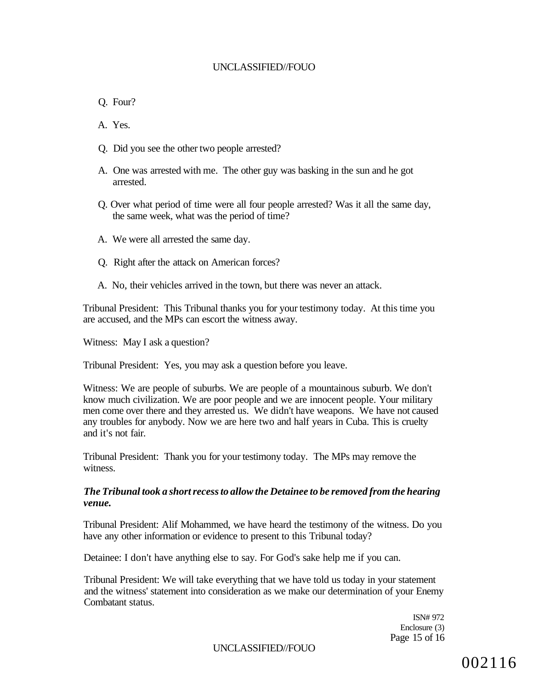Q. Four?

A. Yes.

- Q. Did you see the other two people arrested?
- A. One was arrested with me. The other guy was basking in the sun and he got arrested.
- Q. Over what period of time were all four people arrested? Was it all the same day, the same week, what was the period of time?
- A. We were all arrested the same day.
- Q. Right after the attack on American forces?
- A. No, their vehicles arrived in the town, but there was never an attack.

Tribunal President: This Tribunal thanks you for your testimony today. At this time you are accused, and the MPs can escort the witness away.

Witness: May I ask a question?

Tribunal President: Yes, you may ask a question before you leave.

Witness: We are people of suburbs. We are people of a mountainous suburb. We don't know much civilization. We are poor people and we are innocent people. Your military men come over there and they arrested us. We didn't have weapons. We have not caused any troubles for anybody. Now we are here two and half years in Cuba. This is cruelty and it's not fair.

Tribunal President: Thank you for your testimony today. The MPs may remove the witness.

#### *The Tribunal took a short recess to allow the Detainee to be removed from the hearing venue.*

Tribunal President: Alif Mohammed, we have heard the testimony of the witness. Do you have any other information or evidence to present to this Tribunal today?

Detainee: I don't have anything else to say. For God's sake help me if you can.

Tribunal President: We will take everything that we have told us today in your statement and the witness' statement into consideration as we make our determination of your Enemy Combatant status.

> ISN# 972 Enclosure (3) Page 15 of 16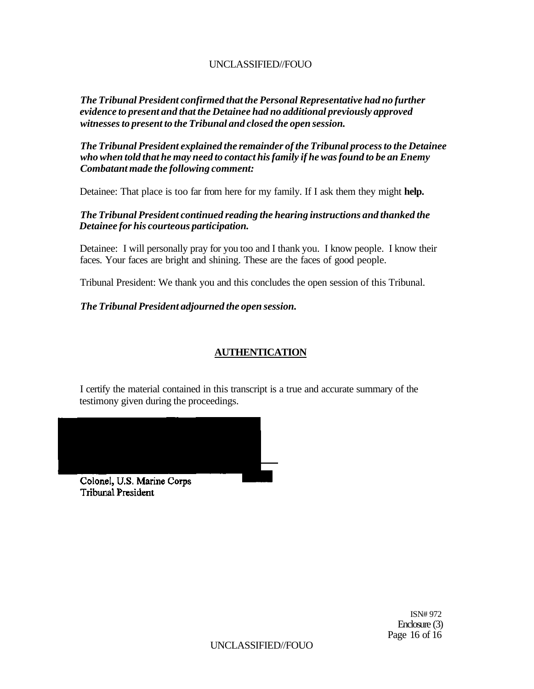*The Tribunal President confirmed that the Personal Representative had no further evidence to present and that the Detainee had no additional previously approved witnesses to present to the Tribunal and closed the open session.* 

*The Tribunal President explained the remainder of the Tribunal process to the Detainee who when told that he may need to contact his family if he was found to be an Enemy Combatant made the following comment:* 

Detainee: That place is too far from here for my family. If I ask them they might **help.** 

## *The Tribunal President continued reading the hearing instructions and thanked the Detainee for his courteous participation.*

Detainee: I will personally pray for you too and I thank you. I know people. I know their faces. Your faces are bright and shining. These are the faces of good people.

Tribunal President: We thank you and this concludes the open session of this Tribunal.

## *The Tribunal President adjourned the open session.*

# **AUTHENTICATION**

I certify the material contained in this transcript is a true and accurate summary of the testimony given during the proceedings.

Colonel, U.S. Marine Corps **Tribunal President** 

> ISN# 972 Enclosure (3) Page 16 of 16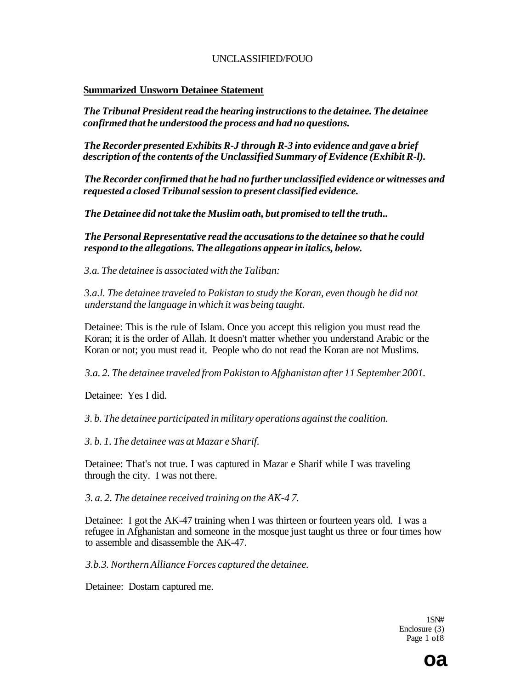### **Summarized Unsworn Detainee Statement**

*The Tribunal President read the hearing instructions to the detainee. The detainee confirmed that he understood the process and had no questions.* 

*The Recorder presented Exhibits R-J through R-3 into evidence and gave a brief description of the contents of the Unclassified Summary of Evidence (Exhibit R-l).* 

*The Recorder confirmed that he had no further unclassified evidence or witnesses and requested a closed Tribunal session to present classified evidence.* 

*The Detainee did not take the Muslim oath, but promised to tell the truth..* 

*The Personal Representative read the accusations to the detainee so that he could respond to the allegations. The allegations appear in italics, below.* 

*3.a. The detainee is associated with the Taliban:* 

*3.a.l. The detainee traveled to Pakistan to study the Koran, even though he did not understand the language in which it was being taught.* 

Detainee: This is the rule of Islam. Once you accept this religion you must read the Koran; it is the order of Allah. It doesn't matter whether you understand Arabic or the Koran or not; you must read it. People who do not read the Koran are not Muslims.

*3.a. 2. The detainee traveled from Pakistan to Afghanistan after 11 September 2001.* 

Detainee: Yes I did.

*3. b. The detainee participated in military operations against the coalition.* 

*3. b. 1. The detainee was at Mazar e Sharif.* 

Detainee: That's not true. I was captured in Mazar e Sharif while I was traveling through the city. I was not there.

*3. a. 2. The detainee received training on the AK-4 7.* 

Detainee: I got the AK-47 training when I was thirteen or fourteen years old. I was a refugee in Afghanistan and someone in the mosque just taught us three or four times how to assemble and disassemble the AK-47.

*3.b.3. Northern Alliance Forces captured the detainee.* 

Detainee: Dostam captured me.

1SN# Enclosure (3) Page 1 of8

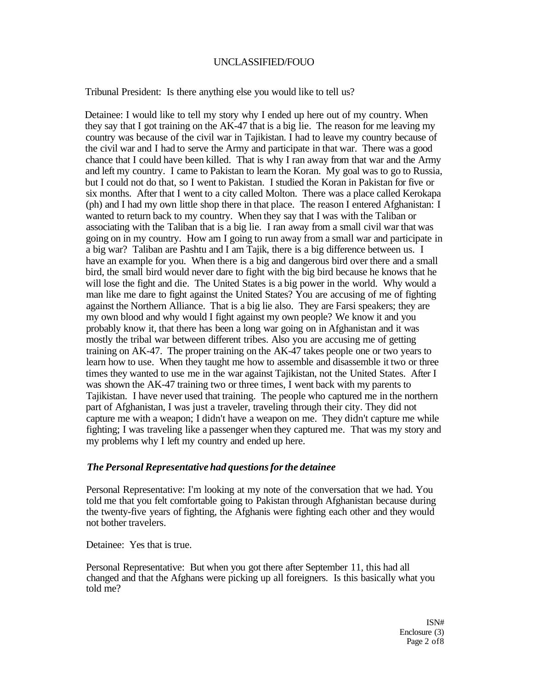Tribunal President: Is there anything else you would like to tell us?

Detainee: I would like to tell my story why I ended up here out of my country. When they say that I got training on the AK-47 that is a big lie. The reason for me leaving my country was because of the civil war in Tajikistan. I had to leave my country because of the civil war and I had to serve the Army and participate in that war. There was a good chance that I could have been killed. That is why I ran away from that war and the Army and left my country. I came to Pakistan to learn the Koran. My goal was to go to Russia, but I could not do that, so I went to Pakistan. I studied the Koran in Pakistan for five or six months. After that I went to a city called Molton. There was a place called Kerokapa (ph) and I had my own little shop there in that place. The reason I entered Afghanistan: I wanted to return back to my country. When they say that I was with the Taliban or associating with the Taliban that is a big lie. I ran away from a small civil war that was going on in my country. How am I going to run away from a small war and participate in a big war? Taliban are Pashtu and I am Tajik, there is a big difference between us. I have an example for you. When there is a big and dangerous bird over there and a small bird, the small bird would never dare to fight with the big bird because he knows that he will lose the fight and die. The United States is a big power in the world. Why would a man like me dare to fight against the United States? You are accusing of me of fighting against the Northern Alliance. That is a big lie also. They are Farsi speakers; they are my own blood and why would I fight against my own people? We know it and you probably know it, that there has been a long war going on in Afghanistan and it was mostly the tribal war between different tribes. Also you are accusing me of getting training on AK-47. The proper training on the AK-47 takes people one or two years to learn how to use. When they taught me how to assemble and disassemble it two or three times they wanted to use me in the war against Tajikistan, not the United States. After I was shown the AK-47 training two or three times, I went back with my parents to Tajikistan. I have never used that training. The people who captured me in the northern part of Afghanistan, I was just a traveler, traveling through their city. They did not capture me with a weapon; I didn't have a weapon on me. They didn't capture me while fighting; I was traveling like a passenger when they captured me. That was my story and my problems why I left my country and ended up here.

#### *The Personal Representative had questions for the detainee*

Personal Representative: I'm looking at my note of the conversation that we had. You told me that you felt comfortable going to Pakistan through Afghanistan because during the twenty-five years of fighting, the Afghanis were fighting each other and they would not bother travelers.

Detainee: Yes that is true.

Personal Representative: But when you got there after September 11, this had all changed and that the Afghans were picking up all foreigners. Is this basically what you told me?

> ISN# Enclosure (3) Page 2 of 8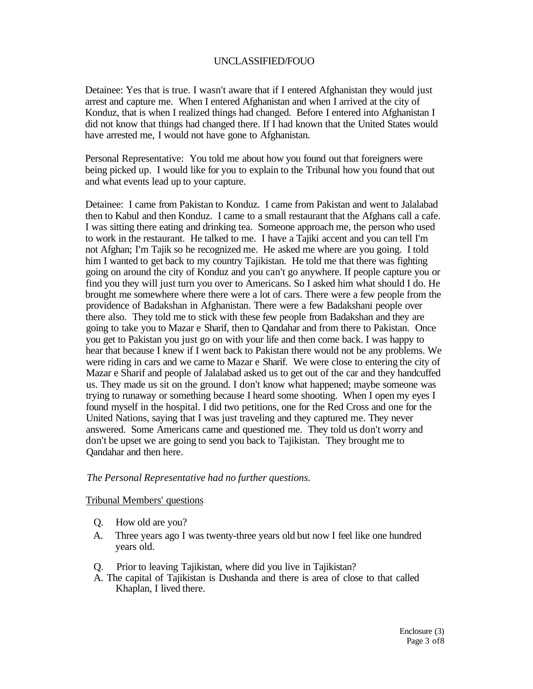Detainee: Yes that is true. I wasn't aware that if I entered Afghanistan they would just arrest and capture me. When I entered Afghanistan and when I arrived at the city of Konduz, that is when I realized things had changed. Before I entered into Afghanistan I did not know that things had changed there. If I had known that the United States would have arrested me, I would not have gone to Afghanistan.

Personal Representative: You told me about how you found out that foreigners were being picked up. I would like for you to explain to the Tribunal how you found that out and what events lead up to your capture.

Detainee: I came from Pakistan to Konduz. I came from Pakistan and went to Jalalabad then to Kabul and then Konduz. I came to a small restaurant that the Afghans call a cafe. I was sitting there eating and drinking tea. Someone approach me, the person who used to work in the restaurant. He talked to me. I have a Tajiki accent and you can tell I'm not Afghan; I'm Tajik so he recognized me. He asked me where are you going. I told him I wanted to get back to my country Tajikistan. He told me that there was fighting going on around the city of Konduz and you can't go anywhere. If people capture you or find you they will just turn you over to Americans. So I asked him what should I do. He brought me somewhere where there were a lot of cars. There were a few people from the providence of Badakshan in Afghanistan. There were a few Badakshani people over there also. They told me to stick with these few people from Badakshan and they are going to take you to Mazar e Sharif, then to Qandahar and from there to Pakistan. Once you get to Pakistan you just go on with your life and then come back. I was happy to hear that because I knew if I went back to Pakistan there would not be any problems. We were riding in cars and we came to Mazar e Sharif. We were close to entering the city of Mazar e Sharif and people of Jalalabad asked us to get out of the car and they handcuffed us. They made us sit on the ground. I don't know what happened; maybe someone was trying to runaway or something because I heard some shooting. When I open my eyes I found myself in the hospital. I did two petitions, one for the Red Cross and one for the United Nations, saying that I was just traveling and they captured me. They never answered. Some Americans came and questioned me. They told us don't worry and don't be upset we are going to send you back to Tajikistan. They brought me to Qandahar and then here.

## *The Personal Representative had no further questions.*

#### Tribunal Members' questions

- Q. How old are you?
- A. Three years ago I was twenty-three years old but now I feel like one hundred years old.
- Q. Prior to leaving Tajikistan, where did you live in Tajikistan?
- A. The capital of Tajikistan is Dushanda and there is area of close to that called Khaplan, I lived there.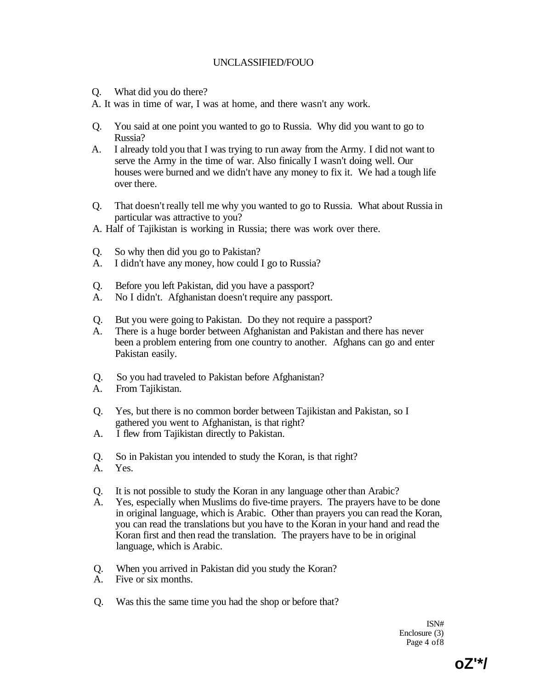Q. What did you do there?

A. It was in time of war, I was at home, and there wasn't any work.

- Q. You said at one point you wanted to go to Russia. Why did you want to go to Russia?
- A. I already told you that I was trying to run away from the Army. I did not want to serve the Army in the time of war. Also finically I wasn't doing well. Our houses were burned and we didn't have any money to fix it. We had a tough life over there.
- Q. That doesn't really tell me why you wanted to go to Russia. What about Russia in particular was attractive to you?
- A. Half of Tajikistan is working in Russia; there was work over there.
- Q. So why then did you go to Pakistan?
- A. I didn't have any money, how could I go to Russia?
- Q. Before you left Pakistan, did you have a passport?
- A. No I didn't. Afghanistan doesn't require any passport.
- Q. But you were going to Pakistan. Do they not require a passport?
- A. There is a huge border between Afghanistan and Pakistan and there has never been a problem entering from one country to another. Afghans can go and enter Pakistan easily.
- Q. So you had traveled to Pakistan before Afghanistan?
- A. From Tajikistan.
- Q. Yes, but there is no common border between Tajikistan and Pakistan, so I gathered you went to Afghanistan, is that right?
- A. I flew from Tajikistan directly to Pakistan.
- Q. So in Pakistan you intended to study the Koran, is that right?
- A. Yes.
- Q. It is not possible to study the Koran in any language other than Arabic?
- Yes, especially when Muslims do five-time prayers. The prayers have to be done in original language, which is Arabic. Other than prayers you can read the Koran, you can read the translations but you have to the Koran in your hand and read the Koran first and then read the translation. The prayers have to be in original language, which is Arabic.
- Q. When you arrived in Pakistan did you study the Koran?
- A. Five or six months.
- Q. Was this the same time you had the shop or before that?

ISN# Enclosure (3) Page 4 of 8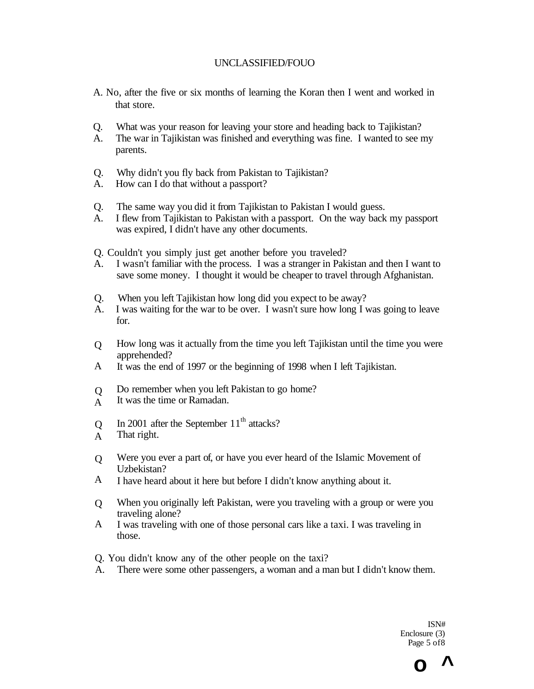- A. No, after the five or six months of learning the Koran then I went and worked in that store.
- Q. What was your reason for leaving your store and heading back to Tajikistan?
- A. The war in Tajikistan was finished and everything was fine. I wanted to see my parents.
- Q. Why didn't you fly back from Pakistan to Tajikistan?
- A. How can I do that without a passport?
- Q. The same way you did it from Tajikistan to Pakistan I would guess.
- A. I flew from Tajikistan to Pakistan with a passport. On the way back my passport was expired, I didn't have any other documents.
- Q. Couldn't you simply just get another before you traveled?
- A. I wasn't familiar with the process. I was a stranger in Pakistan and then I want to save some money. I thought it would be cheaper to travel through Afghanistan.
- Q. When you left Tajikistan how long did you expect to be away?
- A. I was waiting for the war to be over. I wasn't sure how long I was going to leave for.
- $\overline{O}$ How long was it actually from the time you left Tajikistan until the time you were apprehended?
- A It was the end of 1997 or the beginning of 1998 when I left Tajikistan.
- $\overline{O}$ Do remember when you left Pakistan to go home?
- A It was the time or Ramadan.
- Q In 2001 after the September  $11<sup>th</sup>$  attacks?
- A That right.
- $\overline{O}$ Were you ever a part of, or have you ever heard of the Islamic Movement of Uzbekistan?
- A I have heard about it here but before I didn't know anything about it.
- $\overline{O}$ When you originally left Pakistan, were you traveling with a group or were you traveling alone?
- A I was traveling with one of those personal cars like a taxi. I was traveling in those.
- Q. You didn't know any of the other people on the taxi?
- A. There were some other passengers, a woman and a man but I didn't know them.

ISN# Enclosure (3) Page 5 of8

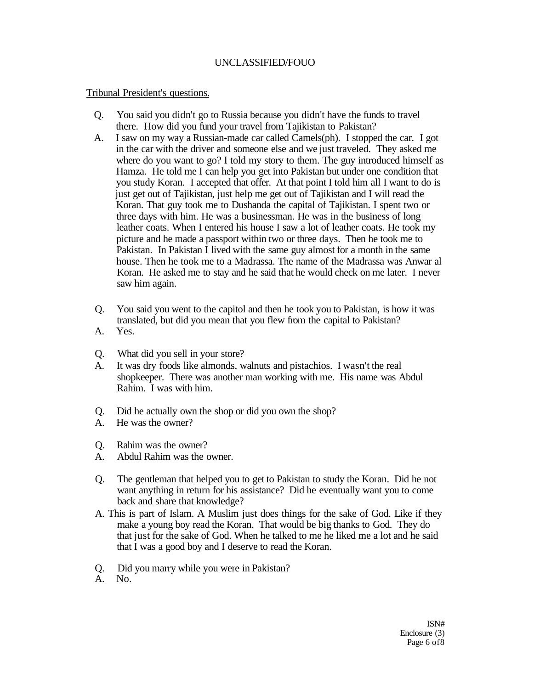### Tribunal President's questions.

- Q. You said you didn't go to Russia because you didn't have the funds to travel there. How did you fund your travel from Tajikistan to Pakistan?
- A. I saw on my way a Russian-made car called Camels(ph). I stopped the car. I got in the car with the driver and someone else and we just traveled. They asked me where do you want to go? I told my story to them. The guy introduced himself as Hamza. He told me I can help you get into Pakistan but under one condition that you study Koran. I accepted that offer. At that point I told him all I want to do is just get out of Tajikistan, just help me get out of Tajikistan and I will read the Koran. That guy took me to Dushanda the capital of Tajikistan. I spent two or three days with him. He was a businessman. He was in the business of long leather coats. When I entered his house I saw a lot of leather coats. He took my picture and he made a passport within two or three days. Then he took me to Pakistan. In Pakistan I lived with the same guy almost for a month in the same house. Then he took me to a Madrassa. The name of the Madrassa was Anwar al Koran. He asked me to stay and he said that he would check on me later. I never saw him again.
- Q. You said you went to the capitol and then he took you to Pakistan, is how it was translated, but did you mean that you flew from the capital to Pakistan?
- A. Yes.
- Q. What did you sell in your store?
- A. It was dry foods like almonds, walnuts and pistachios. I wasn't the real shopkeeper. There was another man working with me. His name was Abdul Rahim. I was with him.
- Q. Did he actually own the shop or did you own the shop?
- A. He was the owner?
- Q. Rahim was the owner?
- A. Abdul Rahim was the owner.
- Q. The gentleman that helped you to get to Pakistan to study the Koran. Did he not want anything in return for his assistance? Did he eventually want you to come back and share that knowledge?
- A. This is part of Islam. A Muslim just does things for the sake of God. Like if they make a young boy read the Koran. That would be big thanks to God. They do that just for the sake of God. When he talked to me he liked me a lot and he said that I was a good boy and I deserve to read the Koran.
- Q. Did you marry while you were in Pakistan?
- A. No.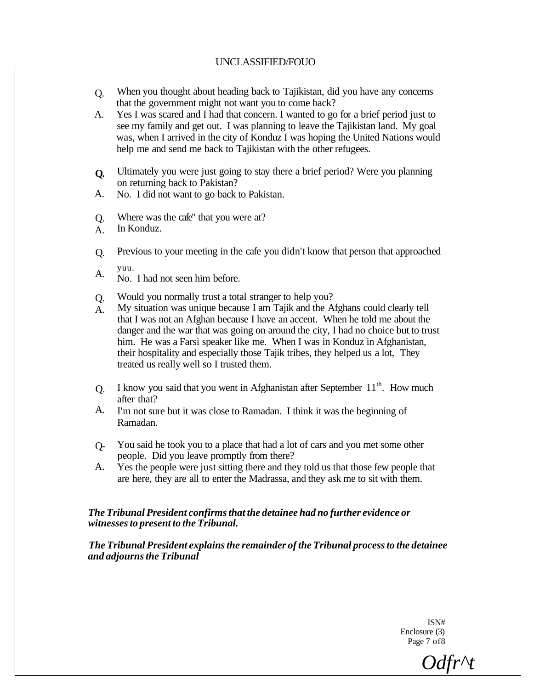- Q. When you thought about heading back to Tajikistan, did you have any concerns that the government might not want you to come back?
- A. Yes I was scared and I had that concern. I wanted to go for a brief period just to see my family and get out. I was planning to leave the Tajikistan land. My goal was, when I arrived in the city of Konduz I was hoping the United Nations would help me and send me back to Tajikistan with the other refugees.
- **Q.**  Ultimately you were just going to stay there a brief period? Were you planning on returning back to Pakistan?
- A. No. I did not want to go back to Pakistan.
- Q. Where was the cafe" that you were at?
- A. In Konduz.
- Q. Previous to your meeting in the cafe you didn't know that person that approached
- A. yuu.
- No. I had not seen him before.
- Q. Would you normally trust a total stranger to help you?
- A. My situation was unique because I am Tajik and the Afghans could clearly tell that I was not an Afghan because I have an accent. When he told me about the danger and the war that was going on around the city, I had no choice but to trust him. He was a Farsi speaker like me. When I was in Konduz in Afghanistan, their hospitality and especially those Tajik tribes, they helped us a lot, They treated us really well so I trusted them.
- Q. I know you said that you went in Afghanistan after September 11<sup>th</sup>. How much after that?
- A. I'm not sure but it was close to Ramadan. I think it was the beginning of Ramadan.
- $O<sub>-</sub>$ You said he took you to a place that had a lot of cars and you met some other people. Did you leave promptly from there?
- A. Yes the people were just sitting there and they told us that those few people that are here, they are all to enter the Madrassa, and they ask me to sit with them.

#### *The Tribunal President confirms that the detainee had no further evidence or witnesses to present to the Tribunal.*

*The Tribunal President explains the remainder of the Tribunal process to the detainee and adjourns the Tribunal* 

> ISN# Enclosure (3) Page 7 of8

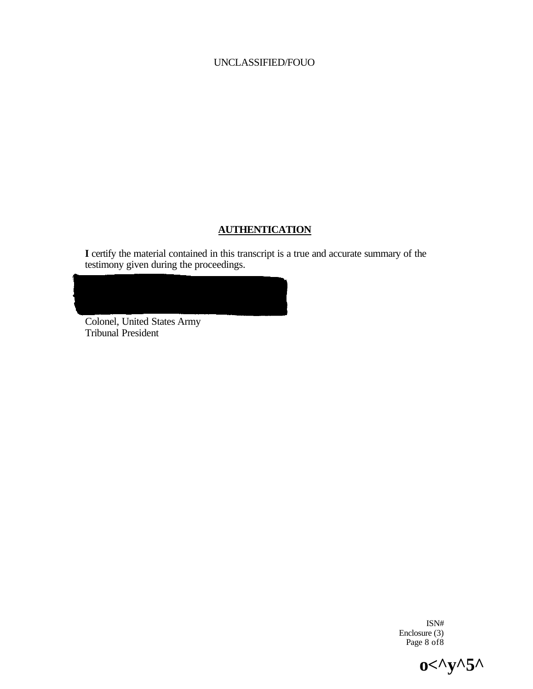# **AUTHENTICATION**

**I** certify the material contained in this transcript is a true and accurate summary of the testimony given during the proceedings.

Colonel, United States Army Tribunal President

> ISN# Enclosure (3) Page 8 of 8

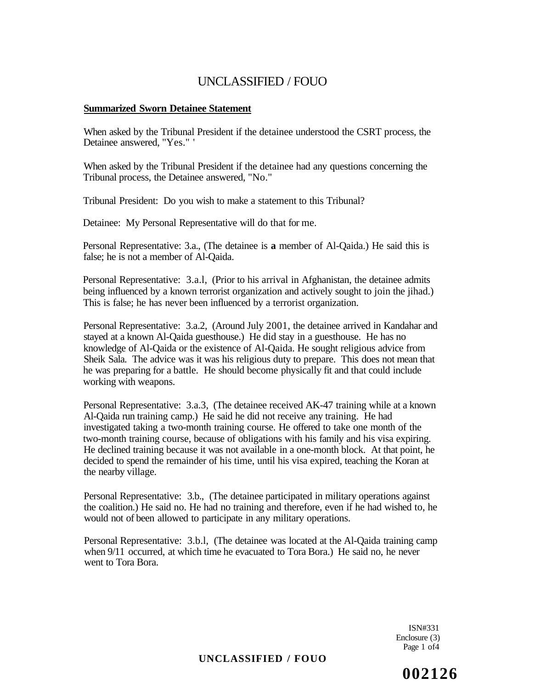#### **Summarized Sworn Detainee Statement**

When asked by the Tribunal President if the detainee understood the CSRT process, the Detainee answered, "Yes." '

When asked by the Tribunal President if the detainee had any questions concerning the Tribunal process, the Detainee answered, "No."

Tribunal President: Do you wish to make a statement to this Tribunal?

Detainee: My Personal Representative will do that for me.

Personal Representative: 3.a., (The detainee is **a** member of Al-Qaida.) He said this is false; he is not a member of Al-Qaida.

Personal Representative: 3.a.l, (Prior to his arrival in Afghanistan, the detainee admits being influenced by a known terrorist organization and actively sought to join the jihad.) This is false; he has never been influenced by a terrorist organization.

Personal Representative: 3.a.2, (Around July 2001, the detainee arrived in Kandahar and stayed at a known Al-Qaida guesthouse.) He did stay in a guesthouse. He has no knowledge of Al-Qaida or the existence of Al-Qaida. He sought religious advice from Sheik Sala. The advice was it was his religious duty to prepare. This does not mean that he was preparing for a battle. He should become physically fit and that could include working with weapons.

Personal Representative: 3.a.3, (The detainee received AK-47 training while at a known Al-Qaida run training camp.) He said he did not receive any training. He had investigated taking a two-month training course. He offered to take one month of the two-month training course, because of obligations with his family and his visa expiring. He declined training because it was not available in a one-month block. At that point, he decided to spend the remainder of his time, until his visa expired, teaching the Koran at the nearby village.

Personal Representative: 3.b., (The detainee participated in military operations against the coalition.) He said no. He had no training and therefore, even if he had wished to, he would not of been allowed to participate in any military operations.

Personal Representative: 3.b.l, (The detainee was located at the Al-Qaida training camp when  $9/11$  occurred, at which time he evacuated to Tora Bora.) He said no, he never went to Tora Bora.

> ISN#331 Enclosure (3) Page 1 of4

**UNCLASSIFIED / FOUO** 

**002126**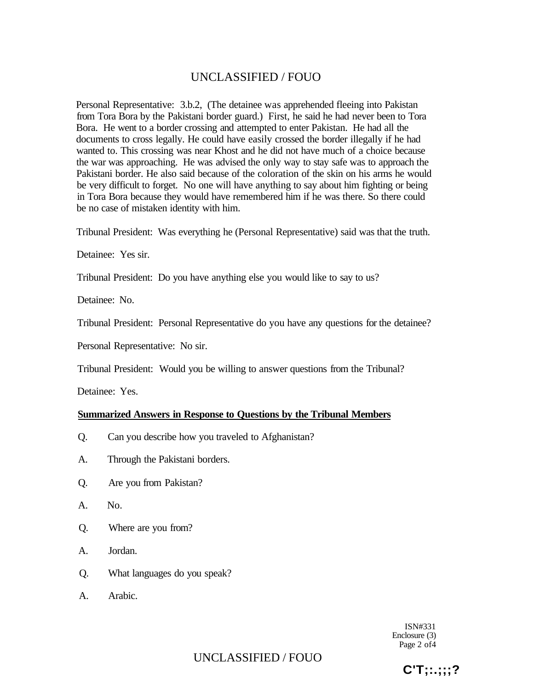Personal Representative: 3.b.2, (The detainee was apprehended fleeing into Pakistan from Tora Bora by the Pakistani border guard.) First, he said he had never been to Tora Bora. He went to a border crossing and attempted to enter Pakistan. He had all the documents to cross legally. He could have easily crossed the border illegally if he had wanted to. This crossing was near Khost and he did not have much of a choice because the war was approaching. He was advised the only way to stay safe was to approach the Pakistani border. He also said because of the coloration of the skin on his arms he would be very difficult to forget. No one will have anything to say about him fighting or being in Tora Bora because they would have remembered him if he was there. So there could be no case of mistaken identity with him.

Tribunal President: Was everything he (Personal Representative) said was that the truth.

Detainee: Yes sir.

Tribunal President: Do you have anything else you would like to say to us?

Detainee: No.

Tribunal President: Personal Representative do you have any questions for the detainee?

Personal Representative: No sir.

Tribunal President: Would you be willing to answer questions from the Tribunal?

Detainee: Yes.

#### **Summarized Answers in Response to Questions by the Tribunal Members**

- Q. Can you describe how you traveled to Afghanistan?
- A. Through the Pakistani borders.
- Q. Are you from Pakistan?
- A. No.
- Q. Where are you from?
- A. Jordan.
- Q. What languages do you speak?
- A. Arabic.

ISN#331 Enclosure (3) Page 2 of4

UNCLASSIFIED / FOUO

**C'T;:.;;;?**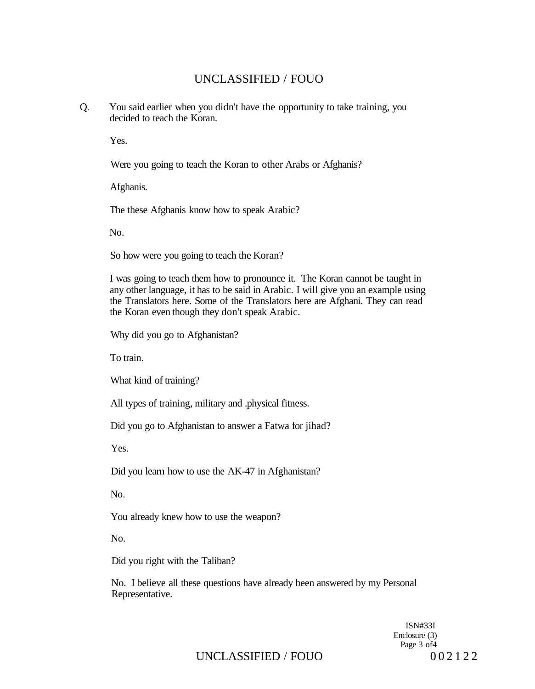Q. You said earlier when you didn't have the opportunity to take training, you decided to teach the Koran.

Yes.

Were you going to teach the Koran to other Arabs or Afghanis?

Afghanis.

The these Afghanis know how to speak Arabic?

No.

So how were you going to teach the Koran?

I was going to teach them how to pronounce it. The Koran cannot be taught in any other language, it has to be said in Arabic. I will give you an example using the Translators here. Some of the Translators here are Afghani. They can read the Koran even though they don't speak Arabic.

Why did you go to Afghanistan?

To train.

What kind of training?

All types of training, military and .physical fitness.

Did you go to Afghanistan to answer a Fatwa for jihad?

Yes.

Did you learn how to use the AK-47 in Afghanistan?

No.

You already knew how to use the weapon?

No.

Did you right with the Taliban?

No. I believe all these questions have already been answered by my Personal Representative.

> ISN#33I Enclosure (3) Page 3 of4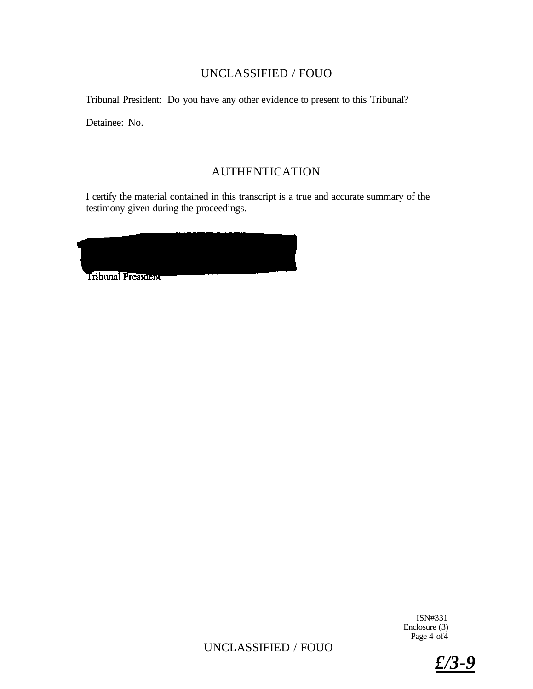Tribunal President: Do you have any other evidence to present to this Tribunal?

Detainee: No.

# **AUTHENTICATION**

I certify the material contained in this transcript is a true and accurate summary of the testimony given during the proceedings.

| <b>Tribunal President</b> |  |  |
|---------------------------|--|--|
|                           |  |  |
|                           |  |  |
|                           |  |  |

ISN#331 Enclosure (3) Page 4 of 4

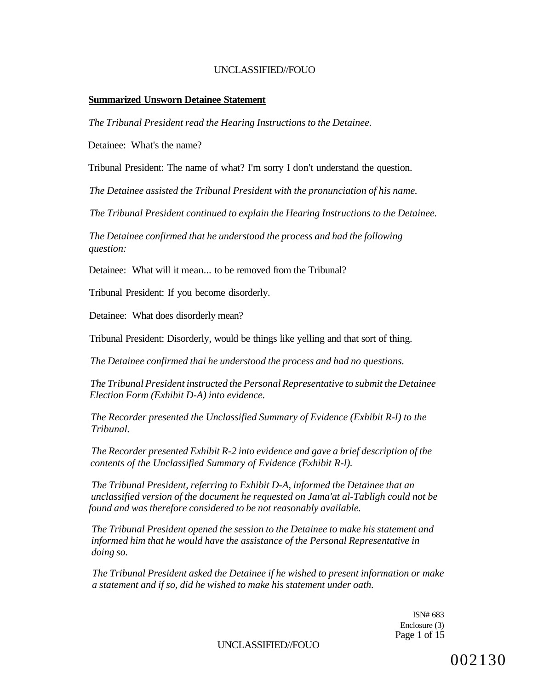#### **Summarized Unsworn Detainee Statement**

*The Tribunal President read the Hearing Instructions to the Detainee.* 

Detainee: What's the name?

Tribunal President: The name of what? I'm sorry I don't understand the question.

*The Detainee assisted the Tribunal President with the pronunciation of his name.* 

*The Tribunal President continued to explain the Hearing Instructions to the Detainee.* 

*The Detainee confirmed that he understood the process and had the following question:* 

Detainee: What will it mean... to be removed from the Tribunal?

Tribunal President: If you become disorderly.

Detainee: What does disorderly mean?

Tribunal President: Disorderly, would be things like yelling and that sort of thing.

*The Detainee confirmed thai he understood the process and had no questions.* 

*The Tribunal President instructed the Personal Representative to submit the Detainee Election Form (Exhibit D-A) into evidence.* 

*The Recorder presented the Unclassified Summary of Evidence (Exhibit R-l) to the Tribunal.* 

*The Recorder presented Exhibit R-2 into evidence and gave a brief description of the contents of the Unclassified Summary of Evidence (Exhibit R-l).* 

*The Tribunal President, referring to Exhibit D-A, informed the Detainee that an unclassified version of the document he requested on Jama'at al-Tabligh could not be found and was therefore considered to be not reasonably available.* 

*The Tribunal President opened the session to the Detainee to make his statement and informed him that he would have the assistance of the Personal Representative in doing so.* 

*The Tribunal President asked the Detainee if he wished to present information or make a statement and if so, did he wished to make his statement under oath.* 

> ISN# 683 Enclosure (3) Page 1 of 15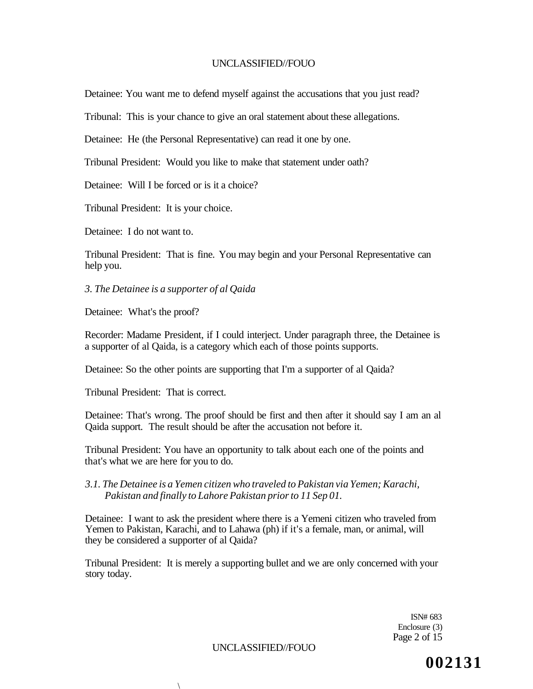Detainee: You want me to defend myself against the accusations that you just read?

Tribunal: This is your chance to give an oral statement about these allegations.

Detainee: He (the Personal Representative) can read it one by one.

Tribunal President: Would you like to make that statement under oath?

Detainee: Will I be forced or is it a choice?

Tribunal President: It is your choice.

Detainee: I do not want to.

Tribunal President: That is fine. You may begin and your Personal Representative can help you.

*3. The Detainee is a supporter of al Qaida* 

Detainee: What's the proof?

Recorder: Madame President, if I could interject. Under paragraph three, the Detainee is a supporter of al Qaida, is a category which each of those points supports.

Detainee: So the other points are supporting that I'm a supporter of al Qaida?

Tribunal President: That is correct.

 $\lambda$ 

Detainee: That's wrong. The proof should be first and then after it should say I am an al Qaida support. The result should be after the accusation not before it.

Tribunal President: You have an opportunity to talk about each one of the points and that's what we are here for you to do.

*3.1. The Detainee is a Yemen citizen who traveled to Pakistan via Yemen; Karachi, Pakistan and finally to Lahore Pakistan prior to 11 Sep 01.* 

Detainee: I want to ask the president where there is a Yemeni citizen who traveled from Yemen to Pakistan, Karachi, and to Lahawa (ph) if it's a female, man, or animal, will they be considered a supporter of al Qaida?

Tribunal President: It is merely a supporting bullet and we are only concerned with your story today.

> ISN# 683 Enclosure (3) Page 2 of 15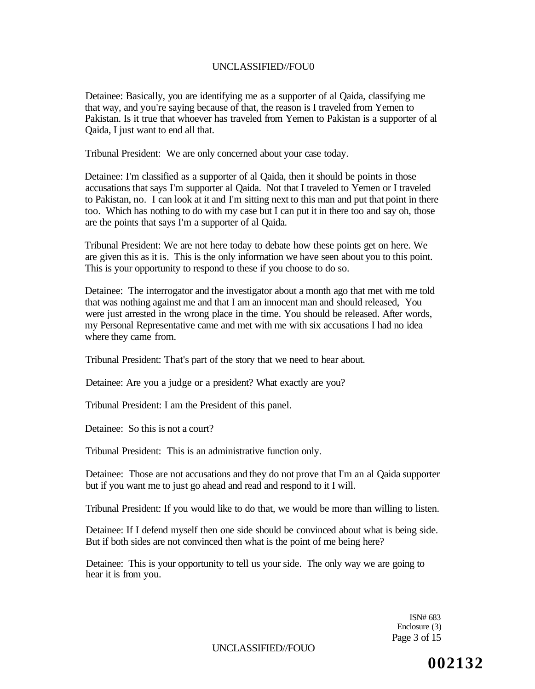Detainee: Basically, you are identifying me as a supporter of al Qaida, classifying me that way, and you're saying because of that, the reason is I traveled from Yemen to Pakistan. Is it true that whoever has traveled from Yemen to Pakistan is a supporter of al Qaida, I just want to end all that.

Tribunal President: We are only concerned about your case today.

Detainee: I'm classified as a supporter of al Qaida, then it should be points in those accusations that says I'm supporter al Qaida. Not that I traveled to Yemen or I traveled to Pakistan, no. I can look at it and I'm sitting next to this man and put that point in there too. Which has nothing to do with my case but I can put it in there too and say oh, those are the points that says I'm a supporter of al Qaida.

Tribunal President: We are not here today to debate how these points get on here. We are given this as it is. This is the only information we have seen about you to this point. This is your opportunity to respond to these if you choose to do so.

Detainee: The interrogator and the investigator about a month ago that met with me told that was nothing against me and that I am an innocent man and should released, You were just arrested in the wrong place in the time. You should be released. After words, my Personal Representative came and met with me with six accusations I had no idea where they came from.

Tribunal President: That's part of the story that we need to hear about.

Detainee: Are you a judge or a president? What exactly are you?

Tribunal President: I am the President of this panel.

Detainee: So this is not a court?

Tribunal President: This is an administrative function only.

Detainee: Those are not accusations and they do not prove that I'm an al Qaida supporter but if you want me to just go ahead and read and respond to it I will.

Tribunal President: If you would like to do that, we would be more than willing to listen.

Detainee: If I defend myself then one side should be convinced about what is being side. But if both sides are not convinced then what is the point of me being here?

Detainee: This is your opportunity to tell us your side. The only way we are going to hear it is from you.

> ISN# 683 Enclosure (3) Page 3 of 15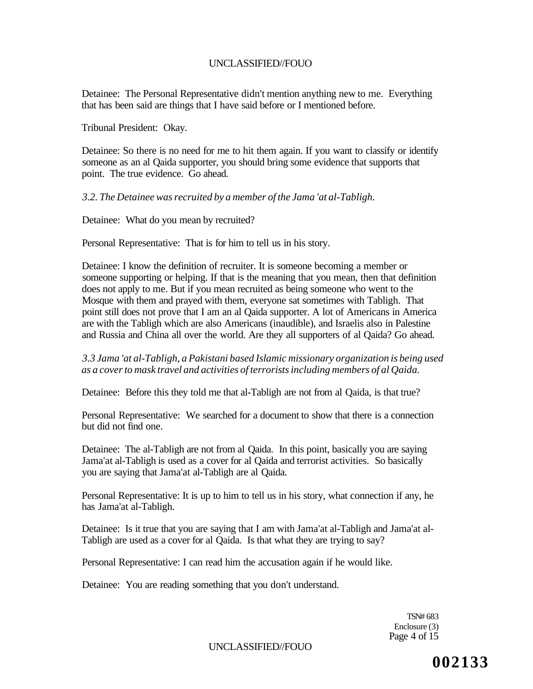Detainee: The Personal Representative didn't mention anything new to me. Everything that has been said are things that I have said before or I mentioned before.

Tribunal President: Okay.

Detainee: So there is no need for me to hit them again. If you want to classify or identify someone as an al Qaida supporter, you should bring some evidence that supports that point. The true evidence. Go ahead.

*3.2. The Detainee was recruited by a member of the Jama 'at al-Tabligh.* 

Detainee: What do you mean by recruited?

Personal Representative: That is for him to tell us in his story.

Detainee: I know the definition of recruiter. It is someone becoming a member or someone supporting or helping. If that is the meaning that you mean, then that definition does not apply to me. But if you mean recruited as being someone who went to the Mosque with them and prayed with them, everyone sat sometimes with Tabligh. That point still does not prove that I am an al Qaida supporter. A lot of Americans in America are with the Tabligh which are also Americans (inaudible), and Israelis also in Palestine and Russia and China all over the world. Are they all supporters of al Qaida? Go ahead.

### *3.3 Jama 'at al-Tabligh, a Pakistani based Islamic missionary organization is being used as a cover to mask travel and activities of terrorists including members of al Qaida.*

Detainee: Before this they told me that al-Tabligh are not from al Qaida, is that true?

Personal Representative: We searched for a document to show that there is a connection but did not find one.

Detainee: The al-Tabligh are not from al Qaida. In this point, basically you are saying Jama'at al-Tabligh is used as a cover for al Qaida and terrorist activities. So basically you are saying that Jama'at al-Tabligh are al Qaida.

Personal Representative: It is up to him to tell us in his story, what connection if any, he has Jama'at al-Tabligh.

Detainee: Is it true that you are saying that I am with Jama'at al-Tabligh and Jama'at al-Tabligh are used as a cover for al Qaida. Is that what they are trying to say?

Personal Representative: I can read him the accusation again if he would like.

Detainee: You are reading something that you don't understand.

TSN# 683 Enclosure (3) Page 4 of 15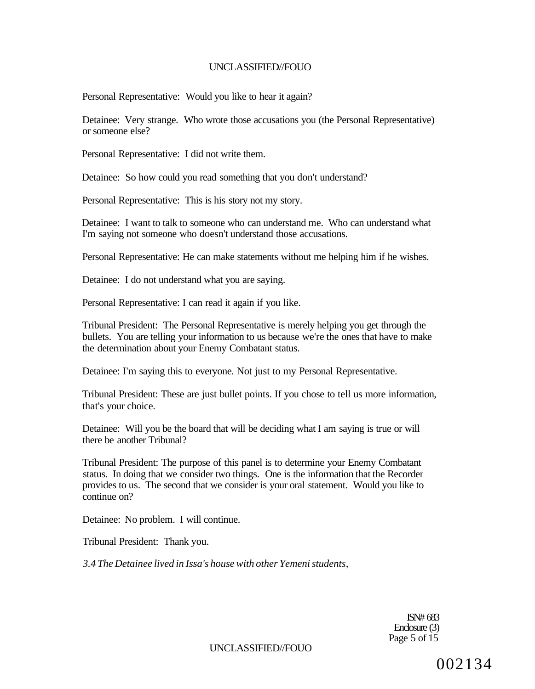Personal Representative: Would you like to hear it again?

Detainee: Very strange. Who wrote those accusations you (the Personal Representative) or someone else?

Personal Representative: I did not write them.

Detainee: So how could you read something that you don't understand?

Personal Representative: This is his story not my story.

Detainee: I want to talk to someone who can understand me. Who can understand what I'm saying not someone who doesn't understand those accusations.

Personal Representative: He can make statements without me helping him if he wishes.

Detainee: I do not understand what you are saying.

Personal Representative: I can read it again if you like.

Tribunal President: The Personal Representative is merely helping you get through the bullets. You are telling your information to us because we're the ones that have to make the determination about your Enemy Combatant status.

Detainee: I'm saying this to everyone. Not just to my Personal Representative.

Tribunal President: These are just bullet points. If you chose to tell us more information, that's your choice.

Detainee: Will you be the board that will be deciding what I am saying is true or will there be another Tribunal?

Tribunal President: The purpose of this panel is to determine your Enemy Combatant status. In doing that we consider two things. One is the information that the Recorder provides to us. The second that we consider is your oral statement. Would you like to continue on?

Detainee: No problem. I will continue.

Tribunal President: Thank you.

*3.4 The Detainee lived in Issa's house with other Yemeni students,* 

ISN# 683 Enclosure (3) Page 5 of  $15$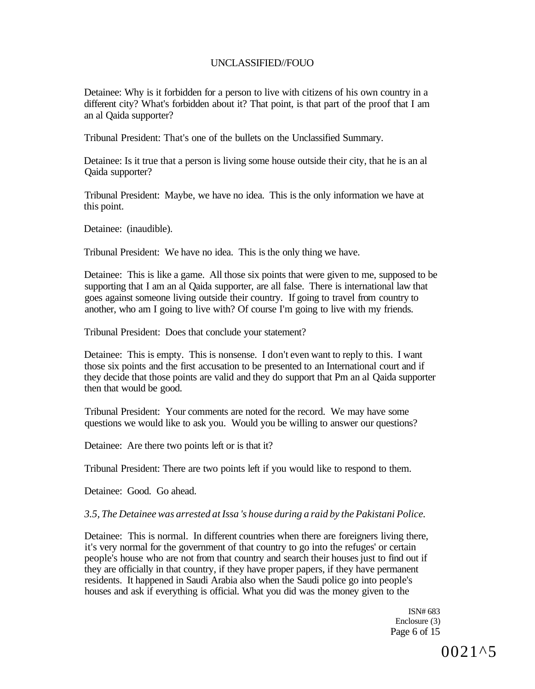Detainee: Why is it forbidden for a person to live with citizens of his own country in a different city? What's forbidden about it? That point, is that part of the proof that I am an al Qaida supporter?

Tribunal President: That's one of the bullets on the Unclassified Summary.

Detainee: Is it true that a person is living some house outside their city, that he is an al Qaida supporter?

Tribunal President: Maybe, we have no idea. This is the only information we have at this point.

Detainee: (inaudible).

Tribunal President: We have no idea. This is the only thing we have.

Detainee: This is like a game. All those six points that were given to me, supposed to be supporting that I am an al Qaida supporter, are all false. There is international law that goes against someone living outside their country. If going to travel from country to another, who am I going to live with? Of course I'm going to live with my friends.

Tribunal President: Does that conclude your statement?

Detainee: This is empty. This is nonsense. I don't even want to reply to this. I want those six points and the first accusation to be presented to an International court and if they decide that those points are valid and they do support that Pm an al Qaida supporter then that would be good.

Tribunal President: Your comments are noted for the record. We may have some questions we would like to ask you. Would you be willing to answer our questions?

Detainee: Are there two points left or is that it?

Tribunal President: There are two points left if you would like to respond to them.

Detainee: Good. Go ahead.

#### *3.5, The Detainee was arrested at Issa 's house during a raid by the Pakistani Police.*

Detainee: This is normal. In different countries when there are foreigners living there, it's very normal for the government of that country to go into the refuges' or certain people's house who are not from that country and search their houses just to find out if they are officially in that country, if they have proper papers, if they have permanent residents. It happened in Saudi Arabia also when the Saudi police go into people's houses and ask if everything is official. What you did was the money given to the

> ISN# 683 Enclosure (3) Page 6 of 15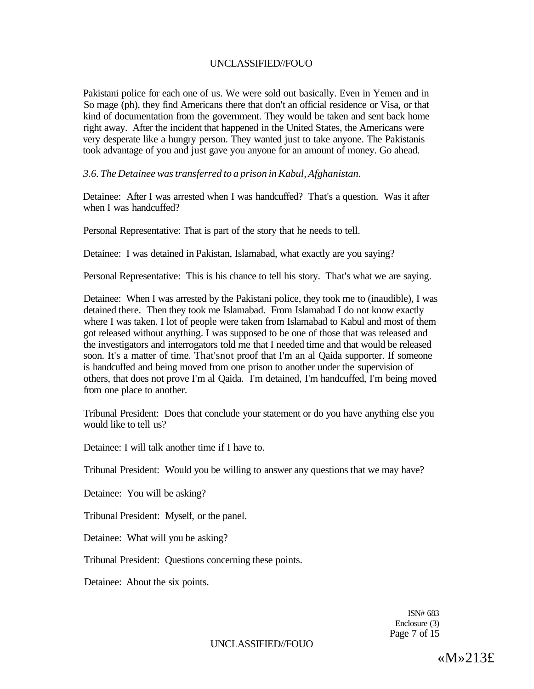Pakistani police for each one of us. We were sold out basically. Even in Yemen and in So mage (ph), they find Americans there that don't an official residence or Visa, or that kind of documentation from the government. They would be taken and sent back home right away. After the incident that happened in the United States, the Americans were very desperate like a hungry person. They wanted just to take anyone. The Pakistanis took advantage of you and just gave you anyone for an amount of money. Go ahead.

*3.6. The Detainee was transferred to a prison in Kabul, Afghanistan.* 

Detainee: After I was arrested when I was handcuffed? That's a question. Was it after when I was handcuffed?

Personal Representative: That is part of the story that he needs to tell.

Detainee: I was detained in Pakistan, Islamabad, what exactly are you saying?

Personal Representative: This is his chance to tell his story. That's what we are saying.

Detainee: When I was arrested by the Pakistani police, they took me to (inaudible), I was detained there. Then they took me Islamabad. From Islamabad I do not know exactly where I was taken. I lot of people were taken from Islamabad to Kabul and most of them got released without anything. I was supposed to be one of those that was released and the investigators and interrogators told me that I needed time and that would be released soon. It's a matter of time. That'snot proof that I'm an al Qaida supporter. If someone is handcuffed and being moved from one prison to another under the supervision of others, that does not prove I'm al Qaida. I'm detained, I'm handcuffed, I'm being moved from one place to another.

Tribunal President: Does that conclude your statement or do you have anything else you would like to tell us?

Detainee: I will talk another time if I have to.

Tribunal President: Would you be willing to answer any questions that we may have?

Detainee: You will be asking?

Tribunal President: Myself, or the panel.

Detainee: What will you be asking?

Tribunal President: Questions concerning these points.

Detainee: About the six points.

ISN# 683 Enclosure (3) Page 7 of 15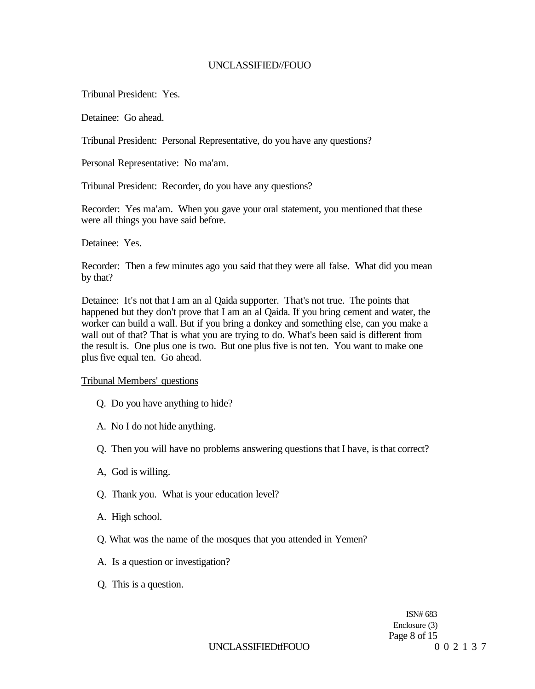Tribunal President: Yes.

Detainee: Go ahead.

Tribunal President: Personal Representative, do you have any questions?

Personal Representative: No ma'am.

Tribunal President: Recorder, do you have any questions?

Recorder: Yes ma'am. When you gave your oral statement, you mentioned that these were all things you have said before.

Detainee: Yes.

Recorder: Then a few minutes ago you said that they were all false. What did you mean by that?

Detainee: It's not that I am an al Qaida supporter. That's not true. The points that happened but they don't prove that I am an al Qaida. If you bring cement and water, the worker can build a wall. But if you bring a donkey and something else, can you make a wall out of that? That is what you are trying to do. What's been said is different from the result is. One plus one is two. But one plus five is not ten. You want to make one plus five equal ten. Go ahead.

Tribunal Members' questions

- Q. Do you have anything to hide?
- A. No I do not hide anything.
- Q. Then you will have no problems answering questions that I have, is that correct?
- A, God is willing.
- Q. Thank you. What is your education level?
- A. High school.
- Q. What was the name of the mosques that you attended in Yemen?
- A. Is a question or investigation?
- Q. This is a question.

ISN# 683 Enclosure (3) Page 8 of 15

## UNCLASSIFIEDtfFOUO 002137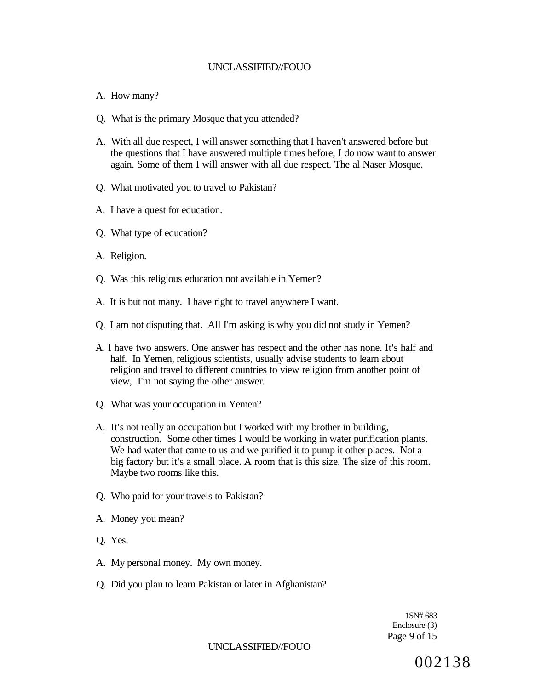#### A. How many?

- Q. What is the primary Mosque that you attended?
- A. With all due respect, I will answer something that I haven't answered before but the questions that I have answered multiple times before, I do now want to answer again. Some of them I will answer with all due respect. The al Naser Mosque.
- Q. What motivated you to travel to Pakistan?
- A. I have a quest for education.
- Q. What type of education?
- A. Religion.
- Q. Was this religious education not available in Yemen?
- A. It is but not many. I have right to travel anywhere I want.
- Q. I am not disputing that. All I'm asking is why you did not study in Yemen?
- A. I have two answers. One answer has respect and the other has none. It's half and half. In Yemen, religious scientists, usually advise students to learn about religion and travel to different countries to view religion from another point of view, I'm not saying the other answer.
- Q. What was your occupation in Yemen?
- A. It's not really an occupation but I worked with my brother in building, construction. Some other times I would be working in water purification plants. We had water that came to us and we purified it to pump it other places. Not a big factory but it's a small place. A room that is this size. The size of this room. Maybe two rooms like this.
- Q. Who paid for your travels to Pakistan?
- A. Money you mean?
- Q. Yes.
- A. My personal money. My own money.
- Q. Did you plan to learn Pakistan or later in Afghanistan?

1SN# 683 Enclosure (3) Page 9 of 15

UNCLASSIFIED//FOUO

002138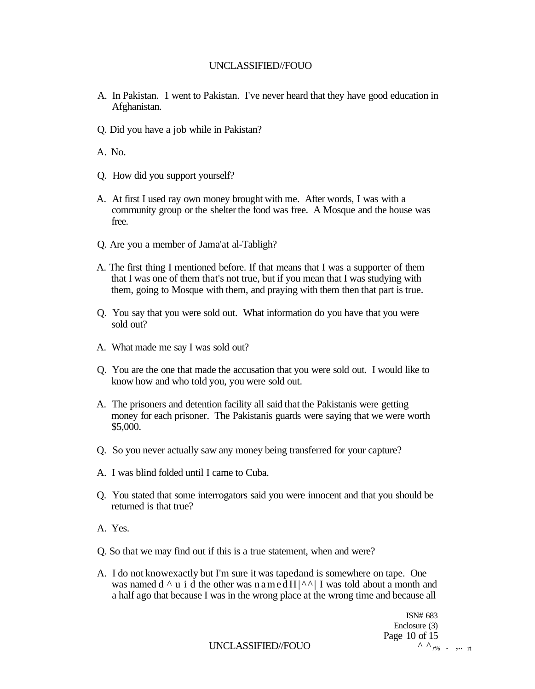- A. In Pakistan. 1 went to Pakistan. I've never heard that they have good education in Afghanistan.
- Q. Did you have a job while in Pakistan?

A. No.

- Q. How did you support yourself?
- A. At first I used ray own money brought with me. After words, I was with a community group or the shelter the food was free. A Mosque and the house was free.
- Q. Are you a member of Jama'at al-Tabligh?
- A. The first thing I mentioned before. If that means that I was a supporter of them that I was one of them that's not true, but if you mean that I was studying with them, going to Mosque with them, and praying with them then that part is true.
- Q. You say that you were sold out. What information do you have that you were sold out?
- A. What made me say I was sold out?
- Q. You are the one that made the accusation that you were sold out. I would like to know how and who told you, you were sold out.
- A. The prisoners and detention facility all said that the Pakistanis were getting money for each prisoner. The Pakistanis guards were saying that we were worth \$5,000.
- Q. So you never actually saw any money being transferred for your capture?
- A. I was blind folded until I came to Cuba.
- Q. You stated that some interrogators said you were innocent and that you should be returned is that true?
- A. Yes.
- Q. So that we may find out if this is a true statement, when and were?
- A. I do not knowexactly but I'm sure it was tapedand is somewhere on tape. One was named  $d \wedge u$  i d the other was named  $H|\wedge \wedge |$  I was told about a month and a half ago that because I was in the wrong place at the wrong time and because all

ISN# 683 Enclosure (3) Page 10 of 15<br> $\land \land_{r\%}$ . ... it

UNCLASSIFIED//FOUO ^ ^ *r% .* ,.. rt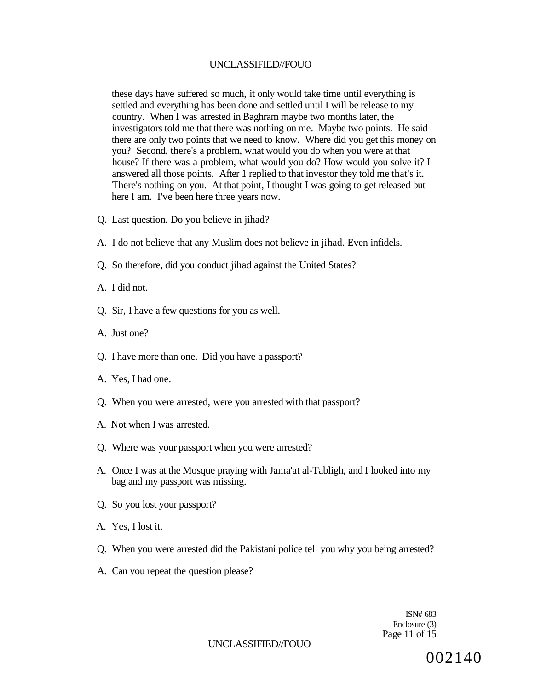these days have suffered so much, it only would take time until everything is settled and everything has been done and settled until I will be release to my country. When I was arrested in Baghram maybe two months later, the investigators told me that there was nothing on me. Maybe two points. He said there are only two points that we need to know. Where did you get this money on you? Second, there's a problem, what would you do when you were at that house? If there was a problem, what would you do? How would you solve it? I answered all those points. After 1 replied to that investor they told me that's it. There's nothing on you. At that point, I thought I was going to get released but here I am. I've been here three years now.

- Q. Last question. Do you believe in jihad?
- A. I do not believe that any Muslim does not believe in jihad. Even infidels.
- Q. So therefore, did you conduct jihad against the United States?
- A. I did not.
- Q. Sir, I have a few questions for you as well.
- A. Just one?
- Q. I have more than one. Did you have a passport?
- A. Yes, I had one.
- Q. When you were arrested, were you arrested with that passport?
- A. Not when I was arrested.
- Q. Where was your passport when you were arrested?
- A. Once I was at the Mosque praying with Jama'at al-Tabligh, and I looked into my bag and my passport was missing.
- Q. So you lost your passport?
- A. Yes, I lost it.
- Q. When you were arrested did the Pakistani police tell you why you being arrested?
- A. Can you repeat the question please?

ISN# 683 Enclosure (3) Page 11 of 15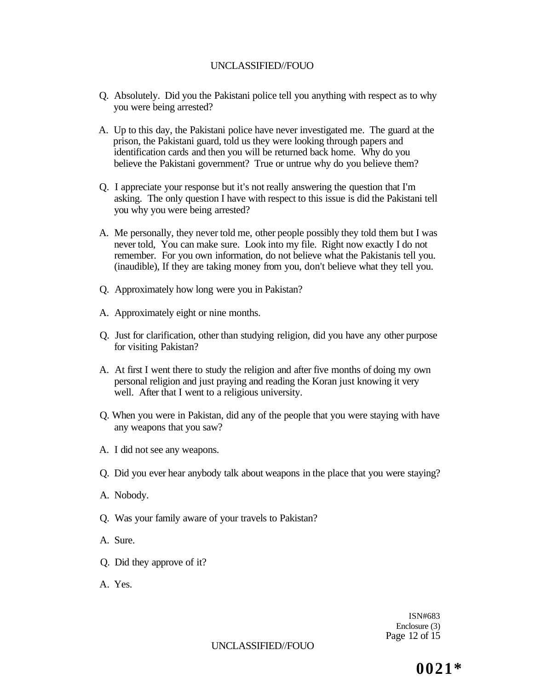- Q. Absolutely. Did you the Pakistani police tell you anything with respect as to why you were being arrested?
- A. Up to this day, the Pakistani police have never investigated me. The guard at the prison, the Pakistani guard, told us they were looking through papers and identification cards and then you will be returned back home. Why do you believe the Pakistani government? True or untrue why do you believe them?
- Q. I appreciate your response but it's not really answering the question that I'm asking. The only question I have with respect to this issue is did the Pakistani tell you why you were being arrested?
- A. Me personally, they never told me, other people possibly they told them but I was never told, You can make sure. Look into my file. Right now exactly I do not remember. For you own information, do not believe what the Pakistanis tell you. (inaudible), If they are taking money from you, don't believe what they tell you.
- Q. Approximately how long were you in Pakistan?
- A. Approximately eight or nine months.
- Q. Just for clarification, other than studying religion, did you have any other purpose for visiting Pakistan?
- A. At first I went there to study the religion and after five months of doing my own personal religion and just praying and reading the Koran just knowing it very well. After that I went to a religious university.
- Q. When you were in Pakistan, did any of the people that you were staying with have any weapons that you saw?
- A. I did not see any weapons.
- Q. Did you ever hear anybody talk about weapons in the place that you were staying?
- A. Nobody.
- Q. Was your family aware of your travels to Pakistan?
- A. Sure.
- Q. Did they approve of it?
- A. Yes.

ISN#683 Enclosure (3) Page 12 of 15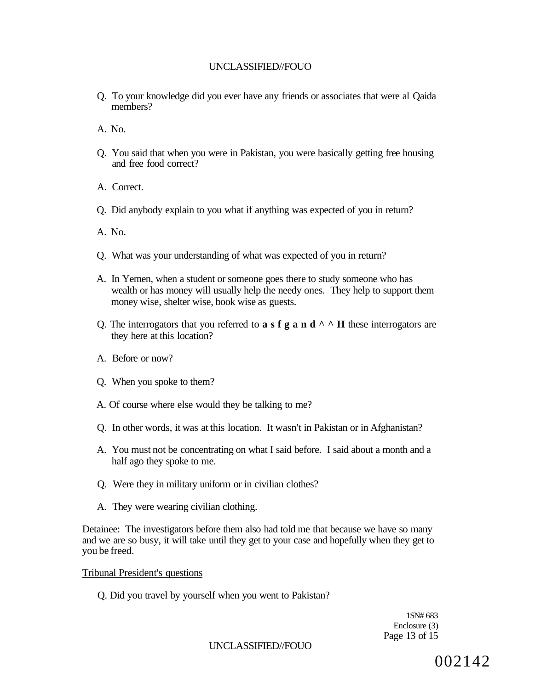- Q. To your knowledge did you ever have any friends or associates that were al Qaida members?
- A. No.
- Q. You said that when you were in Pakistan, you were basically getting free housing and free food correct?
- A. Correct.
- Q. Did anybody explain to you what if anything was expected of you in return?
- A. No.
- Q. What was your understanding of what was expected of you in return?
- A. In Yemen, when a student or someone goes there to study someone who has wealth or has money will usually help the needy ones. They help to support them money wise, shelter wise, book wise as guests.
- Q. The interrogators that you referred to **a** s **f g a** n **d**  $\wedge$   $\wedge$  **H** these interrogators are they here at this location?
- A. Before or now?
- Q. When you spoke to them?
- A. Of course where else would they be talking to me?
- Q. In other words, it was at this location. It wasn't in Pakistan or in Afghanistan?
- A. You must not be concentrating on what I said before. I said about a month and a half ago they spoke to me.
- Q. Were they in military uniform or in civilian clothes?
- A. They were wearing civilian clothing.

Detainee: The investigators before them also had told me that because we have so many and we are so busy, it will take until they get to your case and hopefully when they get to you be freed.

Tribunal President's questions

Q. Did you travel by yourself when you went to Pakistan?

1SN# 683 Enclosure (3) Page 13 of 15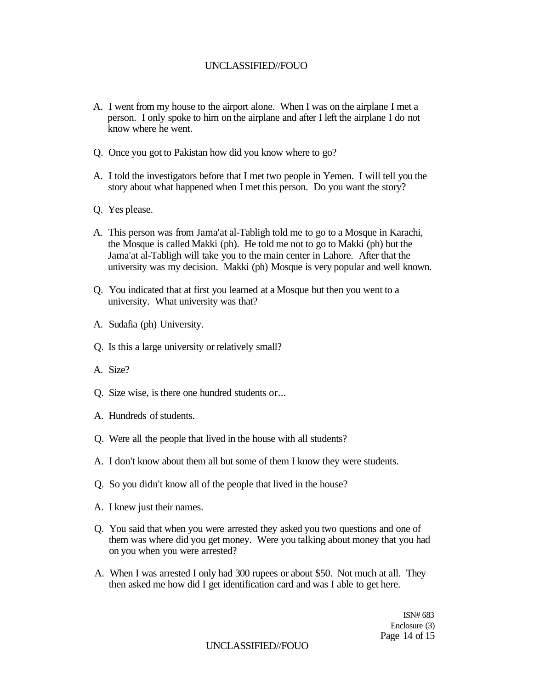- A. I went from my house to the airport alone. When I was on the airplane I met a person. I only spoke to him on the airplane and after I left the airplane I do not know where he went.
- Q. Once you got to Pakistan how did you know where to go?
- A. I told the investigators before that I met two people in Yemen. I will tell you the story about what happened when I met this person. Do you want the story?
- Q. Yes please.
- A. This person was from Jama'at al-Tabligh told me to go to a Mosque in Karachi, the Mosque is called Makki (ph). He told me not to go to Makki (ph) but the Jama'at al-Tabligh will take you to the main center in Lahore. After that the university was my decision. Makki (ph) Mosque is very popular and well known.
- Q. You indicated that at first you learned at a Mosque but then you went to a university. What university was that?
- A. Sudafia (ph) University.
- Q. Is this a large university or relatively small?
- A. Size?
- Q. Size wise, is there one hundred students or...
- A. Hundreds of students.
- Q. Were all the people that lived in the house with all students?
- A. I don't know about them all but some of them I know they were students.
- Q. So you didn't know all of the people that lived in the house?
- A. I knew just their names.
- Q. You said that when you were arrested they asked you two questions and one of them was where did you get money. Were you talking about money that you had on you when you were arrested?
- A. When I was arrested I only had 300 rupees or about \$50. Not much at all. They then asked me how did I get identification card and was I able to get here.

ISN# 683 Enclosure (3) Page 14 of 15